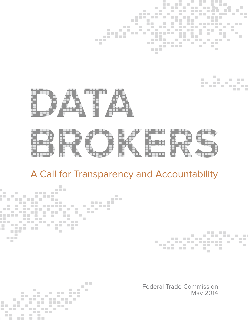

 $\mathcal{L}_{\mathcal{A}}$ 

 $\Box$   $\Box$   $\Box$ 

ni ma

 $\mathcal{L}$ n mar

a a Ei 

**TELEVISION** 

and the state of

o El

**CONTRACT** 

6. 20. 2014

 $\blacksquare$ 

 $\mathcal{L}_{\mathcal{A}}$  $\sim$  $\begin{array}{ccc} \textbf{1} & \textbf{1} & \textbf{1} & \textbf{1} & \textbf{1} \end{array}$  $\blacksquare$ 

**COLOR** 

 $\mathcal{L}^{\mathcal{L}}$ 

 $\mathbf{r}$ 

**COL** 

 $\sim$ 

 $\mathcal{L} \subset \mathcal{L}$ 

## A Call for Transparency and Accountability



**COLOR**  $\mathcal{L}_{\mathcal{A}}$  $\mathcal{L}_{\mathcal{A}}$ 

Federal Trade Commission May 2014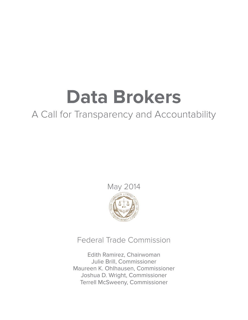# **Data Brokers**

## A Call for Transparency and Accountability

May 2014

Federal Trade Commission

Edith Ramirez, Chairwoman Julie Brill, Commissioner Maureen K. Ohlhausen, Commissioner Joshua D. Wright, Commissioner Terrell McSweeny, Commissioner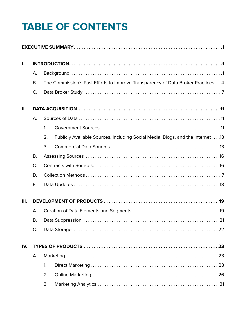## **Table of Contents**

| Ι.   |    |              |                                                                                  |  |  |
|------|----|--------------|----------------------------------------------------------------------------------|--|--|
|      | А. |              |                                                                                  |  |  |
|      | Β. |              | The Commission's Past Efforts to Improve Transparency of Data Broker Practices 4 |  |  |
|      | C. |              |                                                                                  |  |  |
| Ш.   |    |              |                                                                                  |  |  |
|      | Α. |              |                                                                                  |  |  |
|      |    | $\mathbf{1}$ |                                                                                  |  |  |
|      |    | 2.           | Publicly Available Sources, Including Social Media, Blogs, and the Internet13    |  |  |
|      |    | 3.           |                                                                                  |  |  |
|      | B. |              |                                                                                  |  |  |
|      | C. |              |                                                                                  |  |  |
|      | D. |              |                                                                                  |  |  |
|      | Ε. |              |                                                                                  |  |  |
| III. |    |              |                                                                                  |  |  |
|      | А. |              |                                                                                  |  |  |
|      | B. |              |                                                                                  |  |  |
|      | C. |              |                                                                                  |  |  |
| IV.  |    |              |                                                                                  |  |  |
|      | А. |              |                                                                                  |  |  |
|      |    | 1.           |                                                                                  |  |  |
|      |    | 2.           |                                                                                  |  |  |
|      |    | 3.           |                                                                                  |  |  |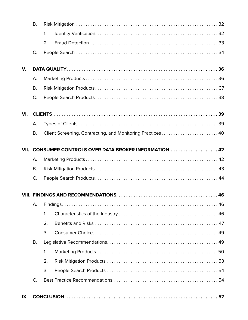|      | <b>B.</b>                                          |                                                            |  |  |
|------|----------------------------------------------------|------------------------------------------------------------|--|--|
|      |                                                    | 1.                                                         |  |  |
|      |                                                    | 2.                                                         |  |  |
|      | $C_{\cdot}$                                        |                                                            |  |  |
| V.   |                                                    |                                                            |  |  |
|      | А.                                                 |                                                            |  |  |
|      | <b>B.</b>                                          |                                                            |  |  |
|      | C.                                                 |                                                            |  |  |
| VI.  |                                                    |                                                            |  |  |
|      | А.                                                 |                                                            |  |  |
|      | B.                                                 | Client Screening, Contracting, and Monitoring Practices 40 |  |  |
| VII. | CONSUMER CONTROLS OVER DATA BROKER INFORMATION  42 |                                                            |  |  |
|      | А.                                                 |                                                            |  |  |
|      | <b>B.</b>                                          |                                                            |  |  |
|      | C.                                                 |                                                            |  |  |
|      |                                                    |                                                            |  |  |
|      | А.                                                 |                                                            |  |  |
|      |                                                    | $\mathbf{1}$ .                                             |  |  |
|      |                                                    | 2.                                                         |  |  |
|      |                                                    | 3.                                                         |  |  |
|      | В.                                                 |                                                            |  |  |
|      |                                                    | 1.                                                         |  |  |
|      |                                                    | 2.                                                         |  |  |
|      |                                                    | 3.                                                         |  |  |
|      | C.                                                 |                                                            |  |  |
| IX.  |                                                    |                                                            |  |  |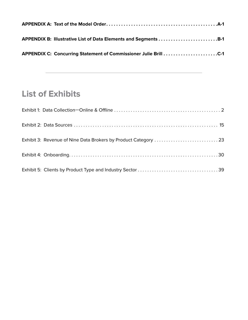| APPENDIX B: Illustrative List of Data Elements and Segments B-1  |
|------------------------------------------------------------------|
| APPENDIX C: Concurring Statement of Commissioner Julie Brill C-1 |

### **List of Exhibits**

| Exhibit 3: Revenue of Nine Data Brokers by Product Category  23 |
|-----------------------------------------------------------------|
|                                                                 |
|                                                                 |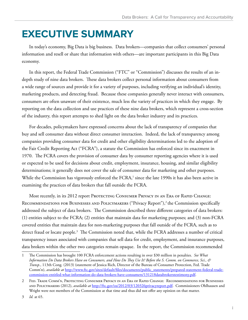## <span id="page-8-0"></span>**EXECUTIVE SUMMARY**

In today's economy, Big Data is big business. Data brokers—companies that collect consumers' personal information and resell or share that information with others—are important participants in this Big Data economy.

In this report, the Federal Trade Commission ("FTC" or "Commission") discusses the results of an indepth study of nine data brokers. These data brokers collect personal information about consumers from a wide range of sources and provide it for a variety of purposes, including verifying an individual's identity, marketing products, and detecting fraud. Because these companies generally never interact with consumers, consumers are often unaware of their existence, much less the variety of practices in which they engage. By reporting on the data collection and use practices of these nine data brokers, which represent a cross-section of the industry, this report attempts to shed light on the data broker industry and its practices.

For decades, policymakers have expressed concerns about the lack of transparency of companies that buy and sell consumer data without direct consumer interaction. Indeed, the lack of transparency among companies providing consumer data for credit and other eligibility determinations led to the adoption of the Fair Credit Reporting Act ("FCRA"), a statute the Commission has enforced since its enactment in 1970. The FCRA covers the provision of consumer data by consumer reporting agencies where it is used or expected to be used for decisions about credit, employment, insurance, housing, and similar eligibility determinations; it generally does not cover the sale of consumer data for marketing and other purposes. While the Commission has vigorously enforced the FCRA,<sup>1</sup> since the late 1990s it has also been active in examining the practices of data brokers that fall outside the FCRA.

Most recently, in its 2012 report Protecting Consumer Privacy in an Era of Rapid Change: RECOMMENDATIONS FOR BUSINESSES AND POLICYMAKERS ("Privacy Report"),<sup>2</sup> the Commission specifically addressed the subject of data brokers. The Commission described three different categories of data brokers: (1) entities subject to the FCRA; (2) entities that maintain data for marketing purposes; and (3) non-FCRA covered entities that maintain data for non-marketing purposes that fall outside of the FCRA, such as to detect fraud or locate people.<sup>3</sup> The Commission noted that, while the FCRA addresses a number of critical transparency issues associated with companies that sell data for credit, employment, and insurance purposes, data brokers within the other two categories remain opaque. In the report, the Commission recommended

<sup>1</sup> The Commission has brought 100 FCRA enforcement actions resulting in over \$30 million in penalties. *See What Information Do Data Brokers Have on Consumers, and How Do They Use It? Before the S. Comm. on Commerce, Sci., & Transp.*, 113th Cong. (2013) (statement of Jessica Rich, Director of the Bureau of Consumer Protection, Fed. Trade Comm'n), *available at* [http://www.ftc.gov/sites/default/files/documents/public\\_statements/prepared-statement-federal-trade](http://www.ftc.gov/sites/default/files/documents/public_statements/prepared-statement-federal-trade-commission-entitled-what-information-do-data-brokers-have-consumers/131218databrokerstestimony.pdf)[commission-entitled-what-information-do-data-brokers-have-consumers/131218databrokerstestimony.pdf](http://www.ftc.gov/sites/default/files/documents/public_statements/prepared-statement-federal-trade-commission-entitled-what-information-do-data-brokers-have-consumers/131218databrokerstestimony.pdf).

<sup>2</sup> Fed. Trade Comm'n, Protecting Consumer Privacy in an Era of Rapid Change: Recommendations for Businesses and Policymakers (2012), *available at* <http://ftc.gov/os/2012/03/120326privacyreport.pdf>. Commissioners Ohlhausen and Wright were not members of the Commission at that time and thus did not offer any opinion on that matter.

<sup>3</sup> *Id.* at 65.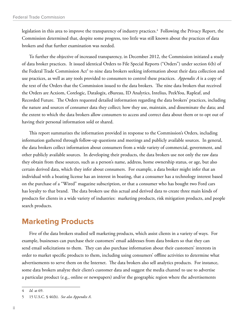legislation in this area to improve the transparency of industry practices.<sup>4</sup> Following the Privacy Report, the Commission determined that, despite some progress, too little was still known about the practices of data brokers and that further examination was needed.

To further the objective of increased transparency, in December 2012, the Commission initiated a study of data broker practices. It issued identical Orders to File Special Reports ("Orders") under section 6(b) of the Federal Trade Commission Act<sup>5</sup> to nine data brokers seeking information about their data collection and use practices, as well as any tools provided to consumers to control these practices. *Appendix A* is a copy of the text of the Orders that the Commission issued to the data brokers. The nine data brokers that received the Orders are Acxiom, Corelogic, Datalogix, eBureau, ID Analytics, Intelius, PeekYou, Rapleaf, and Recorded Future. The Orders requested detailed information regarding the data brokers' practices, including the nature and sources of consumer data they collect; how they use, maintain, and disseminate the data; and the extent to which the data brokers allow consumers to access and correct data about them or to opt out of having their personal information sold or shared.

This report summarizes the information provided in response to the Commission's Orders, including information gathered through follow-up questions and meetings and publicly available sources. In general, the data brokers collect information about consumers from a wide variety of commercial, government, and other publicly available sources. In developing their products, the data brokers use not only the raw data they obtain from these sources, such as a person's name, address, home ownership status, or age, but also certain derived data, which they infer about consumers. For example, a data broker might infer that an individual with a boating license has an interest in boating, that a consumer has a technology interest based on the purchase of a "Wired" magazine subscription, or that a consumer who has bought two Ford cars has loyalty to that brand. The data brokers use this actual and derived data to create three main kinds of products for clients in a wide variety of industries: marketing products, risk mitigation products, and people search products.

### **Marketing Products**

Five of the data brokers studied sell marketing products, which assist clients in a variety of ways. For example, businesses can purchase their customers' email addresses from data brokers so that they can send email solicitations to them. They can also purchase information about their customers' interests in order to market specific products to them, including using consumers' offline activities to determine what advertisements to serve them on the Internet. The data brokers also sell analytics products. For instance, some data brokers analyze their client's customer data and suggest the media channel to use to advertise a particular product (e.g., online or newspapers) and/or the geographic region where the advertisements

<sup>4</sup> *Id.* at 69.

<sup>5</sup> 15 U.S.C. § 46(b). *See also Appendix A*.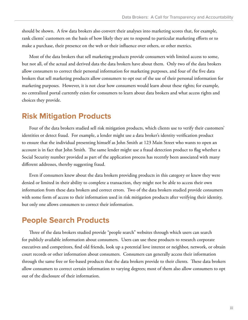should be shown. A few data brokers also convert their analyses into marketing scores that, for example, rank clients' customers on the basis of how likely they are to respond to particular marketing efforts or to make a purchase, their presence on the web or their influence over others, or other metrics.

Most of the data brokers that sell marketing products provide consumers with limited access to some, but not all, of the actual and derived data the data brokers have about them. Only two of the data brokers allow consumers to correct their personal information for marketing purposes, and four of the five data brokers that sell marketing products allow consumers to opt out of the use of their personal information for marketing purposes. However, it is not clear how consumers would learn about these rights; for example, no centralized portal currently exists for consumers to learn about data brokers and what access rights and choices they provide.

### **Risk Mitigation Products**

Four of the data brokers studied sell risk mitigation products, which clients use to verify their customers' identities or detect fraud. For example, a lender might use a data broker's identity verification product to ensure that the individual presenting himself as John Smith at 123 Main Street who wants to open an account is in fact that John Smith. The same lender might use a fraud detection product to flag whether a Social Security number provided as part of the application process has recently been associated with many different addresses, thereby suggesting fraud.

Even if consumers knew about the data brokers providing products in this category or knew they were denied or limited in their ability to complete a transaction, they might not be able to access their own information from these data brokers and correct errors. Two of the data brokers studied provide consumers with some form of access to their information used in risk mitigation products after verifying their identity, but only one allows consumers to correct their information.

### **People Search Products**

Three of the data brokers studied provide "people search" websites through which users can search for publicly available information about consumers. Users can use these products to research corporate executives and competitors, find old friends, look up a potential love interest or neighbor, network, or obtain court records or other information about consumers. Consumers can generally access their information through the same free or fee-based products that the data brokers provide to their clients. These data brokers allow consumers to correct certain information to varying degrees; most of them also allow consumers to opt out of the disclosure of their information.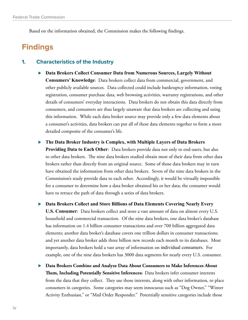Based on the information obtained, the Commission makes the following findings.

### **Findings**

### **1. Characteristics of the Industry**

- **⊲ Data Brokers Collect Consumer Data from Numerous Sources, Largely Without Consumers' Knowledge**: Data brokers collect data from commercial, government, and other publicly available sources. Data collected could include bankruptcy information, voting registration, consumer purchase data, web browsing activities, warranty registrations, and other details of consumers' everyday interactions. Data brokers do not obtain this data directly from consumers, and consumers are thus largely unaware that data brokers are collecting and using this information. While each data broker source may provide only a few data elements about a consumer's activities, data brokers can put all of these data elements together to form a more detailed composite of the consumer's life.
- **⊲ The Data Broker Industry is Complex, with Multiple Layers of Data Brokers Providing Data to Each Other**: Data brokers provide data not only to end-users, but also to other data brokers. The nine data brokers studied obtain most of their data from other data brokers rather than directly from an original source. Some of those data brokers may in turn have obtained the information from other data brokers. Seven of the nine data brokers in the Commission's study provide data to each other. Accordingly, it would be virtually impossible for a consumer to determine how a data broker obtained his or her data; the consumer would have to retrace the path of data through a series of data brokers.
- **⊲ Data Brokers Collect and Store Billions of Data Elements Covering Nearly Every U.S. Consumer**: Data brokers collect and store a vast amount of data on almost every U.S. household and commercial transaction. Of the nine data brokers, one data broker's database has information on 1.4 billion consumer transactions and over 700 billion aggregated data elements; another data broker's database covers one trillion dollars in consumer transactions; and yet another data broker adds three billion new records each month to its databases. Most importantly, data brokers hold a vast array of information on individual consumers. For example, one of the nine data brokers has 3000 data segments for nearly every U.S. consumer.
- **⊲ Data Brokers Combine and Analyze Data About Consumers to Make Inferences About Them, Including Potentially Sensitive Inferences:** Data brokers infer consumer interests from the data that they collect. They use those interests, along with other information, to place consumers in categories. Some categories may seem innocuous such as "Dog Owner," "Winter Activity Enthusiast," or "Mail Order Responder." Potentially sensitive categories include those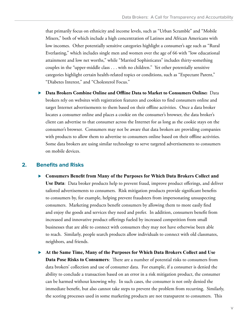that primarily focus on ethnicity and income levels, such as "Urban Scramble" and "Mobile Mixers," both of which include a high concentration of Latinos and African Americans with low incomes. Other potentially sensitive categories highlight a consumer's age such as "Rural Everlasting," which includes single men and women over the age of 66 with "low educational attainment and low net worths," while "Married Sophisticates" includes thirty-something couples in the "upper-middle class . . . with no children." Yet other potentially sensitive categories highlight certain health-related topics or conditions, such as "Expectant Parent," "Diabetes Interest," and "Cholesterol Focus."

**⊲ Data Brokers Combine Online and Offline Data to Market to Consumers Online:** Data brokers rely on websites with registration features and cookies to find consumers online and target Internet advertisements to them based on their offline activities. Once a data broker locates a consumer online and places a cookie on the consumer's browser, the data broker's client can advertise to that consumer across the Internet for as long as the cookie stays on the consumer's browser. Consumers may not be aware that data brokers are providing companies with products to allow them to advertise to consumers online based on their offline activities. Some data brokers are using similar technology to serve targeted advertisements to consumers on mobile devices.

#### **2. Benefits and Risks**

- ► Consumers Benefit from Many of the Purposes for Which Data Brokers Collect and **Use Data**:Data broker products help to prevent fraud, improve product offerings, and deliver tailored advertisements to consumers. Risk mitigation products provide significant benefits to consumers by, for example, helping prevent fraudsters from impersonating unsuspecting consumers. Marketing products benefit consumers by allowing them to more easily find and enjoy the goods and services they need and prefer. In addition, consumers benefit from increased and innovative product offerings fueled by increased competition from small businesses that are able to connect with consumers they may not have otherwise been able to reach. Similarly, people search products allow individuals to connect with old classmates, neighbors, and friends.
- **⊲ At the Same Time, Many of the Purposes for Which Data Brokers Collect and Use Data Pose Risks to Consumers**: There are a number of potential risks to consumers from data brokers' collection and use of consumer data. For example, if a consumer is denied the ability to conclude a transaction based on an error in a risk mitigation product, the consumer can be harmed without knowing why. In such cases, the consumer is not only denied the immediate benefit, but also cannot take steps to prevent the problem from recurring. Similarly, the scoring processes used in some marketing products are not transparent to consumers. This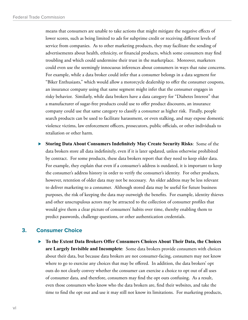means that consumers are unable to take actions that might mitigate the negative effects of lower scores, such as being limited to ads for subprime credit or receiving different levels of service from companies. As to other marketing products, they may facilitate the sending of advertisements about health, ethnicity, or financial products, which some consumers may find troubling and which could undermine their trust in the marketplace. Moreover, marketers could even use the seemingly innocuous inferences about consumers in ways that raise concerns. For example, while a data broker could infer that a consumer belongs in a data segment for "Biker Enthusiasts," which would allow a motorcycle dealership to offer the consumer coupons, an insurance company using that same segment might infer that the consumer engages in risky behavior. Similarly, while data brokers have a data category for "Diabetes Interest" that a manufacturer of sugar-free products could use to offer product discounts, an insurance company could use that same category to classify a consumer as higher risk. Finally, people search products can be used to facilitate harassment, or even stalking, and may expose domestic violence victims, law enforcement officers, prosecutors, public officials, or other individuals to retaliation or other harm.

**⊲ Storing Data About Consumers Indefinitely May Create Security Risks**: Some of the data brokers store all data indefinitely, even if it is later updated, unless otherwise prohibited by contract. For some products, these data brokers report that they need to keep older data. For example, they explain that even if a consumer's address is outdated, it is important to keep the consumer's address history in order to verify the consumer's identity. For other products, however, retention of older data may not be necessary. An older address may be less relevant to deliver marketing to a consumer. Although stored data may be useful for future business purposes, the risk of keeping the data may outweigh the benefits. For example, identity thieves and other unscrupulous actors may be attracted to the collection of consumer profiles that would give them a clear picture of consumers' habits over time, thereby enabling them to predict passwords, challenge questions, or other authentication credentials.

### **3. Consumer Choice**

**⊲ To the Extent Data Brokers Offer Consumers Choices About Their Data, the Choices are Largely Invisible and Incomplete**: Some data brokers provide consumers with choices about their data, but because data brokers are not consumer-facing, consumers may not know where to go to exercise any choices that may be offered. In addition, the data brokers' opt outs do not clearly convey whether the consumer can exercise a choice to opt out of all uses of consumer data, and therefore, consumers may find the opt outs confusing. As a result, even those consumers who know who the data brokers are, find their websites, and take the time to find the opt out and use it may still not know its limitations. For marketing products,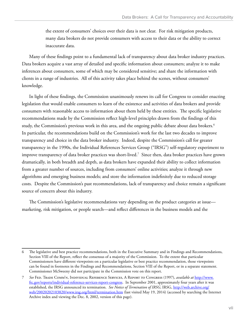the extent of consumers' choices over their data is not clear. For risk mitigation products, many data brokers do not provide consumers with access to their data or the ability to correct inaccurate data.

Many of these findings point to a fundamental lack of transparency about data broker industry practices. Data brokers acquire a vast array of detailed and specific information about consumers; analyze it to make inferences about consumers, some of which may be considered sensitive; and share the information with clients in a range of industries. All of this activity takes place behind the scenes, without consumers' knowledge.

In light of these findings, the Commission unanimously renews its call for Congress to consider enacting legislation that would enable consumers to learn of the existence and activities of data brokers and provide consumers with reasonable access to information about them held by these entities. The specific legislative recommendations made by the Commission reflect high-level principles drawn from the findings of this study, the Commission's previous work in this area, and the ongoing public debate about data brokers. $^6$ In particular, the recommendations build on the Commission's work for the last two decades to improve transparency and choice in the data broker industry. Indeed, despite the Commission's call for greater transparency in the 1990s, the Individual References Services Group ("IRSG") self-regulatory experiment to improve transparency of data broker practices was short-lived. $^7\,$  Since then, data broker practices have grown dramatically, in both breadth and depth, as data brokers have expanded their ability to collect information from a greater number of sources, including from consumers' online activities; analyze it through new algorithms and emerging business models; and store the information indefinitely due to reduced storage costs. Despite the Commission's past recommendations, lack of transparency and choice remain a significant source of concern about this industry.

The Commission's legislative recommendations vary depending on the product categories at issue marketing, risk mitigation, or people search—and reflect differences in the business models and the

<sup>6</sup> The legislative and best practice recommendations, both in the Executive Summary and in Findings and Recommendations, Section VIII of the Report, reflect the consensus of a majority of the Commission. To the extent that particular Commissioners have different viewpoints on a particular legislative or best practice recommendation, those viewpoints can be found in footnotes in the Findings and Recommendations, Section VIII of the Report, or in a separate statement. Commissioner McSweeny did not participate in the Commission vote on this report.

<sup>7</sup> *See* Fed. Trade Comm'n, Individual Reference Services, A Report to Congress (1997), *available at* [http://www.](http://www.ftc.gov/reports/individual-reference-services-report-congress) [ftc.gov/reports/individual-reference-services-report-congress](http://www.ftc.gov/reports/individual-reference-services-report-congress). In September 2001, approximately four years after it was established, the IRSG announced its termination. *See Notice of Termination of IRSG*, IRSG, [http://web.archive.org/](http://web.archive.org/web/20020202103820/www.irsg.org/html/termination.htm) [web/20020202103820/www.irsg.org/html/termination.htm](http://web.archive.org/web/20020202103820/www.irsg.org/html/termination.htm) (last visited May 19, 2014) (accessed by searching the Internet Archive index and viewing the Dec. 8, 2002, version of this page).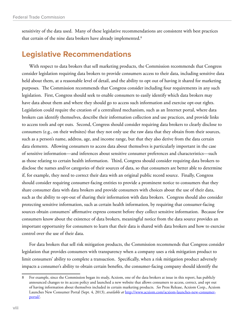sensitivity of the data used. Many of these legislative recommendations are consistent with best practices that certain of the nine data brokers have already implemented.<sup>8</sup>

### **Legislative Recommendations**

With respect to data brokers that sell marketing products, the Commission recommends that Congress consider legislation requiring data brokers to provide consumers access to their data, including sensitive data held about them, at a reasonable level of detail, and the ability to opt out of having it shared for marketing purposes. The Commission recommends that Congress consider including four requirements in any such legislation. First, Congress should seek to enable consumers to easily identify which data brokers may have data about them and where they should go to access such information and exercise opt-out rights. Legislation could require the creation of a centralized mechanism, such as an Internet portal, where data brokers can identify themselves, describe their information collection and use practices, and provide links to access tools and opt outs. Second, Congress should consider requiring data brokers to clearly disclose to consumers (e.g., on their websites) that they not only use the raw data that they obtain from their sources, such as a person's name, address, age, and income range, but that they also derive from the data certain data elements. Allowing consumers to access data about themselves is particularly important in the case of sensitive information—and inferences about sensitive consumer preferences and characteristics—such as those relating to certain health information. Third, Congress should consider requiring data brokers to disclose the names and/or categories of their sources of data, so that consumers are better able to determine if, for example, they need to correct their data with an original public record source. Finally, Congress should consider requiring consumer-facing entities to provide a prominent notice to consumers that they share consumer data with data brokers and provide consumers with choices about the use of their data, such as the ability to opt-out of sharing their information with data brokers. Congress should also consider protecting sensitive information, such as certain health information, by requiring that consumer-facing sources obtain consumers' affirmative express consent before they collect sensitive information. Because few consumers know about the existence of data brokers, meaningful notice from the data source provides an important opportunity for consumers to learn that their data is shared with data brokers and how to exercise control over the use of their data.

For data brokers that sell risk mitigation products, the Commission recommends that Congress consider legislation that provides consumers with transparency when a company uses a risk mitigation product to limit consumers' ability to complete a transaction. Specifically, when a risk mitigation product adversely impacts a consumer's ability to obtain certain benefits, the consumer-facing company should identify the

<sup>8</sup> For example, since the Commission began its study, Acxiom, one of the data brokers at issue in this report, has publicly announced changes to its access policy and launched a new website that allows consumers to access, correct, and opt out of having information about themselves included in certain marketing products. *See* Press Release, Acxiom Corp., Acxiom Launches New Consumer Portal (Sept. 4, 2013), *available at* http://www.acxiom.com/acxiom-launches-new-consumerportal/.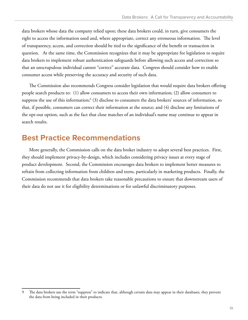data brokers whose data the company relied upon; these data brokers could, in turn, give consumers the right to access the information used and, where appropriate, correct any erroneous information. The level of transparency, access, and correction should be tied to the significance of the benefit or transaction in question. At the same time, the Commission recognizes that it may be appropriate for legislation to require data brokers to implement robust authentication safeguards before allowing such access and correction so that an unscrupulous individual cannot "correct" accurate data. Congress should consider how to enable consumer access while preserving the accuracy and security of such data.

The Commission also recommends Congress consider legislation that would require data brokers offering people search products to: (1) allow consumers to access their own information; (2) allow consumers to suppress the use of this information;9 (3) disclose to consumers the data brokers' sources of information, so that, if possible, consumers can correct their information at the source; and (4) disclose any limitations of the opt-out option, such as the fact that close matches of an individual's name may continue to appear in search results.

### **Best Practice Recommendations**

More generally, the Commission calls on the data broker industry to adopt several best practices. First, they should implement privacy-by-design, which includes considering privacy issues at every stage of product development. Second, the Commission encourages data brokers to implement better measures to refrain from collecting information from children and teens, particularly in marketing products. Finally, the Commission recommends that data brokers take reasonable precautions to ensure that downstream users of their data do not use it for eligibility determinations or for unlawful discriminatory purposes.

<sup>9</sup> The data brokers use the term "suppress" to indicate that, although certain data may appear in their databases, they prevent the data from being included in their products.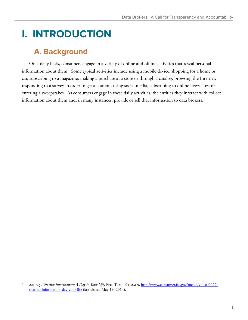## <span id="page-18-0"></span>**I. INTRODUCTION**

### **A. Background**

On a daily basis, consumers engage in a variety of online and offline activities that reveal personal information about them. Some typical activities include using a mobile device, shopping for a home or car, subscribing to a magazine, making a purchase at a store or through a catalog, browsing the Internet, responding to a survey in order to get a coupon, using social media, subscribing to online news sites, or entering a sweepstakes. As consumers engage in these daily activities, the entities they interact with collect information about them and, in many instances, provide or sell that information to data brokers.<sup>1</sup>

<sup>1</sup> See, e.g., Sharing Information: A Day in Your Life, FED. TRADE COMM'N, http://www.consumer.ftc.gov/media/video-0022sharing-information-day-your-life (last visited May 19, 2014).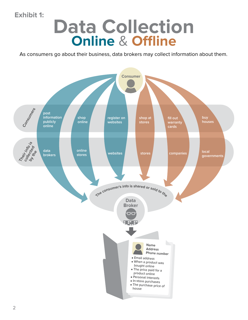### <span id="page-19-0"></span>**Exhibit 1:**

## **Data Collection Data Collection Online & Offline**

As consumers go about their business, data brokers may collect information about them.

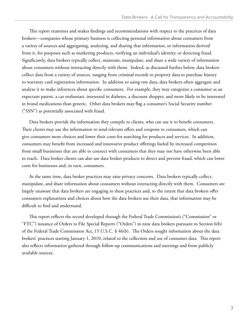This report examines and makes findings and recommendations with respect to the practices of data brokers—companies whose primary business is collecting personal information about consumers from a variety of sources and aggregating, analyzing, and sharing that information, or information derived from it, for purposes such as marketing products, verifying an individual's identity, or detecting fraud. Significantly, data brokers typically collect, maintain, manipulate, and share a wide variety of information about consumers without interacting directly with them. Indeed, as discussed further below, data brokers collect data from a variety of sources, ranging from criminal records to property data to purchase history to warranty card registration information. In addition to using raw data, data brokers often aggregate and analyze it to make inferences about specific consumers. For example, they may categorize a consumer as an expectant parent, a car enthusiast, interested in diabetes, a discount shopper, and more likely to be interested in brand medications than generic. Other data brokers may flag a consumer's Social Security number ("SSN") as potentially associated with fraud.

Data brokers provide the information they compile to clients, who can use it to benefit consumers. Their clients may use the information to send relevant offers and coupons to consumers, which can give consumers more choices and lower their costs for searching for products and services. In addition, consumers may benefit from increased and innovative product offerings fueled by increased competition from small businesses that are able to connect with consumers that they may not have otherwise been able to reach. Data broker clients can also use data broker products to detect and prevent fraud, which can lower costs for businesses and, in turn, consumers.

At the same time, data broker practices may raise privacy concerns. Data brokers typically collect, manipulate, and share information about consumers without interacting directly with them. Consumers are largely unaware that data brokers are engaging in these practices and, to the extent that data brokers offer consumers explanations and choices about how the data brokers use their data, that information may be difficult to find and understand.

This report reflects the record developed through the Federal Trade Commission's ("Commission" or "FTC") issuance of Orders to File Special Reports ("Orders") to nine data brokers pursuant to Section 6(b) of the Federal Trade Commission Act, 15 U.S.C. § 46(b). The Orders sought information about the data brokers' practices starting January 1, 2010, related to the collection and use of consumer data. This report also reflects information gathered through follow-up communications and meetings and from publicly available sources.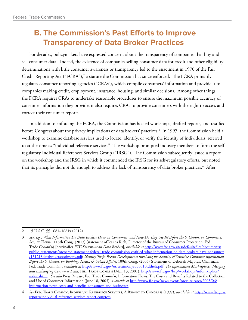### <span id="page-21-0"></span>**B. The Commission's Past Efforts to Improve Transparency of Data Broker Practices**

For decades, policymakers have expressed concerns about the transparency of companies that buy and sell consumer data. Indeed, the existence of companies selling consumer data for credit and other eligibility determinations with little consumer awareness or transparency led to the enactment in 1970 of the Fair Credit Reporting Act ("FCRA"),<sup>2</sup> a statute the Commission has since enforced. The FCRA primarily regulates consumer reporting agencies ("CRAs"), which compile consumers' information and provide it to companies making credit, employment, insurance, housing, and similar decisions. Among other things, the FCRA requires CRAs to undertake reasonable procedures to ensure the maximum possible accuracy of consumer information they provide; it also requires CRAs to provide consumers with the right to access and correct their consumer reports.

In addition to enforcing the FCRA, the Commission has hosted workshops, drafted reports, and testified before Congress about the privacy implications of data brokers' practices.<sup>3</sup> In 1997, the Commission held a workshop to examine database services used to locate, identify, or verify the identity of individuals, referred to at the time as "individual reference services." The workshop prompted industry members to form the selfregulatory Individual References Services Group ("IRSG"). The Commission subsequently issued a report on the workshop and the IRSG in which it commended the IRSG for its self-regulatory efforts, but noted that its principles did not do enough to address the lack of transparency of data broker practices. $^4\,$  After

<sup>2</sup> 15 U.S.C. §§ 1681–1681x (2012).

<sup>3</sup> *See, e.g.*, *What Information Do Data Brokers Have on Consumers, and How Do They Use It? Before the S. Comm. on Commerce, Sci., & Transp.*, 113th Cong. (2013) (statement of Jessica Rich, Director of the Bureau of Consumer Protection, Fed. Trade Comm'n) [hereinafter *FTC Statement on Data Brokers*], *available at* [http://www.ftc.gov/sites/default/files/documents/](http://www.ftc.gov/sites/default/files/documents/public_statements/prepared-statement-federal-trade-commission-entitled-what-information-do-data-brokers-have-consumers/131218databrokerstestimony.pdf) [public\\_statements/prepared-statement-federal-trade-commission-entitled-what-information-do-data-brokers-have-consumers](http://www.ftc.gov/sites/default/files/documents/public_statements/prepared-statement-federal-trade-commission-entitled-what-information-do-data-brokers-have-consumers/131218databrokerstestimony.pdf) [/131218databrokerstestimony.pdf;](http://www.ftc.gov/sites/default/files/documents/public_statements/prepared-statement-federal-trade-commission-entitled-what-information-do-data-brokers-have-consumers/131218databrokerstestimony.pdf) *Identity Theft: Recent Developments Involving the Security of Sensitive Consumer Information Before the S. Comm. on Banking, Hous., & Urban Affairs*, 109th Cong. (2005) (statement of Deborah Majoras, Chairman, Fed. Trade Comm'n), *available at* http://www.ftc.gov/os/testimony/050310idtheft.pdf; *The Information Marketplace: Merging*  and Exchanging Consumer Data, FED. TRADE COMM'N (Mar. 13, 2001), [http://www.ftc.gov/bcp/workshops/infomktplace/](http://www.ftc.gov/bcp/workshops/infomktplace/index.shtml) [index.shtml](http://www.ftc.gov/bcp/workshops/infomktplace/index.shtml). *See also* Press Release, Fed. Trade Comm'n, Information Flows: The Costs and Benefits Related to the Collection and Use of Consumer Information (June 18, 2003), *available at* [http://www.ftc.gov/news-events/press-releases/2003/06/](http://www.ftc.gov/news-events/press-releases/2003/06/information-flows-costs-and-benefits-consumers-and-businesses) [information-flows-costs-and-benefits-consumers-and-businesses](http://www.ftc.gov/news-events/press-releases/2003/06/information-flows-costs-and-benefits-consumers-and-businesses).

<sup>4</sup> *See* Fed. Trade Comm'n, Individual Reference Services, A Report to Congress (1997), *available at* [http://www.ftc.gov/](http://www.ftc.gov/reports/individual-reference-services-report-congress) [reports/individual-reference-services-report-congress.](http://www.ftc.gov/reports/individual-reference-services-report-congress)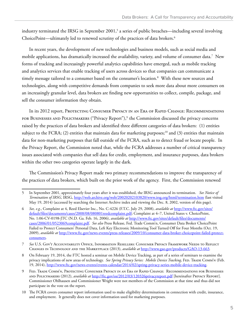industry terminated the IRSG in September 2001,<sup>5</sup> a series of public breaches—including several involving ChoicePoint—ultimately led to renewed scrutiny of the practices of data brokers.6

In recent years, the development of new technologies and business models, such as social media and mobile applications, has dramatically increased the availability, variety, and volume of consumer data.7 New forms of tracking and increasingly powerful analytics capabilities have emerged, such as mobile tracking and analytics services that enable tracking of users across devices so that companies can communicate a timely message tailored to a consumer based on the consumer's location.8 With these new sources and technologies, along with competitive demands from companies to seek more data about more consumers on an increasingly granular level, data brokers are finding new opportunities to collect, compile, package, and sell the consumer information they obtain.

In its 2012 report, Protecting Consumer Privacy in an Era of Rapid Change: Recommendations FOR BUSINESSES AND POLICYMAKERS ("Privacy Report"),<sup>9</sup> the Commission discussed the privacy concerns raised by the practices of data brokers and identified three different categories of data brokers: (1) entities subject to the FCRA; (2) entities that maintain data for marketing purposes;<sup>10</sup> and (3) entities that maintain data for non-marketing purposes that fall outside of the FCRA, such as to detect fraud or locate people. In the Privacy Report, the Commission noted that, while the FCRA addresses a number of critical transparency issues associated with companies that sell data for credit, employment, and insurance purposes, data brokers within the other two categories operate largely in the dark.

The Commission's Privacy Report made two primary recommendations to improve the transparency of the practices of data brokers, which built on the prior work of the agency. First, the Commission renewed

<sup>5</sup> In September 2001, approximately four years after it was established, the IRSG announced its termination. *See Notice of Termination of IRSG*, IRSG, <http://web.archive.org/web/20020202103820/www.irsg.org/html/termination.htm>(last visited May 19, 2014) (accessed by searching the Internet Archive index and viewing the Dec. 8, 2002, version of this page).

<sup>6</sup> *See, e.g*., Complaint at 4, Reed Elsevier Inc., No. C-4226 (F.T.C. July 29, 2008), *available at* [http://www.ftc.gov/sites/](http://www.ftc.gov/sites/default/files/documents/cases/2008/08/080801reedcomplaint.pdf) [default/files/documents/cases/2008/08/080801reedcomplaint.pdf](http://www.ftc.gov/sites/default/files/documents/cases/2008/08/080801reedcomplaint.pdf); Complaint at 4–7, United States v. ChoicePoint, No. 1:06-CV-0198-JTC (N.D. Ga. Feb. 16, 2006), *available at* [http://www.ftc.gov/sites/default/files/documents/](http://www.ftc.gov/sites/default/files/documents/cases/2006/01/0523069complaint.pdf) [cases/2006/01/0523069complaint.pdf.](http://www.ftc.gov/sites/default/files/documents/cases/2006/01/0523069complaint.pdf) *See also* Press Release, Fed. Trade Comm'n, Consumer Data Broker ChoicePoint Failed to Protect Consumers' Personal Data, Left Key Electronic Monitoring Tool Turned Off for Four Months (Oct. 19, 2009), *available at* [http://www.ftc.gov/news-events/press-releases/2009/10/consumer-data-broker-choicepoint-failed-protect](http://www.ftc.gov/news-events/press-releases/2009/10/consumer-data-broker-choicepoint-failed-protect-consumers)[consumers.](http://www.ftc.gov/news-events/press-releases/2009/10/consumer-data-broker-choicepoint-failed-protect-consumers)

<sup>7</sup> *See* U.S. Gov't Accountability Office, Information Resellers: Consumer Privacy Framework Needs to Reflect Changes in Technology and the Marketplace (2013), *available at* <http://www.gao.gov/products/GAO-13-663>*.*

<sup>8</sup> On February 19, 2014, the FTC hosted a seminar on Mobile Device Tracking, as part of a series of seminars to examine the privacy implications of new areas of technology. See Spring Privacy Series: Mobile Device Tracking, FED. TRADE COMM'N (Feb. 19, 2014), [http://www.ftc.gov/news-events/events-calendar/2014/02/spring-privacy-series-mobile-device-tracking.](http://www.ftc.gov/news-events/events-calendar/2014/02/spring-privacy-series-mobile-device-tracking)

<sup>9</sup> Fed. Trade Comm'n, Protecting Consumer Privacy in an Era of Rapid Change: Recommendations for Businesses and Policymakers (2012), *available at* <http://ftc.gov/os/2012/03/120326privacyreport.pdf> [hereinafter Privacy Report]. Commissioner Ohlhausen and Commissioner Wright were not members of the Commission at that time and thus did not participate in the vote on the report.

<sup>10</sup> The FCRA covers consumer report information used to make eligibility determinations in connection with credit, insurance, and employment. It generally does not cover information used for marketing purposes.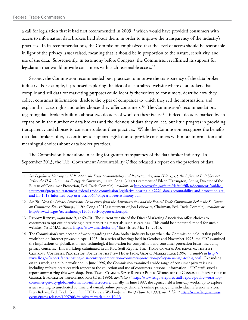a call for legislation that it had first recommended in 2009,<sup>11</sup> which would have provided consumers with access to information data brokers held about them, in order to improve the transparency of the industry's practices. In its recommendations, the Commission emphasized that the level of access should be reasonable in light of the privacy issues raised, meaning that it should be in proportion to the nature, sensitivity, and use of the data. Subsequently, in testimony before Congress, the Commission reaffirmed its support for legislation that would provide consumers with such reasonable access.<sup>12</sup>

Second, the Commission recommended best practices to improve the transparency of the data broker industry. For example, it proposed exploring the idea of a centralized website where data brokers that compile and sell data for marketing purposes could identify themselves to consumers, describe how they collect consumer information, disclose the types of companies to which they sell the information, and explain the access rights and other choices they offer consumers.<sup>13</sup> The Commission's recommendations regarding data brokers built on almost two decades of work on these issues<sup>14</sup>—indeed, decades marked by an expansion in the number of data brokers and the richness of data they collect, but little progress in providing transparency and choices to consumers about their practices. While the Commission recognizes the benefits that data brokers offer, it continues to support legislation to provide consumers with more information and meaningful choices about data broker practices.

The Commission is not alone in calling for greater transparency of the data broker industry. In September 2013, the U.S. Government Accountability Office released a report on the practices of data

<sup>11</sup> *See Legislative Hearing on H.R. 2221, the Data Accountability and Protection Act, and H.R. 1319, the Informed P2P User Act Before the H.R. Comm. on Energy & Commerce*, 111th Cong. (2009) (statement of Eileen Harrington, Acting Director of the Bureau of Consumer Protection, Fed. Trade Comm'n), *available at* [http://www.ftc.gov/sites/default/files/documents/public\\_](http://www.ftc.gov/sites/default/files/documents/public_statements/prepared-statement-federal-trade-commission-legislative-hearing-h.r.2221-data-accountability-and-protection-act-and-h.r.1319-informed-p2p-user-act/p064504peertopeertestimony.pdf) [statements/prepared-statement-federal-trade-commission-legislative-hearing-h.r.2221-data-accountability-and-protection-act](http://www.ftc.gov/sites/default/files/documents/public_statements/prepared-statement-federal-trade-commission-legislative-hearing-h.r.2221-data-accountability-and-protection-act-and-h.r.1319-informed-p2p-user-act/p064504peertopeertestimony.pdf)[and-h.r.1319-informed-p2p-user-act/p064504peertopeertestimony.pdf.](http://www.ftc.gov/sites/default/files/documents/public_statements/prepared-statement-federal-trade-commission-legislative-hearing-h.r.2221-data-accountability-and-protection-act-and-h.r.1319-informed-p2p-user-act/p064504peertopeertestimony.pdf)

<sup>12</sup> *See The Need for Privacy Protections: Perspectives from the Administration and the Federal Trade Commission Before the S. Comm. on Commerce, Sci., & Transp.*, 112th Cong. (2012) (statement of Jon Leibowitz, Chairman, Fed. Trade Comm'n), *available at*  <http://www.ftc.gov/os/testimony/120509privacyprotections.pdf>.

<sup>13</sup> Privacy Report, *supra* note 9, at 69–70. The current website of the Direct Marketing Association offers choices to consumers to opt out of receiving direct marketing materials, such as catalogs. This could be a potential model for such a website. *See* DMACHOICE, <https://www.dmachoice.org/> (last visited May 19, 2014).

<sup>14</sup> The Commission's two decades of work regarding the data broker industry began when the Commission held its first public workshop on Internet privacy in April 1995. In a series of hearings held in October and November 1995, the FTC examined the implications of globalization and technological innovation for competition and consumer protection issues, including privacy concerns. This workshop culminated in an FTC Staff Report. FED. TRADE COMM'N, ANTICIPATING THE 21ST Century: Consumer Protection Policy in the New High-Tech, Global Marketplace (1996), *available at* [http://](http://www.ftc.gov/reports/anticipating-21st-century-competition-consumer-protection-policy-new-high-tech-global) [www.ftc.gov/reports/anticipating-21st-century-competition-consumer-protection-policy-new-high-tech-global](http://www.ftc.gov/reports/anticipating-21st-century-competition-consumer-protection-policy-new-high-tech-global). Expanding on this work, at a public workshop in June 1996, the Commission examined a wide range of consumer privacy issues, including website practices with respect to the collection and use of consumers' personal information. FTC staff issued a report summarizing this workshop. FED. TRADE COMM'N, STAFF REPORT: PUBLIC WORKSHOP ON CONSUMER PRIVACY ON THE Global Information Infrastructure (Dec. 1996), *available at* [http://www.ftc.gov/reports/staff-report-public-workshop](http://www.ftc.gov/reports/staff-report-public-workshop-consumer-privacy-global-information-infrastructure)[consumer-privacy-global-information-infrastructure](http://www.ftc.gov/reports/staff-report-public-workshop-consumer-privacy-global-information-infrastructure). Finally, in June 1997, the agency held a four-day workshop to explore issues relating to unsolicited commercial e-mail, online privacy, children's online privacy, and individual reference services. Press Release, Fed. Trade Comm'n, FTC Privacy Week—June 10–13 (June 4, 1997), *available at* [http://www.ftc.gov/news](http://www.ftc.gov/news-events/press-releases/1997/06/ftc-privacy-week-june-10-13)[events/press-releases/1997/06/ftc-privacy-week-june-10-13.](http://www.ftc.gov/news-events/press-releases/1997/06/ftc-privacy-week-june-10-13)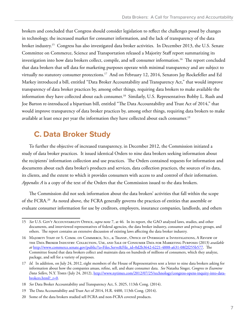<span id="page-24-0"></span>brokers and concluded that Congress should consider legislation to reflect the challenges posed by changes in technology, the increased market for consumer information, and the lack of transparency of the data broker industry.15 Congress has also investigated data broker activities. In December 2013, the U.S. Senate Committee on Commerce, Science and Transportation released a Majority Staff report summarizing its investigation into how data brokers collect, compile, and sell consumer information.16 The report concluded that data brokers that sell data for marketing purposes operate with minimal transparency and are subject to virtually no statutory consumer protections.<sup>17</sup> And on February 12, 2014, Senators Jay Rockefeller and Ed Markey introduced a bill, entitled "Data Broker Accountability and Transparency Act," that would improve transparency of data broker practices by, among other things, requiring data brokers to make available the information they have collected about each consumer.<sup>18</sup> Similarly, U.S. Representatives Bobby L. Rush and Joe Barton re-introduced a bipartisan bill, entitled "The Data Accountability and Trust Act of 2014," that would improve transparency of data broker practices by, among other things, requiring data brokers to make available at least once per year the information they have collected about each consumer.<sup>19</sup>

### **C. Data Broker Study**

To further the objective of increased transparency, in December 2012, the Commission initiated a study of data broker practices. It issued identical Orders to nine data brokers seeking information about the recipients' information collection and use practices. The Orders contained requests for information and documents about each data broker's products and services, data collection practices, the sources of its data, its clients, and the extent to which it provides consumers with access to and control of their information. *Appendix A* is a copy of the text of the Orders that the Commission issued to the data brokers.

The Commission did not seek information about the data brokers' activities that fall within the scope of the FCRA.20 As noted above, the FCRA generally governs the practices of entities that assemble or evaluate consumer information for use by creditors, employers, insurance companies, landlords, and others

<sup>15</sup> *See* U.S. Gov't Accountability Office, *supra* note 7, at 46*.* In its report, the GAO analyzed laws, studies, and other documents, and interviewed representatives of federal agencies, the data broker industry, consumer and privacy groups, and others. The report contains an extensive discussion of existing laws affecting the data broker industry.

<sup>16</sup> Majority Staff of S. Comm. on Commerce, Sci., & Transp., Office of Oversight & Investigations, A Review of the Data Broker Industry: Collection, Use, and Sale of Consumer Data for Marketing Purposes (2013) *available at* [http://www.commerce.senate.gov/public/?a=Files.Serve&File\\_id=0d2b3642-6221-4888-a631-08f2f255b577](http://www.commerce.senate.gov/public/?a=Files.Serve&File_id=0d2b3642-6221-4888-a631-08f2f255b577). The Committee found that data brokers collect and maintain data on hundreds of millions of consumers, which they analyze, package, and sell for a variety of purposes.

<sup>17</sup> *Id.* In addition, on July 24, 2012, eight members of the House of Representatives sent a letter to nine data brokers asking for information about how the companies amass, refine, sell, and share consumer data. *See* Natasha Singer, *Congress to Examine Data Sellers*, N.Y. Times (July 24, 2012), [http://www.nytimes.com/2012/07/25/technology/congress-opens-inquiry-into-data](http://www.nytimes.com/2012/07/25/technology/congress-opens-inquiry-into-data-brokers.html?_r=0)brokers.html?  $r=0$ .

<sup>18</sup> *See* Data Broker Accountability and Transparency Act, S. 2025, 113th Cong. (2014).

<sup>19</sup> The Data Accountability and Trust Act of 2014, H.R. 4400, 113th Cong. (2014).

<sup>20</sup> Some of the data brokers studied sell FCRA and non-FCRA covered products.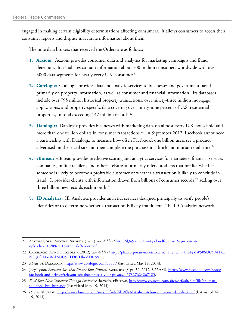engaged in making certain eligibility determinations affecting consumers. It allows consumers to access their consumer reports and dispute inaccurate information about them.

The nine data brokers that received the Orders are as follows:

- **1. Acxiom:** Acxiom provides consumer data and analytics for marketing campaigns and fraud detection. Its databases contain information about 700 million consumers worldwide with over 3000 data segments for nearly every U.S. consumer.21
- **2. Corelogic:** Corelogic provides data and analytic services to businesses and government based primarily on property information, as well as consumer and financial information. Its databases include over 795 million historical property transactions, over ninety-three million mortgage applications, and property-specific data covering over ninety-nine percent of U.S. residential properties, in total exceeding 147 million records.<sup>22</sup>
- **3. Datalogix:** Datalogix provides businesses with marketing data on almost every U.S. household and more than one trillion dollars in consumer transactions.<sup>23</sup> In September 2012, Facebook announced a partnership with Datalogix to measure how often Facebook's one billion users see a product advertised on the social site and then complete the purchase in a brick and mortar retail store.<sup>24</sup>
- **4. eBureau:** eBureau provides predictive scoring and analytics services for marketers, financial services companies, online retailers, and others. eBureau primarily offers products that predict whether someone is likely to become a profitable customer or whether a transaction is likely to conclude in fraud. It provides clients with information drawn from billions of consumer records,<sup>25</sup> adding over three billion new records each month.<sup>26</sup>
- **5. ID Analytics:** ID Analytics provides analytics services designed principally to verify people's identities or to determine whether a transaction is likely fraudulent. The ID Analytics network

<sup>21</sup> Acxiom Corp., Annual Report 8 (2013), *available at* [http://d3u9yejw7h244g.cloudfront.net/wp-content/](http://d3u9yejw7h244g.cloudfront.net/wp-content/uploads/2013/09/2013-Annual-Report.pdf) [uploads/2013/09/2013-Annual-Report.pdf.](http://d3u9yejw7h244g.cloudfront.net/wp-content/uploads/2013/09/2013-Annual-Report.pdf)

<sup>22</sup> Corelogic, Annual Report 7 (2012), *available at* [http://phx.corporate-ir.net/External.File?item=UGFyZW50SUQ9MTkw](http://phx.corporate-ir.net/External.File?item=UGFyZW50SUQ9MTkwNDg0fENoaWxkSUQ9LTF8VHlwZT0z&t=1) [NDg0fENoaWxkSUQ9LTF8VHlwZT0z&t=1.](http://phx.corporate-ir.net/External.File?item=UGFyZW50SUQ9MTkwNDg0fENoaWxkSUQ9LTF8VHlwZT0z&t=1)

<sup>23</sup> *About Us*, DATALOGIX, <http://www.datalogix.com/about/> (last visited May 19, 2014).

<sup>24</sup> Joey Tyson, *Relevant Ads That Protect Your Privacy*, Facebook (Sept. 30, 2012, 8:55AM), [https://www.facebook.com/notes/](https://www.facebook.com/notes/facebook-and-privacy/relevant-ads-that-protect-your-privacy/457827624267125) [facebook-and-privacy/relevant-ads-that-protect-your-privacy/457827624267125.](https://www.facebook.com/notes/facebook-and-privacy/relevant-ads-that-protect-your-privacy/457827624267125)

<sup>25</sup> *Find Your Next Customer Through Predictive Analytics*, eBureau, [http://www.ebureau.com/sites/default/files/file/ebureau\\_](http://www.ebureau.com/sites/default/files/file/ebureau_solutions_brochure.pdf) [solutions\\_brochure.pdf](http://www.ebureau.com/sites/default/files/file/ebureau_solutions_brochure.pdf) (last visited May 19, 2014).

<sup>26</sup> *eScores*, eBureau, [http://www.ebureau.com/sites/default/files/file/datasheets/ebureau\\_escore\\_datasheet.pdf](http://www.ebureau.com/sites/default/files/file/datasheets/ebureau_escore_datasheet.pdf) (last visited May 19, 2014).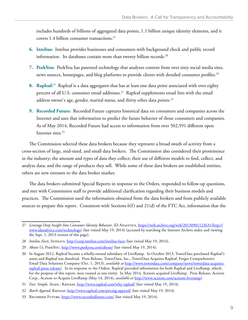includes hundreds of billions of aggregated data points, 1.1 billion unique identity elements, and it covers 1.4 billion consumer transactions.<sup>27</sup>

- **6. Intelius:** Intelius provides businesses and consumers with background check and public record information. Its databases contain more than twenty billion records.<sup>28</sup>
- **7. PeekYou:** PeekYou has patented technology that analyzes content from over sixty social media sites, news sources, homepages, and blog platforms to provide clients with detailed consumer profiles.<sup>29</sup>
- **8. Rapleaf:**30 Rapleaf is a data aggregator that has at least one data point associated with over eighty percent of all U.S. consumer email addresses.<sup>31</sup> Rapleaf supplements email lists with the email address owner's age, gender, marital status, and thirty other data points.<sup>32</sup>
- **9. Recorded Future:** Recorded Future captures historical data on consumers and companies across the Internet and uses that information to predict the future behavior of those consumers and companies. As of May 2014, Recorded Future had access to information from over 502,591 different open Internet sites.<sup>33</sup>

The Commission selected these data brokers because they represent a broad swath of activity from a cross-section of large, mid-sized, and small data brokers. The Commission also considered their prominence in the industry; the amount and types of data they collect; their use of different models to find, collect, and analyze data; and the range of products they sell. While some of these data brokers are established entities, others are new entrants to the data broker market.

The data brokers submitted Special Reports in response to the Orders, responded to follow-up questions, and met with Commission staff to provide additional clarification regarding their business models and practices. The Commission used the information obtained from the data brokers and from publicly available sources to prepare this report. Consistent with Sections  $6(f)$  and  $21(d)$  of the FTC Act, information that the

29 *About Us*, PeekYou, <http://www.peekyou.com/about/>(last visited May 19, 2014).

<sup>27</sup> *Leverage Deep Insight Into Consumer Identity Behavior*, ID Analytics, [https://web.archive.org/web/20130901122631/http://](https://web.archive.org/web/20130901122631/http://www.idanalytics.com/technology/) [www.idanalytics.com/technology/](https://web.archive.org/web/20130901122631/http://www.idanalytics.com/technology/) (last visited May 19, 2014) (accessed by searching the Internet Archive index and viewing the Sept. 1, 2013 version of this page).

<sup>28</sup> *Intelius Facts*, INTELIUS, *<http://corp.intelius.com/intelius-facts>* (last visited May 19, 2014).

<sup>30</sup> In August 2012, Rapleaf became a wholly-owned subsidiary of LiveRamp. In October 2013, TowerData purchased Rapleaf's assets and Rapleaf was dissolved. Press Release, TowerData, Inc., TowerData Acquires Rapleaf, Forges Comprehensive Email Data Solutions Company (Oct. 1, 2013), *available at* [http://www.towerdata.com/company/news/towerdata-acquires](http://www.towerdata.com/company/news/towerdata-acquires-rapleaf-press-release/)[rapleaf-press-release/](http://www.towerdata.com/company/news/towerdata-acquires-rapleaf-press-release/). In its response to the Orders, Rapleaf provided information for both Rapleaf and LiveRamp, which, for the purpose of this report, were treated as one entity. In May 2014, Acxiom acquired LiveRamp. Press Release, Acxiom Corp., Acxiom to Acquire LiveRamp (May 14, 2014), *available at* [http://www.acxiom.com/acxiom-liveramp/.](http://www.acxiom.com/acxiom-liveramp/)

<sup>31</sup> *Fast. Simple. Secure.*, RAPLEAF,<http://www.rapleaf.com/why-rapleaf/>(last visited May 19, 2014).

<sup>32</sup> *Batch Append*, Rapleaf,<http://www.rapleaf.com/pricing-append/>(last visited May 19, 2014).

<sup>33</sup> RECORDED FUTURE, <https://www.recordedfuture.com/> (last visited May 19, 2014).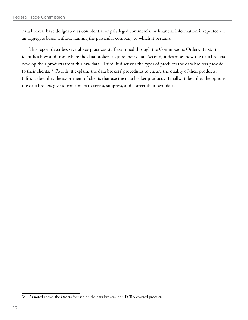data brokers have designated as confidential or privileged commercial or financial information is reported on an aggregate basis, without naming the particular company to which it pertains.

This report describes several key practices staff examined through the Commission's Orders. First, it identifies how and from where the data brokers acquire their data. Second, it describes how the data brokers develop their products from this raw data. Third, it discusses the types of products the data brokers provide to their clients.34 Fourth, it explains the data brokers' procedures to ensure the quality of their products. Fifth, it describes the assortment of clients that use the data broker products. Finally, it describes the options the data brokers give to consumers to access, suppress, and correct their own data.

<sup>34</sup> As noted above, the Orders focused on the data brokers' non-FCRA covered products.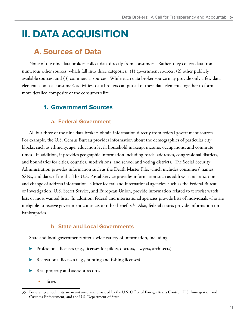## <span id="page-28-0"></span>**II. DATA ACQUISITION**

### **A. Sources of Data**

None of the nine data brokers collect data directly from consumers. Rather, they collect data from numerous other sources, which fall into three categories: (1) government sources; (2) other publicly available sources; and (3) commercial sources. While each data broker source may provide only a few data elements about a consumer's activities, data brokers can put all of these data elements together to form a more detailed composite of the consumer's life.

### **1. Government Sources**

### **a. Federal Government**

All but three of the nine data brokers obtain information directly from federal government sources. For example, the U.S. Census Bureau provides information about the demographics of particular city blocks, such as ethnicity, age, education level, household makeup, income, occupations, and commute times. In addition, it provides geographic information including roads, addresses, congressional districts, and boundaries for cities, counties, subdivisions, and school and voting districts. The Social Security Administration provides information such as the Death Master File, which includes consumers' names, SSNs, and dates of death. The U.S. Postal Service provides information such as address standardization and change of address information. Other federal and international agencies, such as the Federal Bureau of Investigation, U.S. Secret Service, and European Union, provide information related to terrorist watch lists or most wanted lists. In addition, federal and international agencies provide lists of individuals who are ineligible to receive government contracts or other benefits.<sup>35</sup> Also, federal courts provide information on bankruptcies.

### **b. State and Local Governments**

State and local governments offer a wide variety of information, including:

- **⊲** Professional licenses (e.g., licenses for pilots, doctors, lawyers, architects)
- **⊲** Recreational licenses (e.g., hunting and fishing licenses)
- **⊲** Real property and assessor records
	- **Taxes**

<sup>35</sup> For example, such lists are maintained and provided by the U.S. Office of Foreign Assets Control, U.S. Immigration and Customs Enforcement, and the U.S. Department of State.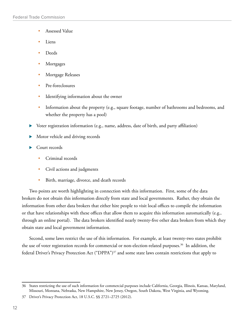- Assessed Value
- Liens
- Deeds
- **Mortgages**
- Mortgage Releases
- Pre-foreclosures
- Identifying information about the owner
- Information about the property (e.g., square footage, number of bathrooms and bedrooms, and whether the property has a pool)
- **⊲** Voter registration information (e.g., name, address, date of birth, and party affiliation)
- **⊲** Motor vehicle and driving records
- **⊲** Court records
	- Criminal records
	- Civil actions and judgments
	- Birth, marriage, divorce, and death records

Two points are worth highlighting in connection with this information. First, some of the data brokers do not obtain this information directly from state and local governments. Rather, they obtain the information from other data brokers that either hire people to visit local offices to compile the information or that have relationships with these offices that allow them to acquire this information automatically (e.g., through an online portal). The data brokers identified nearly twenty-five other data brokers from which they obtain state and local government information.

Second, some laws restrict the use of this information. For example, at least twenty-two states prohibit the use of voter registration records for commercial or non-election-related purposes.<sup>36</sup> In addition, the federal Driver's Privacy Protection Act ("DPPA")<sup>37</sup> and some state laws contain restrictions that apply to

<sup>36</sup> States restricting the use of such information for commercial purposes include California, Georgia, Illinois, Kansas, Maryland, Missouri, Montana, Nebraska, New Hampshire, New Jersey, Oregon, South Dakota, West Virginia, and Wyoming.

<sup>37</sup> Driver's Privacy Protection Act, 18 U.S.C. §§ 2721–2725 (2012).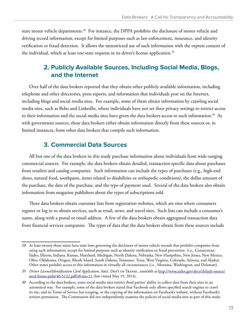<span id="page-30-0"></span>state motor vehicle departments.38 For instance, the DPPA prohibits the disclosure of motor vehicle and driving record information, except for limited purposes such as law enforcement, insurance, and identity verification or fraud detection. It allows the unrestricted use of such information with the express consent of the individual, which at least one state requests in its driver's license application.<sup>39</sup>

### **2. Publicly Available Sources, Including Social Media, Blogs, and the Internet**

Over half of the data brokers reported that they obtain other publicly available information, including telephone and other directories, press reports, and information that individuals post on the Internet, including blogs and social media sites. For example, some of them obtain information by crawling social media sites, such as Bebo and LinkedIn, where individuals have not set their privacy settings to restrict access to their information and the social media sites have given the data brokers access to such information.<sup>40</sup> As with government sources, these data brokers either obtain information directly from these sources or, in limited instances, from other data brokers that compile such information.

### **3. Commercial Data Sources**

All but one of the data brokers in this study purchase information about individuals from wide-ranging commercial sources. For example, the data brokers obtain detailed, transaction-specific data about purchases from retailers and catalog companies. Such information can include the types of purchases (e.g., high-end shoes, natural food, toothpaste, items related to disabilities or orthopedic conditions), the dollar amount of the purchase, the date of the purchase, and the type of payment used. Several of the data brokers also obtain information from magazine publishers about the types of subscriptions sold.

Three data brokers obtain customer lists from registration websites, which are sites where consumers register or log in to obtain services, such as retail, news, and travel sites. Such lists can include a consumer's name, along with a postal or email address. A few of the data brokers obtain aggregated transaction data from financial services companies. The types of data that the data brokers obtain from these sources include

<sup>38</sup> At least twenty-three states have state laws governing the disclosure of motor vehicle records that prohibit companies from using such information, except for limited purposes such as identity verification or fraud prevention (i.e., Connecticut, Idaho, Illinois, Indiana, Kansas, Maryland, Michigan, North Dakota, Nebraska, New Hampshire, New Jersey, New Mexico, Ohio, Oklahoma, Oregon, Rhode Island, South Dakota, Tennessee, Texas, West Virginia, Colorado, Arizona, and Alaska). Other states prohibit access to this information in virtually all circumstances (i.e., Montana, Washington, and Delaware).

<sup>39</sup> *Driver License/Identification Card Application*, Ariz. Dep't of Transp., *available at* [http://www.azdot.gov/docs/default-source/](http://www.azdot.gov/docs/default-source/mvd-forms-pubs/40-5122.pdf?sfvrsn=11) [mvd-forms-pubs/40-5122.pdf?sfvrsn=11](http://www.azdot.gov/docs/default-source/mvd-forms-pubs/40-5122.pdf?sfvrsn=11) (last visited May 19, 2014).

<sup>40</sup> According to the data brokers, some social media sites restrict third parties' ability to collect data from their sites in an automated way. For example, some of the data brokers stated that Facebook only allows specified search engines to crawl its site, and its Terms of Service bar scraping, or the copying of the information on Facebook's website, without Facebook's written permission. The Commission did not independently examine the policies of social media sites as part of this study.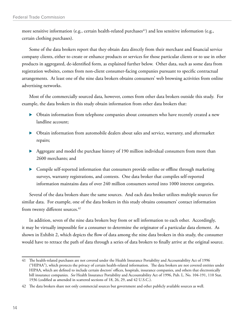more sensitive information (e.g., certain health-related purchases<sup>41</sup>) and less sensitive information (e.g., certain clothing purchases).

Some of the data brokers report that they obtain data directly from their merchant and financial service company clients, either to create or enhance products or services for those particular clients or to use in other products in aggregated, de-identified form, as explained further below. Other data, such as some data from registration websites, comes from non-client consumer-facing companies pursuant to specific contractual arrangements. At least one of the nine data brokers obtains consumers' web browsing activities from online advertising networks.

Most of the commercially sourced data, however, comes from other data brokers outside this study. For example, the data brokers in this study obtain information from other data brokers that:

- **⊲** Obtain information from telephone companies about consumers who have recently created a new landline account;
- **⊲** Obtain information from automobile dealers about sales and service, warranty, and aftermarket repairs;
- **⊲** Aggregate and model the purchase history of 190 million individual consumers from more than 2600 merchants; and
- **⊲** Compile self-reported information that consumers provide online or offline through marketing surveys, warranty registrations, and contests. One data broker that compiles self-reported information maintains data of over 240 million consumers sorted into 1000 interest categories.

Several of the data brokers share the same sources. And each data broker utilizes multiple sources for similar data. For example, one of the data brokers in this study obtains consumers' contact information from twenty different sources.<sup>42</sup>

In addition, seven of the nine data brokers buy from or sell information to each other. Accordingly, it may be virtually impossible for a consumer to determine the originator of a particular data element. As shown in Exhibit 2, which depicts the flow of data among the nine data brokers in this study, the consumer would have to retrace the path of data through a series of data brokers to finally arrive at the original source.

<sup>41</sup> The health-related purchases are not covered under the Health Insurance Portability and Accountability Act of 1996 ("HIPAA"), which protects the privacy of certain health-related information. The data brokers are not covered entities under HIPAA, which are defined to include certain doctors' offices, hospitals, insurance companies, and others that electronically bill insurance companies. *See* Health Insurance Portability and Accountability Act of 1996, Pub. L. No. 104-191, 110 Stat. 1936 (codified as amended in scattered sections of 18, 26, 29, and 42 U.S.C.).

<sup>42</sup> The data brokers share not only commercial sources but government and other publicly available sources as well.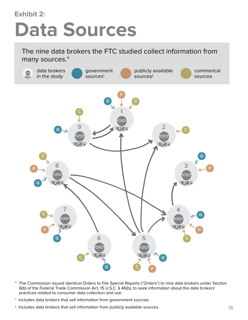### <span id="page-32-0"></span>**Exhibit 2:**

# Data Sources

The nine data brokers the FTC studied collect information from many sources.\*



- \* The Commission issued identical Orders to File Special Reports ("Orders") to nine data brokers under Section 6(b) of the Federal Trade Commission Act, 15 U.S.C. § 46(b), to seek information about the data brokers' practices related to consumer data collection and use.
- † Includes data brokers that sell information from government sources.
- ‡ Includes data brokers that sell information from publicly available sources.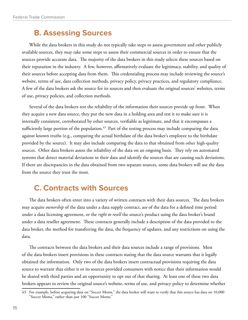### <span id="page-33-0"></span>**B. Assessing Sources**

While the data brokers in this study do not typically take steps to assess government and other publicly available sources, they may take some steps to assess their commercial sources in order to ensure that the sources provide accurate data. The majority of the data brokers in this study selects these sources based on their reputation in the industry. A few, however, affirmatively evaluate the legitimacy, stability, and quality of their sources before accepting data from them. This credentialing process may include reviewing the source's website, terms of use, data collection methods, privacy policy, privacy practices, and regulatory compliance. A few of the data brokers ask the source for its sources and then evaluate the original sources' websites, terms of use, privacy policies, and collection methods.

Several of the data brokers test the reliability of the information their sources provide up front. When they acquire a new data source, they put the new data in a holding area and test it to make sure it is internally consistent, corroborated by other sources, verifiable as legitimate, and that it encompasses a sufficiently large portion of the population.<sup>43</sup> Part of the testing process may include comparing the data against known truths (e.g., comparing the actual birthdate of the data broker's employee to the birthdate provided by the source). It may also include comparing the data to that obtained from other high-quality sources. Other data brokers assess the reliability of the data on an ongoing basis. They rely on automated systems that detect material deviations in their data and identify the sources that are causing such deviations. If there are discrepancies in the data obtained from two separate sources, some data brokers will use the data from the source they trust the most.

### **C. Contracts with Sources**

The data brokers often enter into a variety of written contracts with their data sources. The data brokers may acquire *ownership* of the data under a data supply contract, *use* of the data for a defined time period under a data licensing agreement, or the *right to resell* the source's product using the data broker's brand under a data reseller agreement. These contracts generally include a description of the data provided to the data broker, the method for transferring the data, the frequency of updates, and any restrictions on using the data.

The contracts between the data brokers and their data sources include a range of provisions. Most of the data brokers insert provisions in these contracts stating that the data source warrants that it legally obtained the information. Only two of the data brokers insert contractual provisions requiring the data source to warrant that either it or its sources provided consumers with notice that their information would be shared with third parties and an opportunity to opt out of that sharing. At least one of these two data brokers appears to review the original source's website, terms of use, and privacy policy to determine whether

<sup>43</sup> For example, before acquiring data on "Soccer Moms," the data broker will want to verify that this source has data on 10,000 "Soccer Moms," rather than just 100 "Soccer Moms."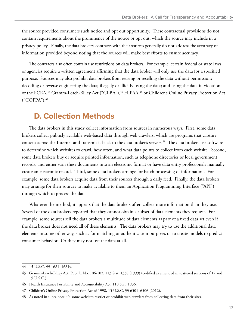<span id="page-34-0"></span>the source provided consumers such notice and opt out opportunity. These contractual provisions do not contain requirements about the prominence of the notice or opt out, which the source may include in a privacy policy. Finally, the data brokers' contracts with their sources generally do not address the accuracy of information provided beyond noting that the sources will make best efforts to ensure accuracy.

The contracts also often contain use restrictions on data brokers. For example, certain federal or state laws or agencies require a written agreement affirming that the data broker will only use the data for a specified purpose. Sources may also prohibit data brokers from reusing or reselling the data without permission; decoding or reverse engineering the data; illegally or illicitly using the data; and using the data in violation of the FCRA,<sup>44</sup> Gramm-Leach-Bliley Act ("GLBA"),<sup>45</sup> HIPAA,<sup>46</sup> or Children's Online Privacy Protection Act ("COPPA").47

### **D. Collection Methods**

The data brokers in this study collect information from sources in numerous ways. First, some data brokers collect publicly available web-based data through web crawlers, which are programs that capture content across the Internet and transmit it back to the data broker's servers.<sup>48</sup> The data brokers use software to determine which websites to crawl, how often, and what data points to collect from each website. Second, some data brokers buy or acquire printed information, such as telephone directories or local government records, and either scan these documents into an electronic format or have data entry professionals manually create an electronic record. Third, some data brokers arrange for batch processing of information. For example, some data brokers acquire data from their sources through a daily feed. Finally, the data brokers may arrange for their sources to make available to them an Application Programming Interface ("API") through which to process the data.

Whatever the method, it appears that the data brokers often collect more information than they use. Several of the data brokers reported that they cannot obtain a subset of data elements they request. For example, some sources sell the data brokers a multitude of data elements as part of a fixed data set even if the data broker does not need all of these elements. The data brokers may try to use the additional data elements in some other way, such as for matching or authentication purposes or to create models to predict consumer behavior. Or they may not use the data at all.

<sup>44</sup> 15 U.S.C. §§ 1681–1681v.

<sup>45</sup> Gramm-Leach-Bliley Act, Pub. L. No. 106-102, 113 Stat. 1338 (1999) (codified as amended in scattered sections of 12 and 15 U.S.C.).

<sup>46</sup> Health Insurance Portability and Accountability Act, 110 Stat. 1936.

<sup>47</sup> Children's Online Privacy Protection Act of 1998, 15 U.S.C. §§ 6501–6506 (2012).

<sup>48</sup> As noted in supra note 40, some websites restrict or prohibit web crawlers from collecting data from their sites.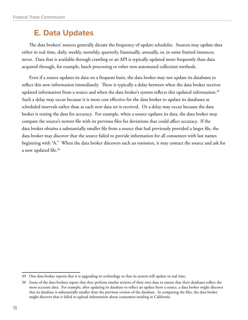### <span id="page-35-0"></span>**E. Data Updates**

The data brokers' sources generally dictate the frequency of update schedules. Sources may update data either in real time, daily, weekly, monthly, quarterly, biannually, annually, or, in some limited instances, never. Data that is available through crawling or an API is typically updated more frequently than data acquired through, for example, batch processing or other non-automated collection methods.

Even if a source updates its data on a frequent basis, the data broker may not update its databases to reflect this new information immediately. There is typically a delay between when the data broker receives updated information from a source and when the data broker's system reflects this updated information.<sup>49</sup> Such a delay may occur because it is more cost effective for the data broker to update its databases at scheduled intervals rather than as each new data set is received. Or a delay may occur because the data broker is testing the data for accuracy. For example, when a source updates its data, the data broker may compare the source's newest file with its previous files for deviations that could affect accuracy. If the data broker obtains a substantially smaller file from a source that had previously provided a larger file, the data broker may discover that the source failed to provide information for all consumers with last names beginning with "A." When the data broker discovers such an omission, it may contact the source and ask for a new updated file.<sup>50</sup>

<sup>49</sup> One data broker reports that it is upgrading its technology so that its system will update in real time.

<sup>50</sup> Some of the data brokers report that they perform similar reviews of their own data to ensure that their databases reflect the most accurate data. For example, after updating its database to reflect an update from a source, a data broker might discover that its database is substantially smaller than the previous version of the database. In comparing the files, the data broker might discover that it failed to upload information about consumers residing in California.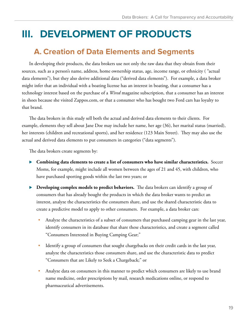# **III. DEVELOPMENT OF PRODUCTS**

## **A. Creation of Data Elements and Segments**

In developing their products, the data brokers use not only the raw data that they obtain from their sources, such as a person's name, address, home ownership status, age, income range, or ethnicity ( "actual data elements"), but they also derive additional data ("derived data elements"). For example, a data broker might infer that an individual with a boating license has an interest in boating, that a consumer has a technology interest based on the purchase of a *Wired* magazine subscription, that a consumer has an interest in shoes because she visited Zappos.com, or that a consumer who has bought two Ford cars has loyalty to that brand.

The data brokers in this study sell both the actual and derived data elements to their clients. For example, elements they sell about Jane Doe may include her name, her age (36), her marital status (married), her interests (children and recreational sports), and her residence (123 Main Street). They may also use the actual and derived data elements to put consumers in categories ("data segments").

The data brokers create segments by:

- **⊲ Combining data elements to create a list of consumers who have similar characteristics.** Soccer Moms, for example, might include all women between the ages of 21 and 45, with children, who have purchased sporting goods within the last two years; or
- **⊲ Developing complex models to predict behaviors.** The data brokers can identify a group of consumers that has already bought the products in which the data broker wants to predict an interest, analyze the characteristics the consumers share, and use the shared characteristic data to create a predictive model to apply to other consumers. For example, a data broker can:
	- Analyze the characteristics of a subset of consumers that purchased camping gear in the last year, identify consumers in its database that share these characteristics, and create a segment called "Consumers Interested in Buying Camping Gear;"
	- Identify a group of consumers that sought chargebacks on their credit cards in the last year, analyze the characteristics those consumers share, and use the characteristic data to predict "Consumers that are Likely to Seek a Chargeback;" or
	- Analyze data on consumers in this manner to predict which consumers are likely to use brand name medicine, order prescriptions by mail, research medications online, or respond to pharmaceutical advertisements.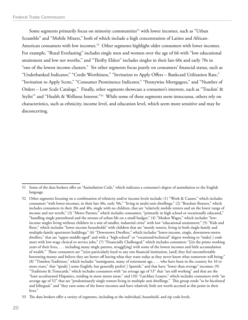Some segments primarily focus on minority communities<sup>51</sup> with lower incomes, such as "Urban Scramble" and "Mobile Mixers," both of which include a high concentration of Latino and African-American consumers with low incomes.<sup>52</sup> Other segments highlight older consumers with lower incomes. For example, "Rural Everlasting" includes single men and women over the age of 66 with "low educational attainment and low net worths," and "Thrifty Elders" includes singles in their late 60s and early 70s in "one of the lowest income clusters." Yet other segments focus purely on consumers' financial status, such as "Underbanked Indicator," "Credit Worthiness," "Invitation to Apply Offers – Bankcard Utilization Rate," "Invitation to Apply Score," "Consumer Prominence Indicator," "Pennywise Mortgagees," and "Number of Orders – Low Scale Catalogs." Finally, other segments showcase a consumer's interests, such as "Truckin' & Stylin'" and "Health & Wellness Interest."53 While some of these segments seem innocuous, others rely on characteristics, such as ethnicity, income level, and education level, which seem more sensitive and may be disconcerting.

<sup>51</sup> Some of the data brokers offer an "Assimilation Code," which indicates a consumer's degree of assimilation to the English language.

<sup>52</sup> Other segments focusing on a combination of ethnicity and/or income levels include: (1) "Work & Causes," which includes consumers "with lower-incomes, in their late 40s, early 50s," "living in multi-unit dwellings;" (2) "Resolute Renters," which includes consumers in their 30s and 40s, single with no children, that are "relatively mobile renters and on the lower rungs of income and net worth;" (3) "Metro Parents," which includes consumers, "primarily in high school or vocationally educated," "handling single parenthood and the stresses of urban life on a small budget;" (4) "Modest Wages," which includes "lowincome singles living without children in a mix of smaller, industrial cities" with low "educational attainment;" (5) "Kids and Rent," which includes "lower income households" with children that are "mostly renters, living in both single-family and multiple-family apartment buildings;" (6) "Downtown Dwellers," which includes "lower-income, single, downtown-metro dwellers," that are "upper-middle-aged" and with a "high-school" or "vocational/technical" degree working to "make[ ] ends meet with low-wage clerical or service jobs;" (7) "Financially Challenged," which includes consumers "[i]n the prime working years of their lives, . . . including many single parents, struggl[ing] with some of the lowest incomes and little accumulation of wealth." These consumers are "[n]ot particularly loyal to any one financial institution, [and] they feel uncomfortable borrowing money and believe they are better off having what they want today as they never know what tomorrow will bring;" (8) "Timeless Traditions," which includes "immigrants, many of retirement age, . . . who have been in the country for 10 or more years," that "speak[ ] some English, but generally prefer[ ] Spanish," and that have "lower than average" incomes; (9) "Traditions & Timecards," which includes consumers with "an average age of 53" that "are still working" and that are the "least acculturated Hispanics, residing in more metro areas;" and (10) "Latchkey Leasers," which includes consumers with "an average age of 52" that are "predominately single renters living in multiple unit dwellings." This group tends "to be bicultural and bilingual," and "they earn some of the lower incomes and have relatively little net worth accrued at this point in their lives."

<sup>53</sup> The data brokers offer a variety of segments, including at the individual, household, and zip code levels.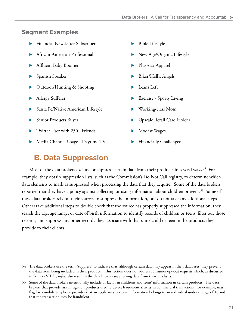#### **Segment Examples**

- **⊲** Financial Newsletter Subscriber
- **⊲** African-American Professional
- **⊲** Affluent Baby Boomer
- **⊲** Spanish Speaker
- **⊲** Outdoor/Hunting & Shooting
- **⊲** Allergy Sufferer
- **⊲** Santa Fe/Native American Lifestyle
- **⊲** Senior Products Buyer
- **⊲** Twitter User with 250+ Friends
- **⊲** Media Channel Usage Daytime TV
- **⊲** Bible Lifestyle
- **⊲** New Age/Organic Lifestyle
- **⊲** Plus-size Apparel
- **⊲** Biker/Hell's Angels
- **⊲** Leans Left
- **⊲** Exercise Sporty Living
- **⊲** Working-class Mom
- **⊲** Upscale Retail Card Holder
- **⊲** Modest Wages
- **⊲** Financially Challenged

## **B. Data Suppression**

Most of the data brokers exclude or suppress certain data from their products in several ways.<sup>54</sup> For example, they obtain suppression lists, such as the Commission's Do Not Call registry, to determine which data elements to mark as suppressed when processing the data that they acquire. Some of the data brokers reported that they have a policy against collecting or using information about children or teens.<sup>55</sup> Some of these data brokers rely on their sources to suppress the information, but do not take any additional steps. Others take additional steps to double check that the source has properly suppressed the information; they search the age, age range, or date of birth information to identify records of children or teens, filter out those records, and suppress any other records they associate with that same child or teen in the products they provide to their clients.

<sup>54</sup> The data brokers use the term "suppress" to indicate that, although certain data may appear in their databases, they prevent the data from being included in their products. This section does not address consumer opt-out requests which, as discussed in Section VII.A., *infra*, also result in the data brokers suppressing data from their products.

<sup>55</sup> Some of the data brokers intentionally include or factor in children's and teens' information in certain products. The data brokers that provide risk mitigation products used to detect fraudulent activity in commercial transactions, for example, may flag for a mobile telephone provider that an applicant's personal information belongs to an individual under the age of 18 and that the transaction may be fraudulent.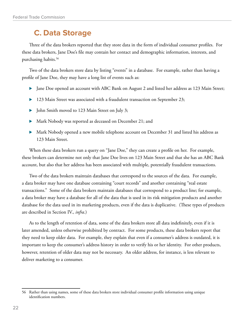### **C. Data Storage**

Three of the data brokers reported that they store data in the form of individual consumer profiles. For these data brokers, Jane Doe's file may contain her contact and demographic information, interests, and purchasing habits.<sup>56</sup>

Two of the data brokers store data by listing "events" in a database. For example, rather than having a profile of Jane Doe, they may have a long list of events such as:

- **⊲** Jane Doe opened an account with ABC Bank on August 2 and listed her address as 123 Main Street;
- 123 Main Street was associated with a fraudulent transaction on September 23;
- **⊲** John Smith moved to 123 Main Street on July 3;
- **⊲** Mark Nobody was reported as deceased on December 21; and
- **⊲** Mark Nobody opened a new mobile telephone account on December 31 and listed his address as 123 Main Street.

When these data brokers run a query on "Jane Doe," they can create a profile on her. For example, these brokers can determine not only that Jane Doe lives on 123 Main Street and that she has an ABC Bank account, but also that her address has been associated with multiple, potentially fraudulent transactions.

Two of the data brokers maintain databases that correspond to the sources of the data. For example, a data broker may have one database containing "court records" and another containing "real estate transactions." Some of the data brokers maintain databases that correspond to a product line; for example, a data broker may have a database for all of the data that is used in its risk mitigation products and another database for the data used in its marketing products, even if the data is duplicative. (These types of products are described in Section IV., *infra*.)

As to the length of retention of data, some of the data brokers store all data indefinitely, even if it is later amended, unless otherwise prohibited by contract. For some products, these data brokers report that they need to keep older data. For example, they explain that even if a consumer's address is outdated, it is important to keep the consumer's address history in order to verify his or her identity. For other products, however, retention of older data may not be necessary. An older address, for instance, is less relevant to deliver marketing to a consumer.

<sup>56</sup> Rather than using names, some of these data brokers store individual consumer profile information using unique identification numbers.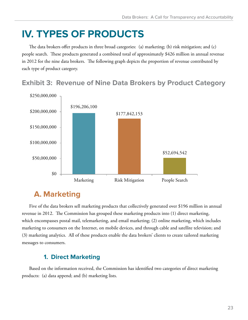# **IV. TYPES OF PRODUCTS**

The data brokers offer products in three broad categories: (a) marketing; (b) risk mitigation; and (c) people search. These products generated a combined total of approximately \$426 million in annual revenue in 2012 for the nine data brokers. The following graph depicts the proportion of revenue contributed by each type of product category.

## **Exhibit 3: Revenue of Nine Data Brokers by Product Category**



## **A. Marketing**

Five of the data brokers sell marketing products that collectively generated over \$196 million in annual revenue in 2012.The Commission has grouped these marketing products into (1) direct marketing, which encompasses postal mail, telemarketing, and email marketing; (2) online marketing, which includes marketing to consumers on the Internet, on mobile devices, and through cable and satellite television; and (3) marketing analytics. All of these products enable the data brokers' clients to create tailored marketing messages to consumers.

#### **1. Direct Marketing**

Based on the information received, the Commission has identified two categories of direct marketing products: (a) data append; and (b) marketing lists.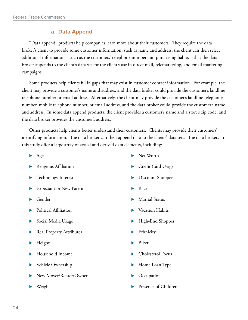#### **a. Data Append**

"Data append" products help companies learn more about their customers. They require the data broker's client to provide some customer information, such as name and address; the client can then select additional information—such as the customers' telephone number and purchasing habits—that the data broker appends to the client's data set for the client's use in direct mail, telemarketing, and email marketing campaigns.

Some products help clients fill in gaps that may exist in customer contact information. For example, the client may provide a customer's name and address, and the data broker could provide the customer's landline telephone number or email address. Alternatively, the client may provide the customer's landline telephone number, mobile telephone number, or email address, and the data broker could provide the customer's name and address. In some data append products, the client provides a customer's name and a store's zip code, and the data broker provides the customer's address.

Other products help clients better understand their customers. Clients may provide their customers' identifying information. The data broker can then append data to the clients' data sets. The data brokers in this study offer a large array of actual and derived data elements, including:

- **⊲** Age
- **⊲** Religious Affiliation
- **⊲** Technology Interest
- **⊲** Expectant or New Parent
- **⊲** Gender
- **⊲** Political Affiliation
- **⊲** Social Media Usage
- **⊲** Real Property Attributes
- **⊲** Height
- **⊲** Household Income
- **⊲** Vehicle Ownership
- **⊲** New Mover/Renter/Owner
- **⊲** Weight
- **⊲** Net Worth
- **⊲** Credit Card Usage
- **⊲** Discount Shopper
- **⊲** Race
- **⊲** Marital Status
- **⊲** Vacation Habits
- **⊲** High-End Shopper
- **⊲** Ethnicity
- **⊲** Biker
- **⊲** Cholesterol Focus
- **⊲** Home Loan Type
- **⊲** Occupation
- **⊲** Presence of Children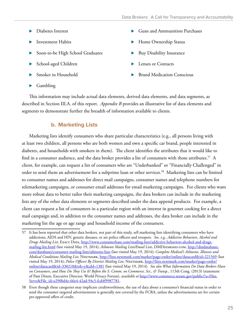- **⊲** Diabetes Interest
- **⊲** Investment Habits
- **⊲** Soon-to-be High School Graduates
- **⊲** School-aged Children
- **⊲** Smoker in Household
- **⊲** Gambling

This information may include actual data elements, derived data elements, and data segments, as described in Section III.A. of this report. *Appendix B* provides an illustrative list of data elements and segments to demonstrate further the breadth of information available to clients.

#### **b. Marketing Lists**

Marketing lists identify consumers who share particular characteristics (e.g., all persons living with at least two children, all persons who are both women and own a specific car brand, people interested in diabetes, and households with smokers in them). The client identifies the attributes that it would like to find in a consumer audience, and the data broker provides a list of consumers with those attributes.<sup>57</sup> A client, for example, can request a list of consumers who are "Underbanked" or "Financially Challenged" in order to send them an advertisement for a subprime loan or other services.<sup>58</sup> Marketing lists can be limited to consumer names and addresses for direct mail campaigns, consumer names and telephone numbers for telemarketing campaigns, or consumer email addresses for email marketing campaigns. For clients who want more robust data to better tailor their marketing campaigns, the data brokers can include in the marketing lists any of the other data elements or segments described under the data append products. For example, a client can request a list of consumers in a particular region with an interest in gourmet cooking for a direct mail campaign and, in addition to the consumer names and addresses, the data broker can include in the marketing list the age or age range and household income of the consumers.

- **⊲** Guns and Ammunition Purchases
- **⊲** Home Ownership Status
- **⊲** Buy Disability Insurance
- **⊲** Lenses or Contacts
- **⊲** Brand Medication Conscious

<sup>57</sup> It has been reported that other data brokers, not part of this study, sell marketing lists identifying consumers who have addictions, AIDS and HIV, genetic diseases, or are police officers and troopers. *See, e.g.*, *Addictive Behaviors, Alcohol and Drugs Mailing List*, Exact Data, [http://www.consumerbase.com/mailing-lists/addictive-behaviors-alcohol-and-drugs](http://www.consumerbase.com/mailing-lists/addictive-behaviors-alcohol-and-drugs-mailing-list.html)[mailing-list.html](http://www.consumerbase.com/mailing-lists/addictive-behaviors-alcohol-and-drugs-mailing-list.html) (last visited May 19, 2014); *Ailments Mailing Lists/Email Lists*, DMDatabases.com, [http://dmdatabases.](http://dmdatabases.com/databases/consumer-mailing-lists/ailments-lists) [com/databases/consumer-mailing-lists/ailments-lists](http://dmdatabases.com/databases/consumer-mailing-lists/ailments-lists) (last visited May 19, 2014); *Complete Medical's Ailments, Illnesses and Medical Conditions Mailing List*, Nextmark,<http://lists.nextmark.com/market?page=order/online/datacard&id=221569> (last visited May 19, 2014); *Police Officers By District Mailing List*, Nextmark, [http://lists.nextmark.com/market?page=order/](http://lists.nextmark.com/market?page=order/online/datacard&id=330218&trk=y&aId=1381) [online/datacard&id=330218&trk=y&aId=1381](http://lists.nextmark.com/market?page=order/online/datacard&id=330218&trk=y&aId=1381) (last visited May 19, 2014). *See also What Information Do Data Brokers Have on Consumers, and How Do They Use It? Before the S. Comm. on Commerce, Sci., & Transp.*, 113th Cong. (2013) (statement of Pam Dixon, Executive Director, World Privacy Forum), *available at* [http://www.commerce.senate.gov/public/?a=Files.](http://www.commerce.senate.gov/public/?a=Files.Serve&File_id=e290bd4e-66e4-42ad-94c5-fcd4f9987781) [Serve&File\\_id=e290bd4e-66e4-42ad-94c5-fcd4f9987781](http://www.commerce.senate.gov/public/?a=Files.Serve&File_id=e290bd4e-66e4-42ad-94c5-fcd4f9987781).

<sup>58</sup> Even though these categories may implicate creditworthiness, the use of data about a consumer's financial status in order to send the consumer targeted advertisements is generally not covered by the FCRA, unless the advertisements are for certain pre-approved offers of credit.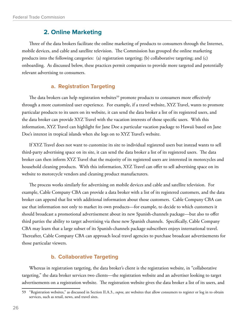#### **2. Online Marketing**

Three of the data brokers facilitate the online marketing of products to consumers through the Internet, mobile devices, and cable and satellite television. The Commission has grouped the online marketing products into the following categories: (a) registration targeting; (b) collaborative targeting; and (c) onboarding. As discussed below, these practices permit companies to provide more targeted and potentially relevant advertising to consumers.

#### **a. Registration Targeting**

The data brokers can help registration websites<sup>59</sup> promote products to consumers more effectively through a more customized user experience. For example, if a travel website, XYZ Travel, wants to promote particular products to its users on its website, it can send the data broker a list of its registered users, and the data broker can provide XYZ Travel with the vacation interests of those specific users. With this information, XYZ Travel can highlight for Jane Doe a particular vacation package to Hawaii based on Jane Doe's interest in tropical islands when she logs on to XYZ Travel's website.

If XYZ Travel does not want to customize its site to individual registered users but instead wants to sell third-party advertising space on its site, it can send the data broker a list of its registered users. The data broker can then inform XYZ Travel that the majority of its registered users are interested in motorcycles and household cleaning products. With this information, XYZ Travel can offer to sell advertising space on its website to motorcycle vendors and cleaning product manufacturers.

The process works similarly for advertising on mobile devices and cable and satellite television. For example, Cable Company CBA can provide a data broker with a list of its registered customers, and the data broker can append that list with additional information about those customers. Cable Company CBA can use that information not only to market its own products—for example, to decide to which customers it should broadcast a promotional advertisement about its new Spanish-channels package—but also to offer third parties the ability to target advertising via these new Spanish channels. Specifically, Cable Company CBA may learn that a large subset of its Spanish-channels package subscribers enjoys international travel. Thereafter, Cable Company CBA can approach local travel agencies to purchase broadcast advertisements for those particular viewers.

#### **b. Collaborative Targeting**

Whereas in registration targeting, the data broker's client is the registration website, in "collaborative targeting," the data broker services two clients—the registration website and an advertiser looking to target advertisements on a registration website. The registration website gives the data broker a list of its users, and

<sup>59</sup> "Registration websites," as discussed in Section II.A.3., *supra*, are websites that allow consumers to register or log in to obtain services, such as retail, news, and travel sites.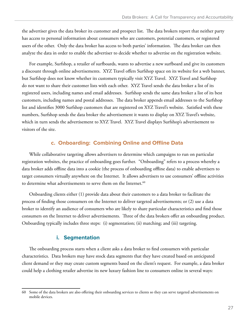the advertiser gives the data broker its customer and prospect list. The data brokers report that neither party has access to personal information about consumers who are customers, potential customers, or registered users of the other. Only the data broker has access to both parties' information. The data broker can then analyze the data in order to enable the advertiser to decide whether to advertise on the registration website.

For example, Surfshop, a retailer of surfboards, wants to advertise a new surfboard and give its customers a discount through online advertisements. XYZ Travel offers Surfshop space on its website for a web banner, but Surfshop does not know whether its customers typically visit XYZ Travel. XYZ Travel and Surfshop do not want to share their customer lists with each other. XYZ Travel sends the data broker a list of its registered users, including names and email addresses. Surfshop sends the same data broker a list of its best customers, including names and postal addresses. The data broker appends email addresses to the Surfshop list and identifies 3000 Surfshop customers that are registered on XYZ Travel's website. Satisfied with these numbers, Surfshop sends the data broker the advertisement it wants to display on XYZ Travel's website, which in turn sends the advertisement to XYZ Travel. XYZ Travel displays Surfshop's advertisement to visitors of the site.

#### **c. Onboarding: Combining Online and Offline Data**

While collaborative targeting allows advertisers to determine which campaigns to run on particular registration websites, the practice of onboarding goes further. "Onboarding" refers to a process whereby a data broker adds offline data into a cookie (the process of onboarding offline data) to enable advertisers to target consumers virtually anywhere on the Internet. It allows advertisers to use consumers' offline activities to determine what advertisements to serve them on the Internet.<sup>60</sup>

Onboarding clients either (1) provide data about their customers to a data broker to facilitate the process of finding those consumers on the Internet to deliver targeted advertisements; or (2) use a data broker to identify an audience of consumers who are likely to share particular characteristics and find those consumers on the Internet to deliver advertisements. Three of the data brokers offer an onboarding product. Onboarding typically includes three steps: (i) segmentation; (ii) matching; and (iii) targeting.

#### **i. Segmentation**

The onboarding process starts when a client asks a data broker to find consumers with particular characteristics. Data brokers may have stock data segments that they have created based on anticipated client demand or they may create custom segments based on the client's request. For example, a data broker could help a clothing retailer advertise its new luxury fashion line to consumers online in several ways:

<sup>60</sup> Some of the data brokers are also offering their onboarding services to clients so they can serve targeted advertisements on mobile devices.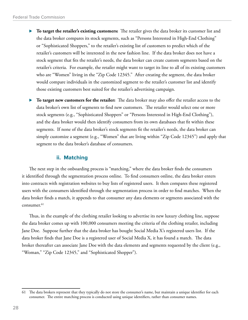- **⊲ To target the retailer's existing customers:** The retailer gives the data broker its customer list and the data broker compares its stock segments, such as "Persons Interested in High-End Clothing" or "Sophisticated Shoppers," to the retailer's existing list of customers to predict which of the retailer's customers will be interested in the new fashion line. If the data broker does not have a stock segment that fits the retailer's needs, the data broker can create custom segments based on the retailer's criteria. For example, the retailer might want to target its line to all of its existing customers who are "Women" living in the "Zip Code 12345." After creating the segment, the data broker would compare individuals in the customized segment to the retailer's customer list and identify those existing customers best suited for the retailer's advertising campaign.
- **⊲ To target new customers for the retailer:** The data broker may also offer the retailer access to the data broker's own list of segments to find new customers. The retailer would select one or more stock segments (e.g., "Sophisticated Shoppers" or "Persons Interested in High-End Clothing"), and the data broker would then identify consumers from its own databases that fit within these segments. If none of the data broker's stock segments fit the retailer's needs, the data broker can simply customize a segment (e.g., "Women" that are living within "Zip Code 12345") and apply that segment to the data broker's database of consumers.

#### **ii. Matching**

The next step in the onboarding process is "matching," where the data broker finds the consumers it identified through the segmentation process online. To find consumers online, the data broker enters into contracts with registration websites to buy lists of registered users. It then compares these registered users with the consumers identified through the segmentation process in order to find matches. When the data broker finds a match, it appends to that consumer any data elements or segments associated with the  $consumer.$ <sup>61</sup>

Thus, in the example of the clothing retailer looking to advertise its new luxury clothing line, suppose the data broker comes up with 100,000 consumers meeting the criteria of the clothing retailer, including Jane Doe. Suppose further that the data broker has bought Social Media X's registered users list. If the data broker finds that Jane Doe is a registered user of Social Media X, it has found a match. The data broker thereafter can associate Jane Doe with the data elements and segments requested by the client (e.g., "Woman," "Zip Code 12345," and "Sophisticated Shopper").

<sup>61</sup> The data brokers represent that they typically do not store the consumer's name, but maintain a unique identifier for each consumer. The entire matching process is conducted using unique identifiers, rather than consumer names.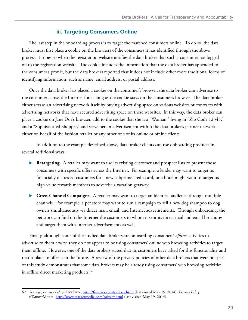#### **iii. Targeting Consumers Online**

The last step in the onboarding process is to target the matched consumers online. To do so, the data broker must first place a cookie on the browsers of the consumers it has identified through the above process. It does so when the registration website notifies the data broker that such a consumer has logged on to the registration website. The cookie includes the information that the data broker has appended to the consumer's profile, but the data brokers reported that it does not include other more traditional forms of identifying information, such as name, email address, or postal address.

Once the data broker has placed a cookie on the consumer's browser, the data broker can advertise to the consumer across the Internet for as long as the cookie stays on the consumer's browser. The data broker either acts as an advertising network itself by buying advertising space on various websites or contracts with advertising networks that have secured advertising space on these websites. In this way, the data broker can place a cookie on Jane Doe's browser, add to the cookie that she is a "Woman," living in "Zip Code 12345," and a "Sophisticated Shopper," and serve her an advertisement within the data broker's partner network, either on behalf of the fashion retailer or any other one of its online or offline clients.

In addition to the example described above, data broker clients can use onboarding products in several additional ways:

- **► Retargeting.** A retailer may want to use its existing customer and prospect lists to present those consumers with specific offers across the Internet. For example, a lender may want to target its financially distressed customers for a new subprime credit card, or a hotel might want to target its high-value rewards members to advertise a vacation getaway.
- **►** Cross-Channel Campaigns. A retailer may want to target an identical audience through multiple channels. For example, a pet store may want to run a campaign to sell a new dog shampoo to dog owners simultaneously via direct mail, email, and Internet advertisements. Through onboarding, the pet store can find on the Internet the customers to whom it sent its direct mail and email brochures and target them with Internet advertisements as well.

Finally, although some of the studied data brokers are onboarding consumers' *offline* activities to advertise to them *online*, they do not appear to be using consumers' online web browsing activities to target them offline. However, one of the data brokers stated that its customers have asked for this functionality and that it plans to offer it in the future. A review of the privacy policies of other data brokers that were not part of this study demonstrates that some data brokers may be already using consumers' web browsing activities in offline direct marketing products.<sup>62</sup>

<sup>62</sup> *See, e.g.*, *Privacy Policy*, FiveData,<http://fivedata.com/privacy.html>(last visited May 19, 2014); *Privacy Policy*, ETARGETMEDIA,<http://www.etargetmedia.com/privacy.html> (last visited May 19, 2014).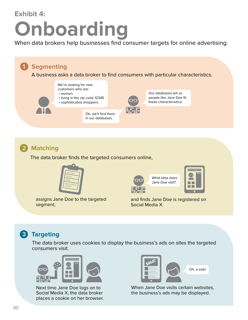#### **Exhibit 4:**

# **Onboarding Onboarding**

When data brokers help businesses find consumer targets for online advertising.



#### **Matching**

**2**

The data broker finds the targeted consumers online,



assigns Jane Doe to the targeted segment,

| W<br>Ja |
|---------|
|         |

hat sites does Ine Doe visit?



and finds Jane Doe is registered on Social Media X.

## **3 Targeting**

The data broker uses cookies to display the business's ads on sites the targeted consumers visit.



Next time Jane Doe logs on to Social Media X, the data broker places a cookie on her browser.



When Jane Doe visits certain websites, the business's ads may be displayed.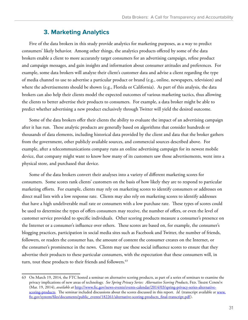#### **3. Marketing Analytics**

Five of the data brokers in this study provide analytics for marketing purposes, as a way to predict consumers' likely behavior. Among other things, the analytics products offered by some of the data brokers enable a client to more accurately target consumers for an advertising campaign, refine product and campaign messages, and gain insights and information about consumer attitudes and preferences. For example, some data brokers will analyze their client's customer data and advise a client regarding the type of media channel to use to advertise a particular product or brand (e.g., online, newspapers, television) and where the advertisements should be shown (e.g., Florida or California). As part of this analysis, the data brokers can also help their clients model the expected outcomes of various marketing tactics, thus allowing the clients to better advertise their products to consumers. For example, a data broker might be able to predict whether advertising a new product exclusively through Twitter will yield the desired outcome.

Some of the data brokers offer their clients the ability to evaluate the impact of an advertising campaign after it has run. These analytic products are generally based on algorithms that consider hundreds or thousands of data elements, including historical data provided by the client and data that the broker gathers from the government, other publicly available sources, and commercial sources described above. For example, after a telecommunications company runs an online advertising campaign for its newest mobile device, that company might want to know how many of its customers saw those advertisements, went into a physical store, and purchased that device.

Some of the data brokers convert their analyses into a variety of different marketing scores for consumers. Some scores rank clients' customers on the basis of how likely they are to respond to particular marketing efforts. For example, clients may rely on marketing scores to identify consumers or addresses on direct mail lists with a low response rate. Clients may also rely on marketing scores to identify addresses that have a high undeliverable mail rate or consumers with a low purchase rate. These types of scores could be used to determine the types of offers consumers may receive, the number of offers, or even the level of customer service provided to specific individuals. Other scoring products measure a consumer's presence on the Internet or a consumer's influence over others. These scores are based on, for example, the consumer's blogging practices, participation in social media sites such as Facebook and Twitter, the number of friends, followers, or readers the consumer has, the amount of content the consumer creates on the Internet, or the consumer's prominence in the news. Clients may use these social influence scores to ensure that they advertise their products to these particular consumers, with the expectation that these consumers will, in turn, tout these products to their friends and followers.  $63$ 

<sup>63</sup> On March 19, 2014, the FTC hosted a seminar on alternative scoring products, as part of a series of seminars to examine the privacy implications of new areas of technology. See Spring Privacy Series: Alternative Scoring Products, FED. TRADE COMM'N (Mar. 19, 2014), *available at* [http://www.ftc.gov/news-events/events-calendar/2014/03/spring-privacy-series-alternative](http://www.ftc.gov/news-events/events-calendar/2014/03/spring-privacy-series-alternative-scoring-products)[scoring-products.](http://www.ftc.gov/news-events/events-calendar/2014/03/spring-privacy-series-alternative-scoring-products) The seminar included discussions about the scores discussed in this report. *Id.* (transcript available at [www.](http://www.ftc.gov/system/files/documents/public_events/182261/alternative-scoring-products_final-transcript.pdf) [ftc.gov/system/files/documents/public\\_events/182261/alternative-scoring-products\\_final-transcript.pdf](http://www.ftc.gov/system/files/documents/public_events/182261/alternative-scoring-products_final-transcript.pdf)).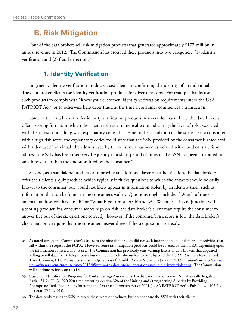### **B. Risk Mitigation**

Four of the data brokers sell risk mitigation products that generated approximately \$177 million in annual revenue in 2012. The Commission has grouped these products into two categories: (1) identity verification and  $(2)$  fraud detection.<sup>64</sup>

#### **1. Identity Verification**

In general, identity verification products assist clients in confirming the identity of an individual. The data broker clients use identity verification products for diverse reasons. For example, banks use such products to comply with "know your customer" identity verification requirements under the USA PATRIOT Act<sup>65</sup> or to otherwise help deter fraud at the time a consumer commences a transaction.

Some of the data brokers offer identity verification products in several formats. First, the data brokers offer a scoring format, in which the client receives a numerical score indicating the level of risk associated with the transaction, along with explanatory codes that relate to the calculation of the score. For a consumer with a high risk score, the explanatory codes could state that the SSN provided by the consumer is associated with a deceased individual, the address used by the consumer has been associated with fraud or is a prison address, the SSN has been used very frequently in a short period of time, or the SSN has been attributed to an address other than the one submitted by the consumer.<sup>66</sup>

Second, as a standalone product or to provide an additional layer of authentication, the data brokers offer their clients a quiz product, which typically includes questions to which the answers should be easily known to the consumer, but would not likely appear in information stolen by an identity thief, such as information that can be found in the consumer's wallet. Questions might include: "Which of these is an email address you have used?" or "What is your mother's birthday?" When used in conjunction with a scoring product, if a consumer scores high on risk, the data broker's client may require the consumer to answer five out of the six questions correctly; however, if the consumer's risk score is low, the data broker's client may only require that the consumer answer three of the six questions correctly.

<sup>64</sup> As noted earlier, the Commission's Orders to the nine data brokers did not seek information about data broker activities that fall within the scope of the FCRA. However, some risk mitigation products could be covered by the FCRA, depending upon the information collected and its use. The Commission has previously sent warning letters to data brokers that appeared willing to sell data for FCRA purposes but did not consider themselves to be subject to the FCRA. *See* Press Release, Fed. Trade Comm'n, FTC Warns Data Broker Operations of Possible Privacy Violations (May 7, 2013), *available at* [http://www.](http://www.ftc.gov/news-events/press-releases/2013/05/ftc-warns-data-broker-operations-possible-privacy-violations) [ftc.gov/news-events/press-releases/2013/05/ftc-warns-data-broker-operations-possible-privacy-violations](http://www.ftc.gov/news-events/press-releases/2013/05/ftc-warns-data-broker-operations-possible-privacy-violations). The Commission will continue to focus on this issue.

<sup>65</sup> Customer Identification Programs for Banks, Savings Associations, Credit Unions, and Certain Non-Federally Regulated Banks, 31 C.F.R. § 1020.220 (implementing Section 326 of the Uniting and Strengthening America by Providing Appropriate Tools Required to Intercept and Obstruct Terrorism Act of 2001 ("USA PATRIOT Act"), Pub. L. No. 107-56, 115 Stat. 272 (2001)).

<sup>66</sup> The data brokers use the SSN to create these types of products, but do not share the SSN with their clients.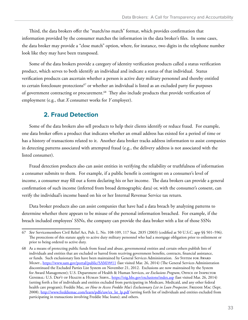Third, the data brokers offer the "match/no match" format, which provides confirmation that information provided by the consumer matches the information in the data broker's files. In some cases, the data broker may provide a "close match" option, where, for instance, two digits in the telephone number look like they may have been transposed.

Some of the data brokers provide a category of identity verification products called a status verification product, which serves to both identify an individual and indicate a status of that individual. Status verification products can ascertain whether a person is active duty military personnel and thereby entitled to certain foreclosure protections<sup>67</sup> or whether an individual is listed as an excluded party for purposes of government contracting or procurement.68 They also include products that provide verification of employment (e.g., that *X* consumer works for *Y* employer).

#### **2. Fraud Detection**

Some of the data brokers also sell products to help their clients identify or reduce fraud. For example, one data broker offers a product that indicates whether an email address has existed for a period of time or has a history of transactions related to it. Another data broker tracks address information to assist companies in detecting patterns associated with attempted fraud (e.g., the delivery address is not associated with the listed consumer).

Fraud detection products also can assist entities in verifying the reliability or truthfulness of information a consumer submits to them. For example, if a public benefit is contingent on a consumer's level of income, a consumer may fill out a form declaring his or her income. The data brokers can provide a general confirmation of such income (inferred from broad demographic data) or, with the consumer's consent, can verify the individual's income based on his or her Internal Revenue Service tax return.

Data broker products also can assist companies that have had a data breach by analyzing patterns to determine whether there appears to be misuse of the personal information breached. For example, if the breach included employees' SSNs, the company can provide the data broker with a list of those SSNs

<sup>67</sup> *See* Servicemembers Civil Relief Act, Pub. L. No. 108-109, 117 Stat. 2835 (2003) (codified at 50 U.S.C. app §§ 501–596). The protections of this statute apply to active duty military personnel who had a mortgage obligation prior to enlistment or prior to being ordered to active duty.

<sup>68</sup> As a means of protecting public funds from fraud and abuse, governmental entities and certain others publish lists of individuals and entities that are excluded or barred from receiving government benefits, contracts, financial assistance, or funds. Such exclusionary lists have been maintained by General Services Administration. *See* System for Award MGMT., [https://www.sam.gov/portal/public/SAM/##11](https://www.sam.gov/portal/public/SAM/) (last visited Mar. 26, 2014) (The General Services Administration discontinued the Excluded Parties List System on November 21, 2012. Exclusions are now maintained by the System for Award Management); U.S. Department of Health & Human Services, *see Exclusions Program*, Office of Inspector GENERAL: U.S. DEP'T OF HEALTH & HUMAN SERVS., <https://oig.hhs.gov/exclusions/index.asp>(last visited Mar. 26, 2014) (setting forth a list of individuals and entities excluded from participating in Medicare, Medicaid, and any other federal health care program); Freddie Mac, see How to Access Freddie Mac's Exclusionary List in Loan Prospector, FREDDIE MAC (Sept. 2008), [http://www.freddiemac.com/learn/pdfs/uw/ex\\_lst\\_lp.pdf](http://www.freddiemac.com/learn/pdfs/uw/ex_lst_lp.pdf) (setting forth list of individuals and entities excluded from participating in transactions involving Freddie Mac loans); and others.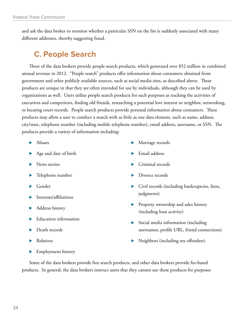and ask the data broker to monitor whether a particular SSN on the list is suddenly associated with many different addresses, thereby suggesting fraud.

## **C. People Search**

Three of the data brokers provide people search products, which generated over \$52 million in combined annual revenue in 2012. "People search" products offer information about consumers obtained from government and other publicly available sources, such as social media sites, as described above. These products are unique in that they are often intended for use by individuals, although they can be used by organizations as well. Users utilize people search products for such purposes as tracking the activities of executives and competitors, finding old friends, researching a potential love interest or neighbor, networking, or locating court records. People search products provide personal information about consumers. These products may allow a user to conduct a search with as little as one data element, such as name, address, city/state, telephone number (including mobile telephone number), email address, username, or SSN. The products provide a variety of information including:

- **⊲** Aliases
- **⊲** Age and date of birth
- **⊲** News stories
- **⊲** Telephone number
- **⊲** Gender
- **⊲** Interests/affiliations
- **⊲** Address history
- **⊲** Education information
- **⊲** Death records
- **⊲** Relatives
- **⊲** Employment history
- **⊲** Marriage records
- **⊲** Email address
- **⊲** Criminal records
- Divorce records
- **⊲** Civil records (including bankruptcies, liens, judgments)
- **⊲** Property ownership and sales history (including loan activity)
- **⊲** Social media information (including usernames, profile URL, friend connections)
- **⊲** Neighbors (including sex offenders)

Some of the data brokers provide free search products, and other data brokers provide fee-based products. In general, the data brokers instruct users that they cannot use these products for purposes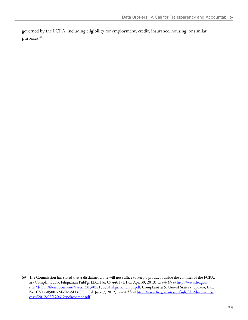governed by the FCRA, including eligibility for employment, credit, insurance, housing, or similar purposes.<sup>69</sup>

<sup>69</sup> The Commission has stated that a disclaimer alone will not suffice to keep a product outside the confines of the FCRA. *See* Complaint at 3, Filiquarian Publ'g. LLC, No. C- 4401 (F.T.C. Apr. 30, 2013), *available at* [http://www.ftc.gov/](http://www.ftc.gov/sites/default/files/documents/cases/2013/05/130501filquariancmpt.pdf) [sites/default/files/documents/cases/2013/05/130501filquariancmpt.pdf;](http://www.ftc.gov/sites/default/files/documents/cases/2013/05/130501filquariancmpt.pdf) Complaint at 5, United States v. Spokeo, Inc., No. CV12-05001-MMM-SH (C.D. Cal. June 7, 2012), *available at* [http://www.ftc.gov/sites/default/files/documents/](http://www.ftc.gov/sites/default/files/documents/cases/2012/06/120612spokeocmpt.pdf) [cases/2012/06/120612spokeocmpt.pdf](http://www.ftc.gov/sites/default/files/documents/cases/2012/06/120612spokeocmpt.pdf).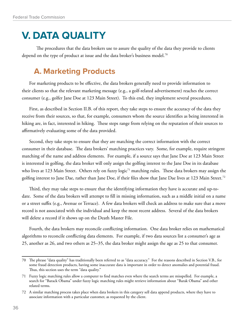# **V. DATA QUALITY**

The procedures that the data brokers use to assure the quality of the data they provide to clients depend on the type of product at issue and the data broker's business model.<sup>70</sup>

## **A. Marketing Products**

For marketing products to be effective, the data brokers generally need to provide information to their clients so that the relevant marketing message (e.g., a golf-related advertisement) reaches the correct consumer (e.g., golfer Jane Doe at 123 Main Street). To this end, they implement several procedures.

First, as described in Section II.B. of this report, they take steps to ensure the accuracy of the data they receive from their sources, so that, for example, consumers whom the source identifies as being interested in hiking are, in fact, interested in hiking. These steps range from relying on the reputation of their sources to affirmatively evaluating some of the data provided.

Second, they take steps to ensure that they are matching the correct information with the correct consumer in their database. The data brokers' matching practices vary. Some, for example, require stringent matching of the name and address elements. For example, if a source says that Jane Doe at 123 Main Street is interested in golfing, the data broker will only assign the golfing interest to the Jane Doe in its database who lives at 123 Main Street. Others rely on fuzzy logic<sup>71</sup> matching rules. These data brokers may assign the golfing interest to Jane Dae, rather than Jane Doe, if their files show that Jane Dae lives at 123 Main Street.72

Third, they may take steps to ensure that the identifying information they have is accurate and up-todate. Some of the data brokers will attempt to fill in missing information, such as a middle initial on a name or a street suffix (e.g., Avenue or Terrace). A few data brokers will check an address to make sure that a move record is not associated with the individual and keep the most recent address. Several of the data brokers will delete a record if it shows up on the Death Master File.

Fourth, the data brokers may reconcile conflicting information. One data broker relies on mathematical algorithms to reconcile conflicting data elements. For example, if two data sources list a consumer's age as 25, another as 26, and two others as 25–35, the data broker might assign the age as 25 to that consumer.

<sup>70</sup> The phrase "data quality" has traditionally been referred to as "data accuracy." For the reasons described in Section V.B., for some fraud detection products, having some inaccurate data is important in order to detect anomalies and potential fraud. Thus, this section uses the term "data quality."

<sup>71</sup> Fuzzy logic matching rules allow a computer to find matches even where the search terms are misspelled. For example, a search for "Barack Obama" under fuzzy logic matching rules might retrieve information about "Barak Obama" and other related terms.

<sup>72</sup> A similar matching process takes place when data brokers in this category sell data append products, where they have to associate information with a particular customer, as requested by the client.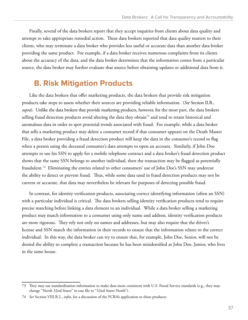Finally, several of the data brokers report that they accept inquiries from clients about data quality and attempt to take appropriate remedial action. These data brokers reported that data quality matters to their clients, who may terminate a data broker who provides less useful or accurate data than another data broker providing the same product. For example, if a data broker receives numerous complaints from its clients about the accuracy of the data, and the data broker determines that the information comes from a particular source, the data broker may further evaluate that source before obtaining updates or additional data from it.

#### **B. Risk Mitigation Products**

Like the data brokers that offer marketing products, the data brokers that provide risk mitigation products take steps to assess whether their sources are providing reliable information. (*See* Section II.B., *supra*). Unlike the data brokers that provide marketing products, however, for the most part, the data brokers selling fraud detection products avoid altering the data they obtain<sup>73</sup> and tend to retain historical and anomalous data in order to spot potential trends associated with fraud. For example, while a data broker that sells a marketing product may delete a consumer record if that consumer appears on the Death Master File, a data broker providing a fraud detection product will keep the data in the consumer's record to flag when a person using the deceased consumer's data attempts to open an account. Similarly, if John Doe attempts to use his SSN to apply for a mobile telephone contract and a data broker's fraud detection product shows that the same SSN belongs to another individual, then the transaction may be flagged as potentially fraudulent.74 Eliminating the entries related to other consumers' use of John Doe's SSN may undercut the ability to detect or prevent fraud. Thus, while some data used in fraud detection products may not be current or accurate, that data may nevertheless be relevant for purposes of detecting possible fraud.

In contrast, for identity verification products, associating correct identifying information (often an SSN) with a particular individual is critical. The data brokers selling identity verification products tend to require precise matching before linking a data element to an individual. While a data broker selling a marketing product may match information to a consumer using only name and address, identity verification products are more rigorous. They rely not only on names and addresses, but may also require that the driver's license and SSN match the information in their records to ensure that the information relates to the correct individual. In this way, the data broker can try to ensure that, for example, John Doe, Senior, will not be denied the ability to complete a transaction because he has been misidentified as John Doe, Junior, who lives in the same house.

<sup>73</sup> They may use standardization information to make data more consistent with U.S. Postal Service standards (e.g., they may change "North 32nd Street" in one file to "32nd Street North").

<sup>74</sup> *See* Section VIII.B.2., *infra*, for a discussion of the FCRA's application to these products.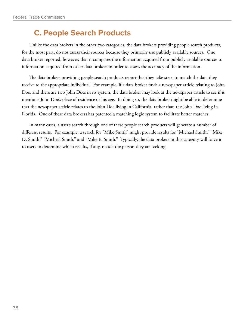## **C. People Search Products**

Unlike the data brokers in the other two categories, the data brokers providing people search products, for the most part, do not assess their sources because they primarily use publicly available sources. One data broker reported, however, that it compares the information acquired from publicly available sources to information acquired from other data brokers in order to assess the accuracy of the information.

The data brokers providing people search products report that they take steps to match the data they receive to the appropriate individual. For example, if a data broker finds a newspaper article relating to John Doe, and there are two John Does in its system, the data broker may look at the newspaper article to see if it mentions John Doe's place of residence or his age. In doing so, the data broker might be able to determine that the newspaper article relates to the John Doe living in California, rather than the John Doe living in Florida. One of these data brokers has patented a matching logic system to facilitate better matches.

In many cases, a user's search through one of these people search products will generate a number of different results. For example, a search for "Mike Smith" might provide results for "Michael Smith," "Mike D. Smith," "Micheal Smith," and "Mike E. Smith." Typically, the data brokers in this category will leave it to users to determine which results, if any, match the person they are seeking.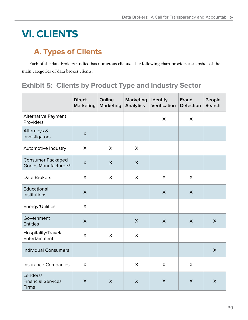# **VI. CLIENTS**

## **A. Types of Clients**

Each of the data brokers studied has numerous clients. The following chart provides a snapshot of the main categories of data broker clients.

## **Exhibit 5: Clients by Product Type and Industry Sector**

|                                                  | <b>Direct</b><br><b>Marketing</b> | Online<br><b>Marketing</b> | <b>Marketing</b><br><b>Analytics</b> | Identity<br>Verification | Fraud<br><b>Detection</b> | People<br><b>Search</b> |
|--------------------------------------------------|-----------------------------------|----------------------------|--------------------------------------|--------------------------|---------------------------|-------------------------|
| <b>Alternative Payment</b><br>Providersi         |                                   |                            |                                      | $\times$                 | X                         |                         |
| Attorneys &<br>Investigators                     | $\sf X$                           |                            |                                      |                          |                           |                         |
| Automotive Industry                              | X                                 | X                          | X                                    |                          |                           |                         |
| <b>Consumer Packaged</b><br>Goods Manufacturers" | $\mathsf{X}$                      | $\times$                   | $\overline{X}$                       |                          |                           |                         |
| Data Brokers                                     | $\times$                          | $\times$                   | $\times$                             | $\times$                 | $\times$                  |                         |
| Educational<br>Institutions                      | $\sf X$                           |                            |                                      | $\times$                 | $\times$                  |                         |
| Energy/Utilities                                 | X                                 |                            |                                      |                          |                           |                         |
| Government<br><b>Entities</b>                    | $\sf X$                           |                            | $\times$                             | $\times$                 | $\times$                  | $\overline{X}$          |
| Hospitality/Travel/<br>Entertainment             | X                                 | $\times$                   | $\times$                             |                          |                           |                         |
| <b>Individual Consumers</b>                      |                                   |                            |                                      |                          |                           | $\mathsf{X}$            |
| <b>Insurance Companies</b>                       | $\times$                          |                            | X                                    | $\times$                 | $\times$                  |                         |
| Lenders/<br><b>Financial Services</b><br>Firms   | $\times$                          | $\times$                   | $\times$                             | $\times$                 | $\times$                  | $\sf X$                 |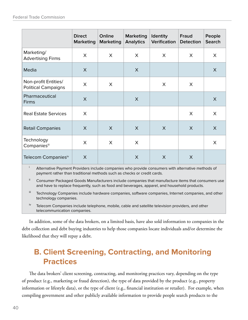|                                                    | <b>Direct</b><br><b>Marketing</b> | Online<br><b>Marketing</b> | <b>Marketing</b><br><b>Analytics</b> | <b>Identity</b><br><b>Verification</b> | Fraud<br><b>Detection</b> | People<br><b>Search</b> |
|----------------------------------------------------|-----------------------------------|----------------------------|--------------------------------------|----------------------------------------|---------------------------|-------------------------|
| Marketing/<br><b>Advertising Firms</b>             | $\times$                          | X                          | X                                    | X                                      | X                         | X                       |
| Media                                              | $\times$                          |                            | X                                    |                                        |                           | $\sf X$                 |
| Non-profit Entities/<br><b>Political Campaigns</b> | X                                 | X                          |                                      | X                                      | X                         |                         |
| Pharmaceutical<br>Firms                            | $\sf X$                           |                            | X                                    |                                        |                           | $\sf X$                 |
| <b>Real Estate Services</b>                        | $\times$                          |                            |                                      |                                        | X                         | $\mathsf{X}$            |
| <b>Retail Companies</b>                            | $\sf X$                           | $\sf X$                    | $\sf X$                              | X                                      | $\sf X$                   | $\overline{X}$          |
| Technology<br>Companiesiii                         | $\times$                          | $\times$                   | X                                    |                                        |                           | $\mathsf{X}$            |
| Telecom Companiesiv                                | $\times$                          |                            | X                                    | X                                      | X                         |                         |

Alternative Payment Providers include companies who provide consumers with alternative methods of payment rather than traditional methods such as checks or credit cards.

ii Consumer Packaged Goods Manufacturers include companies that manufacture items that consumers use and have to replace frequently, such as food and beverages, apparel, and household products.

iii Technology Companies include hardware companies, software companies, Internet companies, and other technology companies.

iv Telecom Companies include telephone, mobile, cable and satellite television providers, and other telecommunication companies.

In addition, some of the data brokers, on a limited basis, have also sold information to companies in the debt collection and debt buying industries to help those companies locate individuals and/or determine the likelihood that they will repay a debt.

## **B. Client Screening, Contracting, and Monitoring Practices**

The data brokers' client screening, contracting, and monitoring practices vary, depending on the type of product (e.g., marketing or fraud detection), the type of data provided by the product (e.g., property information or lifestyle data), or the type of client (e.g., financial institution or retailer). For example, when compiling government and other publicly available information to provide people search products to the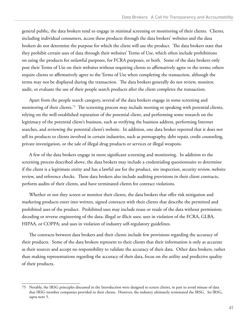general public, the data brokers tend to engage in minimal screening or monitoring of their clients. Clients, including individual consumers, access these products through the data brokers' websites and the data brokers do not determine the purpose for which the client will use the product. The data brokers state that they prohibit certain uses of data through their websites' Terms of Use, which often include prohibitions on using the products for unlawful purposes, for FCRA purposes, or both. Some of the data brokers only post their Terms of Use on their websites without requiring clients to affirmatively agree to the terms; others require clients to affirmatively agree to the Terms of Use when completing the transaction, although the terms may not be displayed during the transaction. The data brokers generally do not review, monitor, audit, or evaluate the use of their people search products after the client completes the transaction.

Apart from the people search category, several of the data brokers engage in some screening and monitoring of their clients.<sup>75</sup> The screening process may include meeting or speaking with potential clients, relying on the well-established reputation of the potential client, and performing some research on the legitimacy of the potential client's business, such as verifying the business address, performing Internet searches, and reviewing the potential client's website. In addition, one data broker reported that it does not sell its products to clients involved in certain industries, such as pornography, debt repair, credit counseling, private investigation, or the sale of illegal drug products or services or illegal weapons.

A few of the data brokers engage in more significant screening and monitoring. In addition to the screening process described above, the data brokers may include a credentialing questionnaire to determine if the client is a legitimate entity and has a lawful use for the product, site inspection, security review, website review, and reference checks. These data brokers also include auditing provisions in their client contracts, perform audits of their clients, and have terminated clients for contract violations.

Whether or not they screen or monitor their clients, the data brokers that offer risk mitigation and marketing products enter into written, signed contracts with their clients that describe the permitted and prohibited uses of the product. Prohibited uses may include reuse or resale of the data without permission; decoding or reverse engineering of the data; illegal or illicit uses; uses in violation of the FCRA, GLBA, HIPAA, or COPPA; and uses in violation of industry self-regulatory guidelines.

The contracts between data brokers and their clients include few provisions regarding the accuracy of their products. Some of the data brokers represent to their clients that their information is only as accurate as their sources and accept no responsibility to validate the accuracy of their data. Other data brokers, rather than making representations regarding the accuracy of their data, focus on the utility and predictive quality of their products.

<sup>75</sup> Notably, the IRSG principles discussed in the Introduction were designed to screen clients, in part to avoid misuse of data that IRSG member companies provided to their clients. However, the industry ultimately terminated the IRSG. *See* IRSG, *supra* note 5.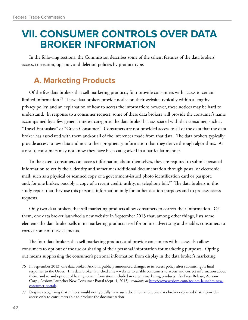# **VII. CONSUMER CONTROLS OVER DATA BROKER INFORMATION**

In the following sections, the Commission describes some of the salient features of the data brokers' access, correction, opt-out, and deletion policies by product type.

## **A. Marketing Products**

Of the five data brokers that sell marketing products, four provide consumers with access to certain limited information.<sup>76</sup> These data brokers provide notice on their website, typically within a lengthy privacy policy, and an explanation of how to access the information; however, these notices may be hard to understand. In response to a consumer request, some of these data brokers will provide the consumer's name accompanied by a few general interest categories the data broker has associated with that consumer, such as "Travel Enthusiast" or "Green Consumer." Consumers are not provided access to all of the data that the data broker has associated with them and/or all of the inferences made from that data. The data brokers typically provide access to raw data and not to their proprietary information that they derive through algorithms. As a result, consumers may not know they have been categorized in a particular manner.

To the extent consumers can access information about themselves, they are required to submit personal information to verify their identity and sometimes additional documentation through postal or electronic mail, such as a physical or scanned copy of a government-issued photo identification card or passport, and, for one broker, possibly a copy of a recent credit, utility, or telephone bill.<sup>77</sup> The data brokers in this study report that they use this personal information only for authentication purposes and to process access requests.

Only two data brokers that sell marketing products allow consumers to correct their information. Of them, one data broker launched a new website in September 2013 that, among other things, lists some elements the data broker sells in its marketing products used for online advertising and enables consumers to correct some of these elements.

The four data brokers that sell marketing products and provide consumers with access also allow consumers to opt out of the use or sharing of their personal information for marketing purposes. Opting out means suppressing the consumer's personal information from display in the data broker's marketing

<sup>76</sup> In September 2013, one data broker, Acxiom, publicly announced changes to its access policy after submitting its final responses to the Order. This data broker launched a new website to enable consumers to access and correct information about them, and to and opt out of having some information included in certain marketing products. *See* Press Release, Acxiom Corp., Acxiom Launches New Consumer Portal (Sept. 4, 2013), *available at* [http://www.acxiom.com/acxiom-launches-new](http://www.acxiom.com/acxiom-launches-new-consumer-portal/)[consumer-portal/.](http://www.acxiom.com/acxiom-launches-new-consumer-portal/)

<sup>77</sup> Despite recognizing that minors would not typically have such documentation, one data broker explained that it provides access only to consumers able to produce the documentation.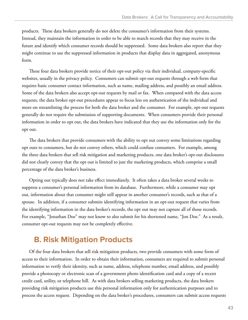products. These data brokers generally do not delete the consumer's information from their systems. Instead, they maintain the information in order to be able to match records that they may receive in the future and identify which consumer records should be suppressed. Some data brokers also report that they might continue to use the suppressed information in products that display data in aggregated, anonymous form.

These four data brokers provide notice of their opt-out policy via their individual, company-specific websites, usually in the privacy policy. Consumers can submit opt-out requests through a web form that requires basic consumer contact information, such as name, mailing address, and possibly an email address. Some of the data brokers also accept opt-out requests by mail or fax. When compared with the data access requests, the data broker opt-out procedures appear to focus less on authentication of the individual and more on streamlining the process for both the data broker and the consumer. For example, opt-out requests generally do not require the submission of supporting documents. When consumers provide their personal information in order to opt out, the data brokers have indicated that they use the information only for the opt out.

The data brokers that provide consumers with the ability to opt out convey some limitations regarding opt outs to consumers, but do not convey others, which could confuse consumers. For example, among the three data brokers that sell risk mitigation and marketing products, one data broker's opt-out disclosures did not clearly convey that the opt out is limited to just the marketing products, which comprise a small percentage of the data broker's business.

Opting out typically does not take effect immediately. It often takes a data broker several weeks to suppress a consumer's personal information from its database. Furthermore, while a consumer may opt out, information about that consumer might still appear in another consumer's records, such as that of a spouse. In addition, if a consumer submits identifying information in an opt-out request that varies from the identifying information in the data broker's records, the opt out may not capture all of those records. For example, "Jonathan Doe" may not know to also submit for his shortened name, "Jon Doe." As a result, consumer opt-out requests may not be completely effective.

## **B. Risk Mitigation Products**

Of the four data brokers that sell risk mitigation products, two provide consumers with some form of access to their information. In order to obtain their information, consumers are required to submit personal information to verify their identity, such as name, address, telephone number, email address, and possibly provide a photocopy or electronic scan of a government photo identification card and a copy of a recent credit card, utility, or telephone bill. As with data brokers selling marketing products, the data brokers providing risk mitigation products use this personal information only for authentication purposes and to process the access request. Depending on the data broker's procedures, consumers can submit access requests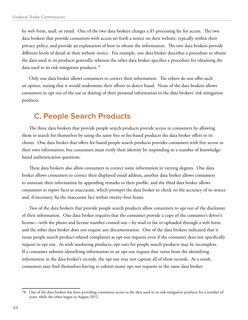by web form, mail, or email. One of the two data brokers charges a \$5 processing fee for access. The two data brokers that provide consumers with access set forth a notice on their website, typically within their privacy policy, and provide an explanation of how to obtain the information. The two data brokers provide different levels of detail in their website notice. For example, one data broker describes a procedure to obtain the data used in its products generally, whereas the other data broker specifies a procedure for obtaining the data used in its risk mitigation products.<sup>78</sup>

Only one data broker allows consumers to correct their information. The others do not offer such an option, stating that it would undermine their efforts to detect fraud. None of the data brokers allows consumers to opt out of the use or sharing of their personal information in the data brokers' risk mitigation products.

## **C. People Search Products**

The three data brokers that provide people search products provide access to consumers by allowing them to search for themselves by using the same free or fee-based products the data broker offers to its clients. One data broker that offers fee-based people search products provides consumers with free access to their own information, but consumers must verify their identity by responding to a number of knowledgebased authentication questions.

These data brokers also allow consumers to correct some information in varying degrees. One data broker allows consumers to correct their displayed email address, another data broker allows consumers to annotate their information by appending remarks to their profile, and the third data broker allows consumers to report facts as inaccurate, which prompts the data broker to check on the accuracy of its source and, if necessary, fix the inaccurate fact within twenty-four hours.

Two of the data brokers that provide people search products allow consumers to opt out of the disclosure of their information. One data broker requires that the consumer provide a copy of the consumer's driver's license—with the photo and license number crossed out—by mail or fax or uploaded through a web form, and the other data broker does not require any documentation. One of the data brokers indicated that it treats people search product-related complaints as opt-out requests even if the consumer does not specifically request to opt out. As with marketing products, opt outs for people search products may be incomplete. If a consumer submits identifying information in an opt-out request that varies from the identifying information in the data broker's records, the opt out may not capture all of those records. As a result, consumers may find themselves having to submit many opt-out requests to the same data broker.

<sup>78</sup> One of the data brokers has been providing consumers access to the data used in its risk mitigation products for a number of years, while the other began in August 2012.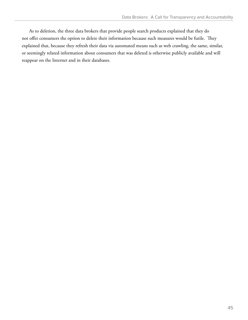As to deletion, the three data brokers that provide people search products explained that they do not offer consumers the option to delete their information because such measures would be futile. They explained that, because they refresh their data via automated means such as web crawling, the same, similar, or seemingly related information about consumers that was deleted is otherwise publicly available and will reappear on the Internet and in their databases.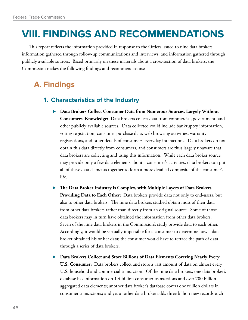# **VIII. FINDINGS AND RECOMMENDATIONS**

This report reflects the information provided in response to the Orders issued to nine data brokers, information gathered through follow-up communications and interviews, and information gathered through publicly available sources. Based primarily on these materials about a cross-section of data brokers, the Commission makes the following findings and recommendations:

## **A. Findings**

- **1. Characteristics of the Industry**
	- **⊲ Data Brokers Collect Consumer Data from Numerous Sources, Largely Without Consumers' Knowledge:** Data brokers collect data from commercial, government, and other publicly available sources. Data collected could include bankruptcy information, voting registration, consumer purchase data, web browsing activities, warranty registrations, and other details of consumers' everyday interactions. Data brokers do not obtain this data directly from consumers, and consumers are thus largely unaware that data brokers are collecting and using this information. While each data broker source may provide only a few data elements about a consumer's activities, data brokers can put all of these data elements together to form a more detailed composite of the consumer's life.
	- **⊲ The Data Broker Industry is Complex, with Multiple Layers of Data Brokers Providing Data to Each Other:** Data brokers provide data not only to end-users, but also to other data brokers. The nine data brokers studied obtain most of their data from other data brokers rather than directly from an original source. Some of those data brokers may in turn have obtained the information from other data brokers. Seven of the nine data brokers in the Commission's study provide data to each other. Accordingly, it would be virtually impossible for a consumer to determine how a data broker obtained his or her data; the consumer would have to retrace the path of data through a series of data brokers.
	- **⊲ Data Brokers Collect and Store Billions of Data Elements Covering Nearly Every U.S. Consumer:** Data brokers collect and store a vast amount of data on almost every U.S. household and commercial transaction. Of the nine data brokers, one data broker's database has information on 1.4 billion consumer transactions and over 700 billion aggregated data elements; another data broker's database covers one trillion dollars in consumer transactions; and yet another data broker adds three billion new records each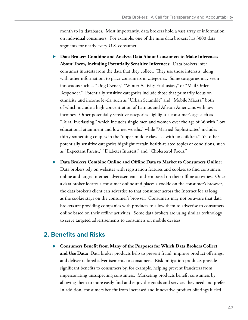month to its databases. Most importantly, data brokers hold a vast array of information on individual consumers. For example, one of the nine data brokers has 3000 data segments for nearly every U.S. consumer.

- **⊲ Data Brokers Combine and Analyze Data About Consumers to Make Inferences About Them, Including Potentially Sensitive Inferences:** Data brokers infer consumer interests from the data that they collect. They use those interests, along with other information, to place consumers in categories. Some categories may seem innocuous such as "Dog Owner," "Winter Activity Enthusiast," or "Mail Order Responder." Potentially sensitive categories include those that primarily focus on ethnicity and income levels, such as "Urban Scramble" and "Mobile Mixers," both of which include a high concentration of Latinos and African Americans with low incomes. Other potentially sensitive categories highlight a consumer's age such as "Rural Everlasting," which includes single men and women over the age of 66 with "low educational attainment and low net worths," while "Married Sophisticates" includes thirty-something couples in the "upper-middle class . . . with no children." Yet other potentially sensitive categories highlight certain health-related topics or conditions, such as "Expectant Parent," "Diabetes Interest," and "Cholesterol Focus."
- **⊲ Data Brokers Combine Online and Offline Data to Market to Consumers Online:**  Data brokers rely on websites with registration features and cookies to find consumers online and target Internet advertisements to them based on their offline activities. Once a data broker locates a consumer online and places a cookie on the consumer's browser, the data broker's client can advertise to that consumer across the Internet for as long as the cookie stays on the consumer's browser. Consumers may not be aware that data brokers are providing companies with products to allow them to advertise to consumers online based on their offline activities. Some data brokers are using similar technology to serve targeted advertisements to consumers on mobile devices.

#### **2. Benefits and Risks**

**⊲ Consumers Benefit from Many of the Purposes for Which Data Brokers Collect and Use Data:** Data broker products help to prevent fraud, improve product offerings, and deliver tailored advertisements to consumers. Risk mitigation products provide significant benefits to consumers by, for example, helping prevent fraudsters from impersonating unsuspecting consumers. Marketing products benefit consumers by allowing them to more easily find and enjoy the goods and services they need and prefer. In addition, consumers benefit from increased and innovative product offerings fueled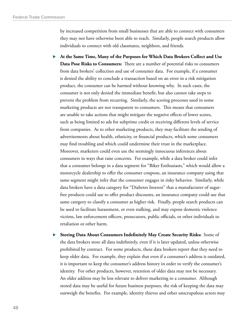by increased competition from small businesses that are able to connect with consumers they may not have otherwise been able to reach. Similarly, people search products allow individuals to connect with old classmates, neighbors, and friends.

- **⊲ At the Same Time, Many of the Purposes for Which Data Brokers Collect and Use Data Pose Risks to Consumers:** There are a number of potential risks to consumers from data brokers' collection and use of consumer data. For example, if a consumer is denied the ability to conclude a transaction based on an error in a risk mitigation product, the consumer can be harmed without knowing why. In such cases, the consumer is not only denied the immediate benefit, but also cannot take steps to prevent the problem from recurring. Similarly, the scoring processes used in some marketing products are not transparent to consumers. This means that consumers are unable to take actions that might mitigate the negative effects of lower scores, such as being limited to ads for subprime credit or receiving different levels of service from companies. As to other marketing products, they may facilitate the sending of advertisements about health, ethnicity, or financial products, which some consumers may find troubling and which could undermine their trust in the marketplace. Moreover, marketers could even use the seemingly innocuous inferences about consumers in ways that raise concerns. For example, while a data broker could infer that a consumer belongs in a data segment for "Biker Enthusiasts," which would allow a motorcycle dealership to offer the consumer coupons, an insurance company using that same segment might infer that the consumer engages in risky behavior. Similarly, while data brokers have a data category for "Diabetes Interest" that a manufacturer of sugarfree products could use to offer product discounts, an insurance company could use that same category to classify a consumer as higher risk. Finally, people search products can be used to facilitate harassment, or even stalking, and may expose domestic violence victims, law enforcement officers, prosecutors, public officials, or other individuals to retaliation or other harm.
- **⊲ Storing Data About Consumers Indefinitely May Create Security Risks:** Some of the data brokers store all data indefinitely, even if it is later updated, unless otherwise prohibited by contract. For some products, these data brokers report that they need to keep older data. For example, they explain that even if a consumer's address is outdated, it is important to keep the consumer's address history in order to verify the consumer's identity. For other products, however, retention of older data may not be necessary. An older address may be less relevant to deliver marketing to a consumer. Although stored data may be useful for future business purposes, the risk of keeping the data may outweigh the benefits. For example, identity thieves and other unscrupulous actors may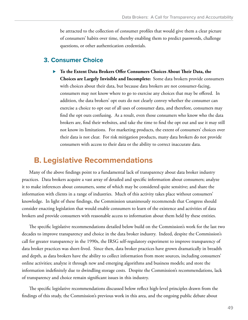be attracted to the collection of consumer profiles that would give them a clear picture of consumers' habits over time, thereby enabling them to predict passwords, challenge questions, or other authentication credentials.

#### **3. Consumer Choice**

**⊲ To the Extent Data Brokers Offer Consumers Choices About Their Data, the Choices are Largely Invisible and Incomplete:** Some data brokers provide consumers with choices about their data, but because data brokers are not consumer-facing, consumers may not know where to go to exercise any choices that may be offered. In addition, the data brokers' opt outs do not clearly convey whether the consumer can exercise a choice to opt out of all uses of consumer data, and therefore, consumers may find the opt outs confusing. As a result, even those consumers who know who the data brokers are, find their websites, and take the time to find the opt out and use it may still not know its limitations. For marketing products, the extent of consumers' choices over their data is not clear. For risk mitigation products, many data brokers do not provide consumers with access to their data or the ability to correct inaccurate data.

#### **B. Legislative Recommendations**

Many of the above findings point to a fundamental lack of transparency about data broker industry practices. Data brokers acquire a vast array of detailed and specific information about consumers; analyze it to make inferences about consumers, some of which may be considered quite sensitive; and share the information with clients in a range of industries. Much of this activity takes place without consumers' knowledge. In light of these findings, the Commission unanimously recommends that Congress should consider enacting legislation that would enable consumers to learn of the existence and activities of data brokers and provide consumers with reasonable access to information about them held by these entities.

The specific legislative recommendations detailed below build on the Commission's work for the last two decades to improve transparency and choice in the data broker industry. Indeed, despite the Commission's call for greater transparency in the 1990s, the IRSG self-regulatory experiment to improve transparency of data broker practices was short-lived. Since then, data broker practices have grown dramatically in breadth and depth, as data brokers have the ability to collect information from more sources, including consumers' online activities; analyze it through new and emerging algorithms and business models; and store the information indefinitely due to dwindling storage costs. Despite the Commission's recommendations, lack of transparency and choice remain significant issues in this industry.

The specific legislative recommendations discussed below reflect high-level principles drawn from the findings of this study, the Commission's previous work in this area, and the ongoing public debate about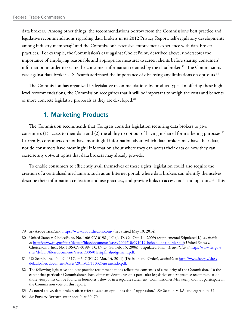data brokers. Among other things, the recommendations borrow from the Commission's best practice and legislative recommendations regarding data brokers in its 2012 Privacy Report; self-regulatory developments among industry members;<sup>79</sup> and the Commission's extensive enforcement experience with data broker practices. For example, the Commission's case against ChoicePoint, described above, underscores the importance of employing reasonable and appropriate measures to screen clients before sharing consumers' information in order to secure the consumer information retained by the data broker.<sup>80</sup> The Commission's case against data broker U.S. Search addressed the importance of disclosing any limitations on opt-outs.<sup>81</sup>

The Commission has organized its legislative recommendations by product type. In offering these highlevel recommendations, the Commission recognizes that it will be important to weigh the costs and benefits of more concrete legislative proposals as they are developed.82

#### **1. Marketing Products**

The Commission recommends that Congress consider legislation requiring data brokers to give consumers (1) access to their data and (2) the ability to opt out of having it shared for marketing purposes.<sup>83</sup> Currently, consumers do not have meaningful information about which data brokers may have their data, nor do consumers have meaningful information about where they can access their data or how they can exercise any opt-out rights that data brokers may already provide.

To enable consumers to efficiently avail themselves of these rights, legislation could also require the creation of a centralized mechanism, such as an Internet portal, where data brokers can identify themselves, describe their information collection and use practices, and provide links to access tools and opt outs.84 This

<sup>79</sup> *See* AboutTheData,<https://www.aboutthedata.com/> (last visited May 19, 2014).

<sup>80</sup> United States v. ChoicePoint, No. 1:06-CV-0198-JTC (N.D. Ga. Oct. 14, 2009) (Supplemental Stipulated J.), *available at* <http://www.ftc.gov/sites/default/files/documents/cases/2009/10/091019choicepointstiporder.pdf>; United States v. ChoicePoint, Inc., No. 1:06-CV-0198-JTC (N.D. Ga. Feb. 15, 2006) (Stipulated Final J.), *available at* [http://www.ftc.gov/](http://www.ftc.gov/sites/default/files/documents/cases/2006/01/stipfinaljudgement.pdf) [sites/default/files/documents/cases/2006/01/stipfinaljudgement.pdf](http://www.ftc.gov/sites/default/files/documents/cases/2006/01/stipfinaljudgement.pdf).

<sup>81</sup> US Search, Inc., No. C-4317, at 6–7 (F.T.C. Mar. 14, 2011) (Decision and Order), *available at* [http://www.ftc.gov/sites/](http://www.ftc.gov/sites/default/files/documents/cases/2011/03/110325ussearchdo.pdf) [default/files/documents/cases/2011/03/110325ussearchdo.pdf](http://www.ftc.gov/sites/default/files/documents/cases/2011/03/110325ussearchdo.pdf).

<sup>82</sup> The following legislative and best practice recommendations reflect the consensus of a majority of the Commission. To the extent that particular Commissioners have different viewpoints on a particular legislative or best practice recommendation, those viewpoints can be found in footnotes below or in a separate statement. Commissioner McSweeny did not participate in the Commission vote on this report.

<sup>83</sup> As noted above, data brokers often refer to such an opt out as data "suppression." *See* Section VII.A. and *supra* note 54.

<sup>84</sup> *See* Privacy Report, *supra* note 9, at 69–70.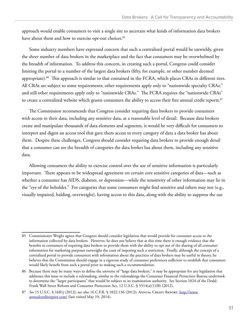approach would enable consumers to visit a single site to ascertain what kinds of information data brokers have about them and how to exercise opt-out choices.<sup>85</sup>

Some industry members have expressed concern that such a centralized portal would be unwieldy, given the sheer number of data brokers in the marketplace and the fact that consumers may be overwhelmed by the breadth of information. To address this concern, in creating such a portal, Congress could consider limiting the portal to a number of the largest data brokers (fifty, for example, or other number deemed appropriate).<sup>86</sup> This approach is similar to that contained in the FCRA, which places CRAs in different tiers. All CRAs are subject to some requirements; other requirements apply only to "nationwide specialty CRAs;" and still other requirements apply only to "nationwide CRAs." The FCRA requires the "nationwide CRAs" to create a centralized website which grants consumers the ability to access their free annual credit reports.<sup>87</sup>

The Commission recommends that Congress consider requiring data brokers to provide consumers with access to their data, including any sensitive data, at a reasonable level of detail. Because data brokers create and manipulate thousands of data elements and segments, it would be very difficult for consumers to interpret and digest an access tool that gave them access to every category of data a data broker has about them. Despite these challenges, Congress should consider requiring data brokers to provide enough detail that a consumer can see the breadth of categories the data broker has about them, including any sensitive data.

Allowing consumers the ability to exercise control over the use of sensitive information is particularly important. There appears to be widespread agreement on certain core sensitive categories of data—such as whether a consumer has AIDS, diabetes, or depression—while the sensitivity of other information may lie in the "eye of the beholder." For categories that some consumers might find sensitive and others may not (e.g., visually impaired, balding, overweight), having access to this data, along with the ability to suppress the use

<sup>85</sup> Commissioner Wright agrees that Congress should consider legislation that would provide for consumer access to the information collected by data brokers. However, he does not believe that at this time there is enough evidence that the benefits to consumers of requiring data brokers to provide them with the ability to opt out of the sharing of all consumer information for marketing purposes outweighs the costs of imposing such a restriction. Finally, although the concept of a centralized portal to provide consumers with information about the practices of data brokers may be useful in theory, he believes that the Commission should engage in a rigorous study of consumer preferences sufficient to establish that consumers would likely benefit from such a portal prior to making such a recommendation.

<sup>86</sup> Because there may be many ways to define the universe of "large data brokers," it may be appropriate for any legislation that addresses this issue to include a rulemaking, similar to the rulemakings the Consumer Financial Protection Bureau undertook to determine the "larger participants" that would be subject to its examination authority. See Section 1024 of the Dodd-Frank Wall Street Reform and Consumer Protection Act, 12 U.S.C. § 5514(a)(1)(B) (2012).

<sup>87</sup> See 15 U.S.C. § 1681j (2012); see also 16 C.F.R. § 1022.136 (2012); ANNUAL CREDIT REPORT, [http://www.](http://www.annualcreditreport.com/) [annualcreditreport.com/](http://www.annualcreditreport.com/) (last visited May 19, 2014).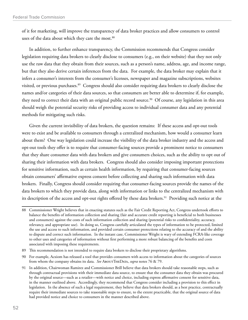of it for marketing, will improve the transparency of data broker practices and allow consumers to control uses of the data about which they care the most.<sup>88</sup>

In addition, to further enhance transparency, the Commission recommends that Congress consider legislation requiring data brokers to clearly disclose to consumers (e.g., on their website) that they not only use the raw data that they obtain from their sources, such as a person's name, address, age, and income range, but that they also derive certain inferences from the data. For example, the data broker may explain that it infers a consumer's interests from the consumer's licenses, newspaper and magazine subscriptions, websites visited, or previous purchases.89 Congress should also consider requiring data brokers to clearly disclose the names and/or categories of their data sources, so that consumers are better able to determine if, for example, they need to correct their data with an original public record source.<sup>90</sup> Of course, any legislation in this area should weigh the potential security risks of providing access to individual consumer data and any potential methods for mitigating such risks.

Given the current invisibility of data brokers, the question remains: If these access and opt-out tools were to exist and be available to consumers through a centralized mechanism, how would a consumer learn about them? One way legislation could increase the visibility of the data broker industry and the access and opt-out tools they offer is to require that consumer-facing sources provide a prominent notice to consumers that they share consumer data with data brokers and give consumers choices, such as the ability to opt out of sharing their information with data brokers. Congress should also consider imposing important protections for sensitive information, such as certain health information, by requiring that consumer-facing sources obtain consumers' affirmative express consent before collecting and sharing such information with data brokers. Finally, Congress should consider requiring that consumer-facing sources provide the names of the data brokers to which they provide data, along with information or links to the centralized mechanism with its description of the access and opt-out rights offered by these data brokers.<sup>91</sup> Providing such notice at the

<sup>88</sup> Commissioner Wright believes that in enacting statutes such as the Fair Credit Reporting Act, Congress undertook efforts to balance the benefits of information collection and sharing (fair and accurate credit reporting is beneficial to both businesses and consumers) against the costs of such information collection and sharing (potential risks to confidentiality, accuracy, relevancy, and appropriate use). In doing so, Congress carefully articulated the types of information to be protected, limited the use and access to such information, and provided certain consumer protections relating to the accuracy of and the ability to dispute and correct such information. In the instant case, Commissioner Wright is wary of extending FCRA-like coverage to other uses and categories of information without first performing a more robust balancing of the benefits and costs associated with imposing these requirements.

<sup>89</sup> This recommendation is not intended to require data brokers to disclose their proprietary algorithms.

<sup>90</sup> For example, Acxiom has released a tool that provides consumers with access to information about the categories of sources from whom the company obtains its data. *See* AboutTheData, *supra* notes 76 & 79.

<sup>91</sup> In addition, Chairwoman Ramirez and Commissioner Brill believe that data brokers should take reasonable steps, such as through contractual provisions with their immediate data source, to ensure that the consumer data they obtain was procured by the original source—such as a retailer—with notice and choice, including express affirmative consent for sensitive data, in the manner outlined above. Accordingly, they recommend that Congress consider including a provision to this effect in legislation. In the absence of such a legal requirement, they believe that data brokers should, as a best practice, contractually require their immediate sources to take reasonable steps to ensure, to the extent practicable, that the original source of data had provided notice and choice to consumers in the manner described above.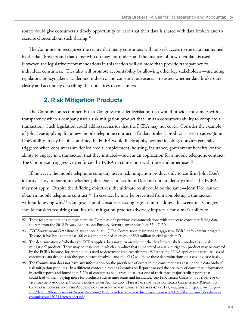source could give consumers a timely opportunity to learn that their data is shared with data brokers and to exercise choices about such sharing.<sup>92</sup>

The Commission recognizes the reality that many consumers will not seek access to the data maintained by the data brokers and that those who do may not understand the nuances of how their data is used. However, the legislative recommendations in this section will do more than provide transparency to individual consumers. They also will promote accountability by allowing other key stakeholders—including regulators, policymakers, academics, industry, and consumer advocates—to assess whether data brokers are clearly and accurately describing their practices to consumers.

#### **2. Risk Mitigation Products**

The Commission recommends that Congress consider legislation that would provide consumers with transparency when a company uses a risk mitigation product that limits a consumer's ability to complete a transaction. Such legislation could address scenarios that the FCRA may not cover. Consider the example of John Doe applying for a new mobile telephone contract. If a data broker's product is used to assess John Doe's ability to pay his bills on time, the FCRA would likely apply, because its obligations are generally triggered when consumers are denied credit, employment, housing, insurance, government benefits, or the ability to engage in a transaction that they initiated—such as an application for a mobile telephone contract. The Commission aggressively enforces the FCRA in connection with these and other uses.<sup>93</sup>

If, however, the mobile telephone company uses a risk mitigation product only to confirm John Doe's identity—i.e., to determine whether John Doe is in fact John Doe and not an identity thief—the FCRA may not apply. Despite the differing objectives, the ultimate result could be the same—John Doe cannot obtain a mobile telephone contract.<sup>94</sup> In essence, he may be prevented from completing a transaction without knowing why.<sup>95</sup> Congress should consider enacting legislation to address this scenario. Congress should consider requiring that, if a risk mitigation product adversely impacts a consumer's ability to

<sup>92</sup> These recommendations complement the Commission's previous recommendations with respect to consumer-facing data sources from the 2012 Privacy Report. *See* Privacy Report, *supra* note 9, at 35, 47–50.

<sup>93</sup> *FTC Statement on Data Brokers, supra* note 3, at 4 ("The Commission maintains an aggressive FCRA enforcement program. To date, it has brought almost 100 cases and obtained in excess of \$30 million in civil penalties.").

<sup>94</sup> The determination of whether the FCRA applies does not turn on whether the data broker labels a product as a "risk mitigation" product. There may be instances in which a product that is marketed as a risk mitigation product may be covered by the FCRA because, for example, it is used to determine creditworthiness. Whether the FCRA applies to particular uses of consumer data depends on the specific facts involved, and the FTC will make these determinations on a case-by-case basis.

<sup>95</sup> The Commission does not have any information on the prevalence of errors in the consumer data that underlie data brokers' risk mitigation products. In a different context, a recent Commission Report assessed the accuracy of consumer information in credit reports and found that 5.2% of consumers had errors on at least one of their three major credit reports that could lead to them paying more for products such as auto loans and insurance. *See* FED. TRADE COMM'N, SECTION 319 OF the Fair and Accurate Credit Transactions Act of 2003: Fifth Interim Federal Trade Commission Report to Congress Concerning the Accuracy of Information in Credit Reports 47 (2012), *available at* [http://www.ftc.gov/](http://www.ftc.gov/sites/default/files/documents/reports/section-319-fair-and-accurate-credit-transactions-act-2003-fifth-interim-federal-trade-commission/130211factareport.pdf) [sites/default/files/documents/reports/section-319-fair-and-accurate-credit-transactions-act-2003-fifth-interim-federal-trade](http://www.ftc.gov/sites/default/files/documents/reports/section-319-fair-and-accurate-credit-transactions-act-2003-fifth-interim-federal-trade-commission/130211factareport.pdf)[commission/130211factareport.pdf.](http://www.ftc.gov/sites/default/files/documents/reports/section-319-fair-and-accurate-credit-transactions-act-2003-fifth-interim-federal-trade-commission/130211factareport.pdf)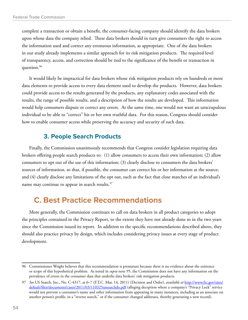complete a transaction or obtain a benefit, the consumer-facing company should identify the data brokers upon whose data the company relied. These data brokers should in turn give consumers the right to access the information used and correct any erroneous information, as appropriate. One of the data brokers in our study already implements a similar approach for its risk mitigation products. The required level of transparency, access, and correction should be tied to the significance of the benefit or transaction in question.96

It would likely be impractical for data brokers whose risk mitigation products rely on hundreds or more data elements to provide access to every data element used to develop the products. However, data brokers could provide access to the results generated by the products, any explanatory codes associated with the results, the range of possible results, and a description of how the results are developed. This information would help consumers dispute or correct any errors. At the same time, one would not want an unscrupulous individual to be able to "correct" his or her own truthful data. For this reason, Congress should consider how to enable consumer access while preserving the accuracy and security of such data.

#### **3. People Search Products**

Finally, the Commission unanimously recommends that Congress consider legislation requiring data brokers offering people search products to: (1) allow consumers to access their own information; (2) allow consumers to opt out of the use of this information; (3) clearly disclose to consumers the data brokers' sources of information, so that, if possible, the consumer can correct his or her information at the source; and (4) clearly disclose any limitations of the opt out, such as the fact that close matches of an individual's name may continue to appear in search results.<sup>97</sup>

## **C. Best Practice Recommendations**

More generally, the Commission continues to call on data brokers in all product categories to adopt the principles contained in the Privacy Report, to the extent they have not already done so in the two years since the Commission issued its report. In addition to the specific recommendations described above, they should also practice privacy by design, which includes considering privacy issues at every stage of product development.

<sup>96</sup> Commissioner Wright believes that this recommendation is premature because there is no evidence about the existence or scope of this hypothetical problem. As noted in *supra* note 95, the Commission does not have any information on the prevalence of errors in the consumer data that underlie data brokers' risk mitigation products.

<sup>97</sup> *See* US Search, Inc., No. C-4317, at 6–7 (F.T.C. Mar. 14, 2011) (Decision and Order), *available at* [http://www.ftc.gov/sites/](http://www.ftc.gov/sites/default/files/documents/cases/2011/03/110325ussearchdo.pdf) [default/files/documents/cases/2011/03/110325ussearchdo.pdf](http://www.ftc.gov/sites/default/files/documents/cases/2011/03/110325ussearchdo.pdf) (alleging deception where a company's "Privacy Lock" service would not prevent a consumer's name and other information from appearing in many instances, including as an associate on another person's profile, in a "reverse search," or if the consumer changed addresses, thereby generating a new record).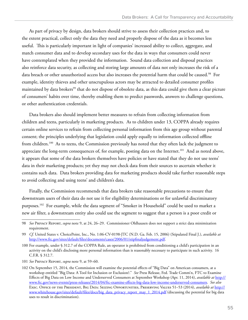As part of privacy by design, data brokers should strive to assess their collection practices and, to the extent practical, collect only the data they need and properly dispose of the data as it becomes less useful. This is particularly important in light of companies' increased ability to collect, aggregate, and match consumer data and to develop secondary uses for the data in ways that consumers could never have contemplated when they provided the information. Sound data collection and disposal practices also reinforce data security, as collecting and storing large amounts of data not only increases the risk of a data breach or other unauthorized access but also increases the potential harm that could be caused.<sup>98</sup> For example, identity thieves and other unscrupulous actors may be attracted to detailed consumer profiles maintained by data brokers<sup>99</sup> that do not dispose of obsolete data, as this data could give them a clear picture of consumers' habits over time, thereby enabling them to predict passwords, answers to challenge questions, or other authentication credentials.

Data brokers also should implement better measures to refrain from collecting information from children and teens, particularly in marketing products. As to children under 13, COPPA already requires certain online services to refrain from collecting personal information from this age group without parental consent; the principles underlying that legislation could apply equally to information collected offline from children.100 As to teens, the Commission previously has noted that they often lack the judgment to appreciate the long-term consequences of, for example, posting data on the Internet.<sup>101</sup> And as noted above, it appears that some of the data brokers themselves have policies or have stated that they do not use teens' data in their marketing products; yet they may not check data from their sources to ascertain whether it contains such data. Data brokers providing data for marketing products should take further reasonable steps to avoid collecting and using teens' and children's data.

Finally, the Commission recommends that data brokers take reasonable precautions to ensure that downstream users of their data do not use it for eligibility determinations or for unlawful discriminatory purposes.102 For example, while the data segment of "Smoker in Household" could be used to market a new air filter, a downstream entity also could use the segment to suggest that a person is a poor credit or

101 *See* Privacy Report, *supra* note 9, at 59–60.

<sup>98</sup> *See* Privacy Report, *supra* note 9, at 24, 26–29. Commissioner Ohlhausen does not support a strict data minimization requirement.

<sup>99</sup> *Cf.* United States v. ChoicePoint, Inc., No. 1:06-CV-0198-JTC (N.D. Ga. Feb. 15, 2006) (Stipulated Final J.), *available at* <http://www.ftc.gov/sites/default/files/documents/cases/2006/01/stipfinaljudgement.pdf>.

<sup>100</sup> For example, under § 312.7 of the COPPA Rule, an operator is prohibited from conditioning a child's participation in an activity on the child's disclosing more personal information than is reasonably necessary to participate in such activity. 16 C.F.R. § 312.7.

<sup>102</sup> On September 15, 2014, the Commission will examine the potential effects of "Big Data" on American consumers, at a workshop entitled "Big Data: A Tool for Inclusion or Exclusion?." *See* Press Release, Fed. Trade Comm'n, FTC to Examine Effects of Big Data on Low Income and Underserved Consumers at September Workshop (Apr. 11, 2014), *available at* [http://](http://www.ftc.gov/news-events/press-releases/2014/04/ftc-examine-effects-big-data-low-income-underserved-consumers) [www.ftc.gov/news-events/press-releases/2014/04/ftc-examine-effects-big-data-low-income-underserved-consumers](http://www.ftc.gov/news-events/press-releases/2014/04/ftc-examine-effects-big-data-low-income-underserved-consumers). *See also* Exec. Office of the President, Big Data: Seizing Opportunities, Preserving Values 51–53 (2014), *available at* [http://](http://www.whitehouse.gov/sites/default/files/docs/big_data_privacy_report_may_1_2014.pdf) [www.whitehouse.gov/sites/default/files/docs/big\\_data\\_privacy\\_report\\_may\\_1\\_2014.pdf](http://www.whitehouse.gov/sites/default/files/docs/big_data_privacy_report_may_1_2014.pdf) (discussing the potential for big data uses to result in discrimination).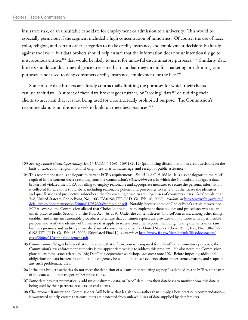insurance risk, or an unsuitable candidate for employment or admission to a university. This would be especially pernicious if the segment included a high concentration of minorities. Of course, the use of race, color, religion, and certain other categories to make credit, insurance, and employment decisions is already against the law,<sup>103</sup> but data brokers should help ensure that the information does not unintentionally go to unscrupulous entities<sup>104</sup> that would be likely to use it for unlawful discriminatory purposes.<sup>105</sup> Similarly, data brokers should conduct due diligence to ensure that data that they intend for marketing or risk mitigation purposes is not used to deny consumers credit, insurance, employment, or the like.106

Some of the data brokers are already contractually limiting the purposes for which their clients can use their data. A subset of these data brokers goes further, by "seeding" data<sup>107</sup> or auditing their clients to ascertain that it is not being used for a contractually prohibited purpose. The Commission's recommendations on this issue seek to build on these best practices.<sup>108</sup>

- 106 If the data broker's activities do not meet the definition of a "consumer reporting agency," as defined by the FCRA, these uses of the data would not trigger FCRA protections.
- 107 Some data brokers systematically add unique dummy data, or "seed" data, into their databases to monitor how this data is being used by their partners, resellers, or end clients.
- 108 Chairwoman Ramirez and Commissioner Brill believe that legislation—rather than simply a best practice recommendation is warranted to help ensure that consumers are protected from unlawful uses of data supplied by data brokers.

<sup>103</sup> *See, e.g.*, *Equal Credit Opportunity Act*, 15 U.S.C. § 1691–1691f (2012) (prohibiting discrimination in credit decisions on the basis of race, color, religion, national origin, sex, marital status, age, and receipt of public assistance).

<sup>104</sup> This recommendation is analogous to current FCRA requirements. *See* 15 U.S.C. § 1681e. It is also analogous to the relief required in the consent decree resulting from the Commission's *ChoicePoint* case, in which the Commission alleged a data broker had violated the FCRA by failing to employ reasonable and appropriate measures to secure the personal information it collected for sale to its subscribers, including reasonable policies and procedures to verify or authenticate the identities and qualifications of prospective subscribers, thereby enabling downstream illegal uses of consumers' data. *See* Complaint at 7–8, United States v. ChoicePoint, No. 1:06-CV-0198-JTC (N.D. Ga. Feb. 16, 2006), *available at* [http://www.ftc.gov/sites/](http://www.ftc.gov/sites/default/files/documents/cases/2006/01/0523069complaint.pdf) [default/files/documents/cases/2006/01/0523069complaint.pdf.](http://www.ftc.gov/sites/default/files/documents/cases/2006/01/0523069complaint.pdf) Notably, because some of ChoicePoint's activities were not FCRA-covered, the Commission alleged that ChoicePoint's failure to implement these policies and procedures was also an unfair practice under Section 5 of the FTC Act. *Id.* at 9. Under the consent decree, ChoicePoint must, among other things, establish and maintain reasonable procedures to ensure that consumer reports are provided only to those with a permissible purpose and verify the identity of businesses that apply to receive consumer reports, including making site visits to certain business premises and auditing subscribers' use of consumer reports. *See* United States v. ChoicePoint, Inc., No. 1:06-CV-0198-JTC (N.D. Ga. Feb. 15, 2006) (Stipulated Final J.), *available at* [http://www.ftc.gov/sites/default/files/documents/](http://www.ftc.gov/sites/default/files/documents/cases/2006/01/stipfinaljudgement.pdf) [cases/2006/01/stipfinaljudgement.pdf.](http://www.ftc.gov/sites/default/files/documents/cases/2006/01/stipfinaljudgement.pdf)

<sup>105</sup> Commissioner Wright believes that to the extent that information is being used for unlawful discriminatory purposes, the Commission's law enforcement authority is the appropriate vehicle to address this problem. He also notes the Commission plans to examine issues related to "Big Data" at a September workshop. *See supra* note 102. Before imposing additional obligations on data brokers to conduct due diligence, he would like to see evidence about the existence, nature, and scope of any such problematic uses.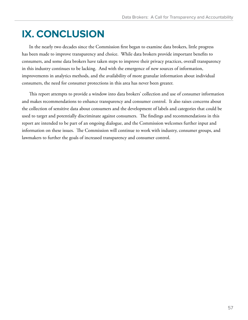# **IX. CONCLUSION**

In the nearly two decades since the Commission first began to examine data brokers, little progress has been made to improve transparency and choice. While data brokers provide important benefits to consumers, and some data brokers have taken steps to improve their privacy practices, overall transparency in this industry continues to be lacking. And with the emergence of new sources of information, improvements in analytics methods, and the availability of more granular information about individual consumers, the need for consumer protections in this area has never been greater.

This report attempts to provide a window into data brokers' collection and use of consumer information and makes recommendations to enhance transparency and consumer control. It also raises concerns about the collection of sensitive data about consumers and the development of labels and categories that could be used to target and potentially discriminate against consumers. The findings and recommendations in this report are intended to be part of an ongoing dialogue, and the Commission welcomes further input and information on these issues. The Commission will continue to work with industry, consumer groups, and lawmakers to further the goals of increased transparency and consumer control.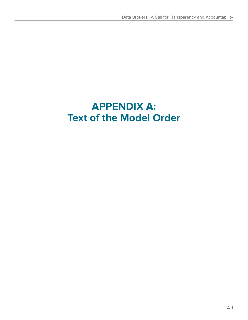# **APPENDIX A: Text of the Model Order**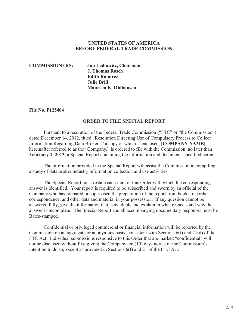#### **UNITED STATES OF AMERICA BEFORE FEDERAL TRADE COMMISSION**

**COMMISSIONERS: Jon Leibowitz, Chairman J. Thomas Rosch Edith Ramirez Julie Brill Maureen K. Ohlhausen**

**File No. P125404**

#### **ORDER TO FILE SPECIAL REPORT**

Pursuant to a resolution of the Federal Trade Commission ("FTC" or "the Commission") dated December 14, 2012, titled "Resolution Directing Use of Compulsory Process to Collect Information Regarding Data Brokers," a copy of which is enclosed, **[COMPANY NAME]**, hereinafter referred to as the "Company," is ordered to file with the Commission, no later than **February 1, 2013**, a Special Report containing the information and documents specified herein.

The information provided in the Special Report will assist the Commission in compiling a study of data broker industry information collection and use activities.

The Special Report must restate each item of this Order with which the corresponding answer is identified. Your report is required to be subscribed and sworn by an official of the Company who has prepared or supervised the preparation of the report from books, records, correspondence, and other data and material in your possession. If any question cannot be answered fully, give the information that is available and explain in what respects and why the answer is incomplete. The Special Report and all accompanying documentary responses must be Bates-stamped.

Confidential or privileged commercial or financial information will be reported by the Commission on an aggregate or anonymous basis, consistent with Sections 6(f) and 21(d) of the FTC Act. Individual submissions responsive to this Order that are marked "confidential" will not be disclosed without first giving the Company ten (10) days notice of the Commission's intention to do so, except as provided in Sections 6(f) and 21 of the FTC Act.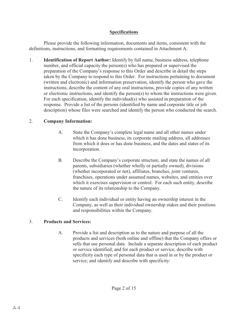### **Specifications**

Please provide the following information, documents and items, consistent with the definitions, instructions, and formatting requirements contained in Attachment A:

1. **Identification of Report Author:** Identify by full name, business address, telephone number, and official capacity the person(s) who has prepared or supervised the preparation of the Company's response to this Order and describe in detail the steps taken by the Company to respond to this Order. For instructions pertaining to document (written and electronic) and information preservation, identify the person who gave the instructions, describe the content of any oral instructions, provide copies of any written or electronic instructions, and identify the person(s) to whom the instructions were given. For each specification, identify the individual(s) who assisted in preparation of the response. Provide a list of the persons (identified by name and corporate title or job description) whose files were searched and identify the person who conducted the search.

### 2. **Company Information:**

- A. State the Company's complete legal name and all other names under which it has done business, its corporate mailing address, all addresses from which it does or has done business, and the dates and states of its incorporation.
- B. Describe the Company's corporate structure, and state the names of all parents, subsidiaries (whether wholly or partially owned), divisions (whether incorporated or not), affiliates, branches, joint ventures, franchises, operations under assumed names, websites, and entities over which it exercises supervision or control. For each such entity, describe the nature of its relationship to the Company.
- C. Identify each individual or entity having an ownership interest in the Company, as well as their individual ownership stakes and their positions and responsibilities within the Company.

### 3. **Products and Services:**

A. Provide a list and description as to the nature and purpose of all the products and services (both online and offline) that the Company offers or sells that use personal data. Include a separate description of each product or service identified; and for each product or service, describe with specificity each type of personal data that is used in or by the product or service; and identify and describe with specificity: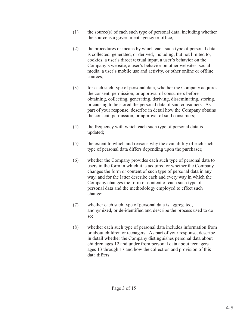- (1) the source(s) of each such type of personal data, including whether the source is a government agency or office;
- (2) the procedures or means by which each such type of personal data is collected, generated, or derived, including, but not limited to, cookies, a user's direct textual input, a user's behavior on the Company's website, a user's behavior on other websites, social media, a user's mobile use and activity, or other online or offline sources;
- (3) for each such type of personal data, whether the Company acquires the consent, permission, or approval of consumers before obtaining, collecting, generating, deriving, disseminating, storing, or causing to be stored the personal data of said consumers. As part of your response, describe in detail how the Company obtains the consent, permission, or approval of said consumers;
- (4) the frequency with which each such type of personal data is updated;
- (5) the extent to which and reasons why the availability of each such type of personal data differs depending upon the purchaser;
- (6) whether the Company provides each such type of personal data to users in the form in which it is acquired or whether the Company changes the form or content of such type of personal data in any way, and for the latter describe each and every way in which the Company changes the form or content of each such type of personal data and the methodology employed to effect such change;
- (7) whether each such type of personal data is aggregated, anonymized, or de-identified and describe the process used to do so;
- (8) whether each such type of personal data includes information from or about children or teenagers. As part of your response, describe in detail whether the Company distinguishes personal data about children ages 12 and under from personal data about teenagers ages 13 through 17 and how the collection and provision of this data differs.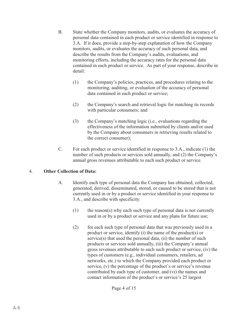- B. State whether the Company monitors, audits, or evaluates the accuracy of personal data contained in each product or service identified in response to 3.A. If it does, provide a step-by-step explanation of how the Company monitors, audits, or evaluates the accuracy of such personal data, and describe the results from the Company's audits, evaluations, and monitoring efforts, including the accuracy rates for the personal data contained in each product or service. As part of your response, describe in detail:
	- (1) the Company's policies, practices, and procedures relating to the monitoring, auditing, or evaluation of the accuracy of personal data contained in each product or service;
	- (2) the Company's search and retrieval logic for matching its records with particular consumers; and
	- (3) the Company's matching logic (i.e., evaluations regarding the effectiveness of the information submitted by clients and/or used by the Company about consumers in retrieving results related to the correct consumer);
- C. For each product or service identified in response to 3.A., indicate (1) the number of such products or services sold annually, and (2) the Company's annual gross revenues attributable to each such product or service.

### 4. **Other Collection of Data:**

- A. Identify each type of personal data the Company has obtained, collected, generated, derived, disseminated, stored, or caused to be stored that is not currently used in or by a product or service identified in your response to 3.A., and describe with specificity:
	- (1) the reason(s) why each such type of personal data is not currently used in or by a product or service and any plans for future use;
	- (2) for each such type of personal data that was previously used in a product or service, identify (i) the name of the product(s) or service(s) that used the personal data, (ii) the number of such products or services sold annually, (iii) the Company's annual gross revenues attributable to each such product or service, (iv) the types of customers (e.g., individual consumers, retailers, ad networks, etc.) to which the Company provided each product or service, (v) the percentage of the product's or service's revenue contributed by each type of customer, and (vi) the names and contact information of the product's or service's 25 largest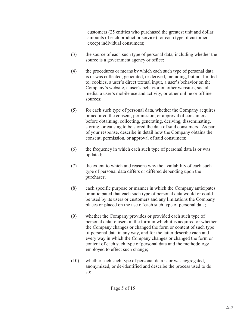customers (25 entities who purchased the greatest unit and dollar amounts of each product or service) for each type of customer except individual consumers;

- (3) the source of each such type of personal data, including whether the source is a government agency or office;
- (4) the procedures or means by which each such type of personal data is or was collected, generated, or derived, including, but not limited to, cookies, a user's direct textual input, a user's behavior on the Company's website, a user's behavior on other websites, social media, a user's mobile use and activity, or other online or offline sources;
- (5) for each such type of personal data, whether the Company acquires or acquired the consent, permission, or approval of consumers before obtaining, collecting, generating, deriving, disseminating, storing, or causing to be stored the data of said consumers. As part of your response, describe in detail how the Company obtains the consent, permission, or approval of said consumers;
- (6) the frequency in which each such type of personal data is or was updated;
- (7) the extent to which and reasons why the availability of each such type of personal data differs or differed depending upon the purchaser;
- (8) each specific purpose or manner in which the Company anticipates or anticipated that each such type of personal data would or could be used by its users or customers and any limitations the Company places or placed on the use of each such type of personal data;
- (9) whether the Company provides or provided each such type of personal data to users in the form in which it is acquired or whether the Company changes or changed the form or content of such type of personal data in any way, and for the latter describe each and every way in which the Company changes or changed the form or content of each such type of personal data and the methodology employed to effect such change;
- (10) whether each such type of personal data is or was aggregated, anonymized, or de-identified and describe the process used to do so;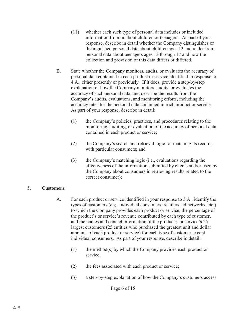- (11) whether each such type of personal data includes or included information from or about children or teenagers. As part of your response, describe in detail whether the Company distinguishes or distinguished personal data about children ages 12 and under from personal data about teenagers ages 13 through 17 and how the collection and provision of this data differs or differed.
- B. State whether the Company monitors, audits, or evaluates the accuracy of personal data contained in each product or service identified in response to 4.A., either presently or previously. If it does, provide a step-by-step explanation of how the Company monitors, audits, or evaluates the accuracy of such personal data, and describe the results from the Company's audits, evaluations, and monitoring efforts, including the accuracy rates for the personal data contained in each product or service. As part of your response, describe in detail:
	- (1) the Company's policies, practices, and procedures relating to the monitoring, auditing, or evaluation of the accuracy of personal data contained in each product or service;
	- (2) the Company's search and retrieval logic for matching its records with particular consumers; and
	- (3) the Company's matching logic (i.e., evaluations regarding the effectiveness of the information submitted by clients and/or used by the Company about consumers in retrieving results related to the correct consumer);

### 5. **Customers**:

- A. For each product or service identified in your response to 3.A., identify the types of customers (e.g., individual consumers, retailers, ad networks, etc.) to which the Company provides each product or service, the percentage of the product's or service's revenue contributed by each type of customer, and the names and contact information of the product's or service's 25 largest customers (25 entities who purchased the greatest unit and dollar amounts of each product or service) for each type of customer except individual consumers. As part of your response, describe in detail:
	- $(1)$  the method(s) by which the Company provides each product or service;
	- (2) the fees associated with each product or service;
	- (3) a step-by-step explanation of how the Company's customers access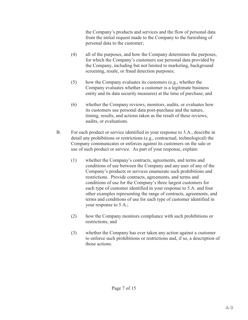the Company's products and services and the flow of personal data from the initial request made to the Company to the furnishing of personal data to the customer;

- (4) all of the purposes, and how the Company determines the purposes, for which the Company's customers use personal data provided by the Company, including but not limited to marketing, background screening, resale, or fraud detection purposes;
- (5) how the Company evaluates its customers (e.g., whether the Company evaluates whether a customer is a legitimate business entity and its data security measures) at the time of purchase; and
- (6) whether the Company reviews, monitors, audits, or evaluates how its customers use personal data post-purchase and the nature, timing, results, and actions taken as the result of these reviews, audits, or evaluations.
- B. For each product or service identified in your response to 3.A., describe in detail any prohibitions or restrictions (e.g., contractual, technological) the Company communicates or enforces against its customers on the sale or use of such product or service. As part of your response, explain:
	- (1) whether the Company's contracts, agreements, and terms and conditions of use between the Company and any user of any of the Company's products or services enumerate such prohibitions and restrictions. Provide contracts, agreements, and terms and conditions of use for the Company's three largest customers for each type of customer identified in your response to 5.A. and four other examples representing the range of contracts, agreements, and terms and conditions of use for each type of customer identified in your response to 5.A.;
	- (2) how the Company monitors compliance with such prohibitions or restrictions; and
	- (3) whether the Company has ever taken any action against a customer to enforce such prohibitions or restrictions and, if so, a description of those actions.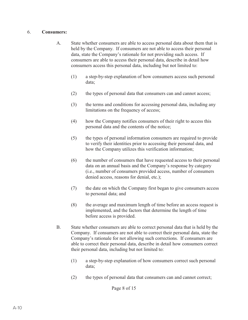#### 6. **Consumers:**

- A. State whether consumers are able to access personal data about them that is held by the Company. If consumers are not able to access their personal data, state the Company's rationale for not providing such access. If consumers are able to access their personal data, describe in detail how consumers access this personal data, including but not limited to:
	- (1) a step-by-step explanation of how consumers access such personal data;
	- (2) the types of personal data that consumers can and cannot access;
	- (3) the terms and conditions for accessing personal data, including any limitations on the frequency of access;
	- (4) how the Company notifies consumers of their right to access this personal data and the contents of the notice;
	- (5) the types of personal information consumers are required to provide to verify their identities prior to accessing their personal data, and how the Company utilizes this verification information;
	- (6) the number of consumers that have requested access to their personal data on an annual basis and the Company's response by category (i.e., number of consumers provided access, number of consumers denied access, reasons for denial, etc.);
	- (7) the date on which the Company first began to give consumers access to personal data; and
	- (8) the average and maximum length of time before an access request is implemented, and the factors that determine the length of time before access is provided.
- B. State whether consumers are able to correct personal data that is held by the Company. If consumers are not able to correct their personal data, state the Company's rationale for not allowing such corrections. If consumers are able to correct their personal data, describe in detail how consumers correct their personal data, including but not limited to:
	- (1) a step-by-step explanation of how consumers correct such personal data;
	- (2) the types of personal data that consumers can and cannot correct;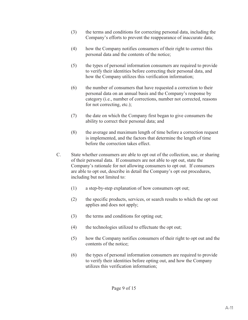- (3) the terms and conditions for correcting personal data, including the Company's efforts to prevent the reappearance of inaccurate data;
- (4) how the Company notifies consumers of their right to correct this personal data and the contents of the notice;
- (5) the types of personal information consumers are required to provide to verify their identities before correcting their personal data, and how the Company utilizes this verification information;
- (6) the number of consumers that have requested a correction to their personal data on an annual basis and the Company's response by category (i.e., number of corrections, number not corrected, reasons for not correcting, etc.);
- (7) the date on which the Company first began to give consumers the ability to correct their personal data; and
- (8) the average and maximum length of time before a correction request is implemented, and the factors that determine the length of time before the correction takes effect.
- C. State whether consumers are able to opt out of the collection, use, or sharing of their personal data. If consumers are not able to opt out, state the Company's rationale for not allowing consumers to opt out. If consumers are able to opt out, describe in detail the Company's opt out procedures, including but not limited to:
	- (1) a step-by-step explanation of how consumers opt out;
	- (2) the specific products, services, or search results to which the opt out applies and does not apply;
	- (3) the terms and conditions for opting out;
	- (4) the technologies utilized to effectuate the opt out;
	- (5) how the Company notifies consumers of their right to opt out and the contents of the notice;
	- (6) the types of personal information consumers are required to provide to verify their identities before opting out, and how the Company utilizes this verification information;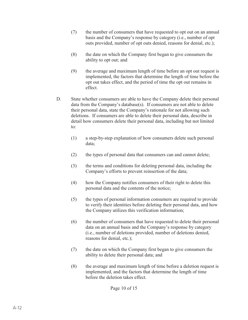- (7) the number of consumers that have requested to opt out on an annual basis and the Company's response by category (i.e., number of opt outs provided, number of opt outs denied, reasons for denial, etc.);
- (8) the date on which the Company first began to give consumers the ability to opt out; and
- (9) the average and maximum length of time before an opt out request is implemented, the factors that determine the length of time before the opt out takes effect, and the period of time the opt out remains in effect.
- D. State whether consumers are able to have the Company delete their personal data from the Company's database(s). If consumers are not able to delete their personal data, state the Company's rationale for not allowing such deletions. If consumers are able to delete their personal data, describe in detail how consumers delete their personal data, including but not limited to:
	- (1) a step-by-step explanation of how consumers delete such personal data;
	- (2) the types of personal data that consumers can and cannot delete;
	- (3) the terms and conditions for deleting personal data, including the Company's efforts to prevent reinsertion of the data;
	- (4) how the Company notifies consumers of their right to delete this personal data and the contents of the notice;
	- (5) the types of personal information consumers are required to provide to verify their identities before deleting their personal data, and how the Company utilizes this verification information;
	- (6) the number of consumers that have requested to delete their personal data on an annual basis and the Company's response by category (i.e., number of deletions provided, number of deletions denied, reasons for denial, etc.);
	- (7) the date on which the Company first began to give consumers the ability to delete their personal data; and
	- (8) the average and maximum length of time before a deletion request is implemented, and the factors that determine the length of time before the deletion takes effect.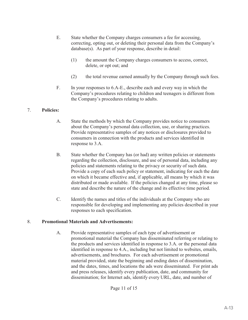- E. State whether the Company charges consumers a fee for accessing, correcting, opting out, or deleting their personal data from the Company's database(s). As part of your response, describe in detail:
	- (1) the amount the Company charges consumers to access, correct, delete, or opt out; and
	- (2) the total revenue earned annually by the Company through such fees.
- F. In your responses to 6.A-E., describe each and every way in which the Company's procedures relating to children and teenagers is different from the Company's procedures relating to adults.

### 7. **Policies:**

- A. State the methods by which the Company provides notice to consumers about the Company's personal data collection, use, or sharing practices. Provide representative samples of any notices or disclosures provided to consumers in connection with the products and services identified in response to 3.A.
- B. State whether the Company has (or had) any written policies or statements regarding the collection, disclosure, and use of personal data, including any policies and statements relating to the privacy or security of such data. Provide a copy of each such policy or statement, indicating for each the date on which it became effective and, if applicable, all means by which it was distributed or made available. If the policies changed at any time, please so state and describe the nature of the change and its effective time period.
- C. Identify the names and titles of the individuals at the Company who are responsible for developing and implementing any policies described in your responses to each specification.

### 8. **Promotional Materials and Advertisements:**

A. Provide representative samples of each type of advertisement or promotional material the Company has disseminated referring or relating to the products and services identified in response to 3.A. or the personal data identified in response to 4.A., including but not limited to websites, emails, advertisements, and brochures. For each advertisement or promotional material provided, state the beginning and ending dates of dissemination, and the dates, times, and locations the ads were disseminated. For print ads and press releases, identify every publication, date, and community for dissemination; for Internet ads, identify every URL, date, and number of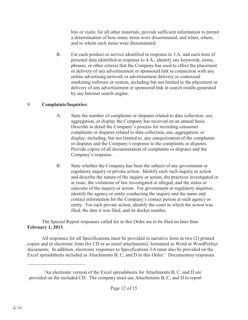hits or visits; for all other materials, provide sufficient information to permit a determination of how many items were disseminated, and when, where, and to whom such items were disseminated.

B. For each product or service identified in response to 3.A. and each item of personal data identified in response to 4.A., identify any keywords, terms, phrases, or other criteria that the Company has used to effect the placement or delivery of any advertisement or sponsored link in connection with any online advertising network or advertisement delivery or contextual marketing software or system, including but not limited to the placement or delivery of any advertisement or sponsored link in search results generated by any Internet search engine.

### 9. **Complaints/Inquiries:**

- A. State the number of complaints or disputes related to data collection, use, aggregation, or display the Company has received on an annual basis. Describe in detail the Company's process for recording consumer complaints or disputes related to data collection, use, aggregation, or display, including, but not limited to, any categorization of the complaints or disputes and the Company's response to the complaints or disputes. Provide copies of all documentation of complaints or disputes and the Company's response.
- B. State whether the Company has been the subject of any government or regulatory inquiry or private action. Identify each such inquiry or action and describe the nature of the inquiry or action, the practices investigated or at issue, the violations of law investigated or alleged, and the status or outcome of the inquiry or action. For government or regulatory inquiries, identify the agency or entity conducting the inquiry and the name and contact information for the Company's contact person at such agency or entity. For each private action, identify the court in which the action was filed, the date it was filed, and its docket number.

The Special Report responses called for in this Order are to be filed no later than **February 1, 2013**.

All responses for all Specifications must be provided in narrative form in two (2) printed copies and in electronic form (by CD or as email attachments), formatted as Word or WordPerfect documents. In addition, electronic responses to Specifications 3-6 must also be provided on the Excel spreadsheets included as Attachments B, C, and D to this Order.<sup>1</sup> Documentary responses

<sup>&</sup>lt;sup>1</sup>An electronic version of the Excel spreadsheets for Attachments B, C, and D are provided on the included CD. The company must use Attachments B, C, and D to report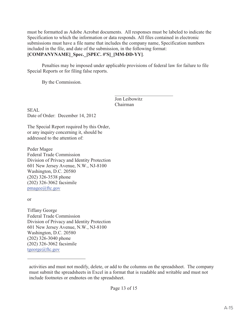must be formatted as Adobe Acrobat documents. All responses must be labeled to indicate the Specification to which the information or data responds. All files contained in electronic submissions must have a file name that includes the company name, Specification numbers included in the file, and date of the submission, in the following format: **[COMPANYNAME]\_Spec.\_[SPEC. #'S]\_[MM-DD-YY]**.

Penalties may be imposed under applicable provisions of federal law for failure to file Special Reports or for filing false reports.

By the Commission.

Jon Leibowitz Chairman

 $\overline{\phantom{a}}$  , and the set of the set of the set of the set of the set of the set of the set of the set of the set of the set of the set of the set of the set of the set of the set of the set of the set of the set of the s

SEAL. Date of Order: December 14, 2012

The Special Report required by this Order, or any inquiry concerning it, should be addressed to the attention of:

Peder Magee Federal Trade Commission Division of Privacy and Identity Protection 601 New Jersey Avenue, N.W., NJ-8100 Washington, D.C. 20580 (202) 326-3538 phone (202) 326-3062 facsimile pmagee@ftc.gov

or

Tiffany George Federal Trade Commission Division of Privacy and Identity Protection 601 New Jersey Avenue, N.W., NJ-8100 Washington, D.C. 20580 (202) 326-3040 phone (202) 326-3062 facsimile tgeorge@ftc.gov

activities and must not modify, delete, or add to the columns on the spreadsheet. The company must submit the spreadsheets in Excel in a format that is readable and writable and must not include footnotes or endnotes on the spreadsheet.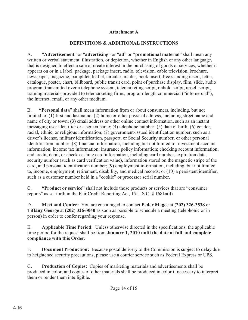### **Attachment A**

### **DEFINITIONS & ADDITIONAL INSTRUCTIONS**

A. "**Advertisement**" or "**advertising**" or "**ad**" or **"promotional material**" shall mean any written or verbal statement, illustration, or depiction, whether in English or any other language, that is designed to effect a sale or create interest in the purchasing of goods or services, whether it appears on or in a label, package, package insert, radio, television, cable television, brochure, newspaper, magazine, pamphlet, leaflet, circular, mailer, book insert, free standing insert, letter, catalogue, poster, chart, billboard, public transit card, point of purchase display, film, slide, audio program transmitted over a telephone system, telemarketing script, onhold script, upsell script, training materials provided to telemarketing firms, program-length commercial ("infomercial"), the Internet, email, or any other medium.

B. **"Personal data**" shall mean information from or about consumers, including, but not limited to: (1) first and last name; (2) home or other physical address, including street name and name of city or town; (3) email address or other online contact information, such as an instant messaging user identifier or a screen name; (4) telephone number; (5) date of birth; (6) gender, racial, ethnic, or religious information; (7) government-issued identification number, such as a driver's license, military identification, passport, or Social Security number, or other personal identification number; (8) financial information, including but not limited to: investment account information; income tax information; insurance policy information; checking account information; and credit, debit, or check-cashing card information, including card number, expiration date, security number (such as card verification value), information stored on the magnetic stripe of the card, and personal identification number; (9) employment information, including, but not limited to, income, employment, retirement, disability, and medical records; or (10) a persistent identifier, such as a customer number held in a "cookie" or processor serial number.

C. **"Product or service"** shall not include those products or services that are "consumer reports" as set forth in the Fair Credit Reporting Act, 15 U.S.C. § 1681a(d).

D. **Meet and Confer:** You are encouraged to contact **Peder Magee** at **(202) 326-3538** or **Tiffany George** at **(202) 326-3040** as soon as possible to schedule a meeting (telephonic or in person) in order to confer regarding your response.

E. **Applicable Time Period:** Unless otherwise directed in the specifications, the applicable time period for the request shall be from **January 1, 2010 until the date of full and complete compliance with this Order**.

F. **Document Production:** Because postal delivery to the Commission is subject to delay due to heightened security precautions, please use a courier service such as Federal Express or UPS.

G. **Production of Copies:** Copies of marketing materials and advertisements shall be produced in color, and copies of other materials shall be produced in color if necessary to interpret them or render them intelligible.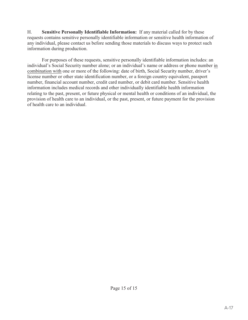H. **Sensitive Personally Identifiable Information:** If any material called for by these requests contains sensitive personally identifiable information or sensitive health information of any individual, please contact us before sending those materials to discuss ways to protect such information during production.

For purposes of these requests, sensitive personally identifiable information includes: an individual's Social Security number alone; or an individual's name or address or phone number in combination with one or more of the following: date of birth, Social Security number, driver's license number or other state identification number, or a foreign country equivalent, passport number, financial account number, credit card number, or debit card number. Sensitive health information includes medical records and other individually identifiable health information relating to the past, present, or future physical or mental health or conditions of an individual, the provision of health care to an individual, or the past, present, or future payment for the provision of health care to an individual.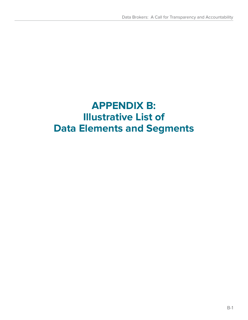# **APPENDIX B: Illustrative List of Data Elements and Segments**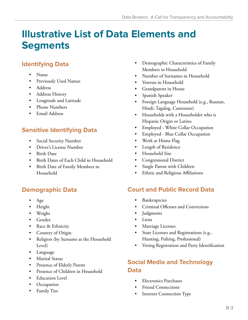# **Illustrative List of Data Elements and Segments**

# **Identifying Data**

- Name
- Previously Used Names
- • Address
- Address History
- • Longitude and Latitude
- • Phone Numbers
- Email Address

## **Sensitive Identifying Data**

- Social Security Number
- Driver's License Number
- • Birth Date
- Birth Dates of Each Child in Household
- Birth Date of Family Members in Household

# **Demographic Data**

- Age
- **Height**
- • Weight
- • Gender
- Race & Ethnicity
- Country of Origin
- • Religion (by Surname at the Household Level)
- Language
- Marital Status
- • Presence of Elderly Parent
- Presence of Children in Household
- Education Level
- Occupation
- Family Ties
- Demographic Characteristics of Family Members in Household
- Number of Surnames in Household
- Veteran in Household
- • Grandparent in House
- • Spanish Speaker
- • Foreign Language Household (e.g., Russian, Hindi, Tagalog, Cantonese)
- Households with a Householder who is Hispanic Origin or Latino
- Employed White Collar Occupation
- • Employed Blue Collar Occupation
- • Work at Home Flag
- • Length of Residence
- Household Size
- Congressional District
- Single Parent with Children
- Ethnic and Religious Affiliations

# **Court and Public Record Data**

- • Bankruptcies
- Criminal Offenses and Convictions
- • Judgments
- • Liens
- Marriage Licenses
- State Licenses and Registrations (e.g., Hunting, Fishing, Professional)
- Voting Registration and Party Identification

# **Social Media and Technology Data**

- Electronics Purchases
- **Friend Connections**
- **Internet Connection Type**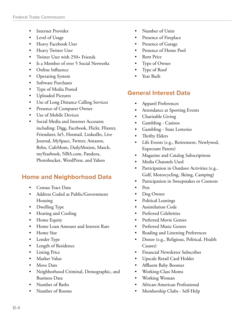- Internet Provider
- Level of Usage
- • Heavy Facebook User
- Heavy Twitter User
- Twitter User with 250+ Friends
- Is a Member of over 5 Social Networks
- Online Influence
- Operating System
- Software Purchases
- • Type of Media Posted
- • Uploaded Pictures
- Use of Long Distance Calling Services
- Presence of Computer Owner
- Use of Mobile Devices
- Social Media and Internet Accounts including: Digg, Facebook, Flickr, Flixster, Friendster, hi5, Hotmail, LinkedIn, Live Journal, MySpace, Twitter, Amazon, Bebo, CafeMom, DailyMotion, Match, myYearbook, NBA.com, Pandora, Photobucket, WordPress, and Yahoo

### **Home and Neighborhood Data**

- • Census Tract Data
- Address Coded as Public/Government Housing
- Dwelling Type
- Heating and Cooling
- Home Equity
- Home Loan Amount and Interest Rate
- Home Size
- Lender Type
- Length of Residence
- Listing Price
- Market Value
- Move Date
- Neighborhood Criminal, Demographic, and Business Data
- Number of Baths
- Number of Rooms
- Number of Units
- Presence of Fireplace
- • Presence of Garage
- Presence of Home Pool
- **Rent Price**
- Type of Owner
- Type of Roof
- Year Built

### **General Interest Data**

- Apparel Preferences
- Attendance at Sporting Events
- Charitable Giving
- Gambling Casinos
- Gambling State Lotteries
- Thrifty Elders
- • Life Events (e.g., Retirement, Newlywed, Expectant Parent)
- Magazine and Catalog Subscriptions
- Media Channels Used
- Participation in Outdoor Activities (e.g., Golf, Motorcycling, Skiing, Camping)
- Participation in Sweepstakes or Contests
- Pets
- Dog Owner
- Political Leanings
- Assimilation Code
- Preferred Celebrities
- Preferred Movie Genres
- Preferred Music Genres
- Reading and Listening Preferences
- Donor (e.g., Religious, Political, Health Causes)
- Financial Newsletter Subscriber
- Upscale Retail Card Holder
- Affluent Baby Boomer
- • Working-Class Moms
- Working Woman
- • African-American Professional
- Membership Clubs Self-Help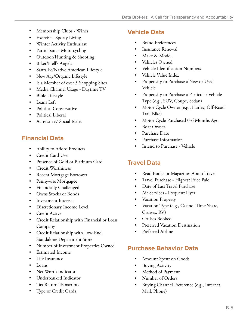- Membership Clubs Wines
- • Exercise Sporty Living
- • Winter Activity Enthusiast
- Participant Motorcycling
- Outdoor/Hunting & Shooting
- Biker/Hell's Angels
- Santa Fe/Native American Lifestyle
- • New Age/Organic Lifestyle
- Is a Member of over 5 Shopping Sites
- Media Channel Usage Daytime TV
- • Bible Lifestyle
- • Leans Left
- Political Conservative
- Political Liberal
- Activism & Social Issues

# **Financial Data**

- Ability to Afford Products
- • Credit Card User
- • Presence of Gold or Platinum Card
- • Credit Worthiness
- Recent Mortgage Borrower
- • Pennywise Mortgagee
- • Financially Challenged
- Owns Stocks or Bonds
- Investment Interests
- Discretionary Income Level
- • Credit Active
- • Credit Relationship with Financial or Loan Company
- • Credit Relationship with Low-End Standalone Department Store
- • Number of Investment Properties Owned
- **Estimated Income**
- • Life Insurance
- Loans
- Net Worth Indicator
- • Underbanked Indicator
- • Tax Return Transcripts
- Type of Credit Cards

# **Vehicle Data**

- **Brand Preferences**
- Insurance Renewal
- Make & Model
- Vehicles Owned
- • Vehicle Identification Numbers
- • Vehicle Value Index
- Propensity to Purchase a New or Used Vehicle
- • Propensity to Purchase a Particular Vehicle Type (e.g., SUV, Coupe, Sedan)
- Motor Cycle Owner (e.g., Harley, Off-Road Trail Bike)
- Motor Cycle Purchased 0-6 Months Ago
- **Boat Owner**
- Purchase Date
- Purchase Information
- Intend to Purchase Vehicle

# **Travel Data**

- Read Books or Magazines About Travel
- • Travel Purchase Highest Price Paid
- • Date of Last Travel Purchase
- Air Services Frequent Flyer
- • Vacation Property
- • Vacation Type (e.g., Casino, Time Share, Cruises, RV)
- Cruises Booked
- Preferred Vacation Destination
- Preferred Airline

### **Purchase Behavior Data**

- Amount Spent on Goods
- **Buying Activity**
- • Method of Payment
- Number of Orders
- Buying Channel Preference (e.g., Internet, Mail, Phone)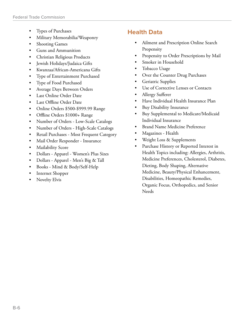- Types of Purchases
- Military Memorabilia/Weaponry
- Shooting Games
- Guns and Ammunition
- Christian Religious Products
- • Jewish Holidays/Judaica Gifts
- • Kwanzaa/African-Americana Gifts
- Type of Entertainment Purchased
- Type of Food Purchased
- Average Days Between Orders
- • Last Online Order Date
- Last Offline Order Date
- Online Orders \$500-\$999.99 Range
- Offline Orders \$1000+ Range
- • Number of Orders Low-Scale Catalogs
- Number of Orders High-Scale Catalogs
- Retail Purchases Most Frequent Category
- Mail Order Responder Insurance
- Mailability Score
- Dollars Apparel Women's Plus Sizes
- Dollars Apparel Men's Big & Tall
- Books Mind & Body/Self-Help
- **Internet Shopper**
- Novelty Elvis

### **Health Data**

- Ailment and Prescription Online Search Propensity
- Propensity to Order Prescriptions by Mail
- Smoker in Household
- Tobacco Usage
- • Over the Counter Drug Purchases
- **Geriatric Supplies**
- • Use of Corrective Lenses or Contacts
- Allergy Sufferer
- • Have Individual Health Insurance Plan
- Buy Disability Insurance
- • Buy Supplemental to Medicare/Medicaid Individual Insurance
- Brand Name Medicine Preference
- Magazines Health
- Weight Loss & Supplements
- Purchase History or Reported Interest in Health Topics including: Allergies, Arthritis, Medicine Preferences, Cholesterol, Diabetes, Dieting, Body Shaping, Alternative Medicine, Beauty/Physical Enhancement, Disabilities, Homeopathic Remedies, Organic Focus, Orthopedics, and Senior Needs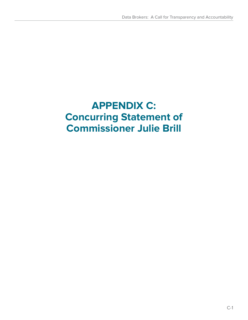# **APPENDIX C: Concurring Statement of Commissioner Julie Brill**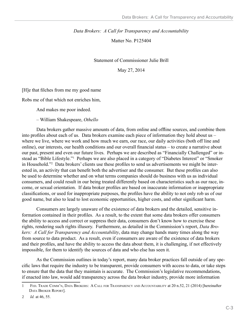*Data Brokers: A Call for Transparency and Accountability*

Matter No. P125404

Statement of Commissioner Julie Brill

May 27, 2014

[H]e that filches from me my good name

Robs me of that which not enriches him,

And makes me poor indeed.

– William Shakespeare, *Othello*

Data brokers gather massive amounts of data, from online and offline sources, and combine them into profiles about each of us. Data brokers examine each piece of information they hold about us – where we live, where we work and how much we earn, our race, our daily activities (both off line and online), our interests, our health conditions and our overall financial status – to create a narrative about our past, present and even our future lives. Perhaps we are described as "Financially Challenged" or instead as "Bible Lifestyle."<sup>1</sup> Perhaps we are also placed in a category of "Diabetes Interest" or "Smoker in Household."<sup>2</sup> Data brokers' clients use these profiles to send us advertisements we might be interested in, an activity that can benefit both the advertiser and the consumer. But these profiles can also be used to determine whether and on what terms companies should do business with us as individual consumers, and could result in our being treated differently based on characteristics such as our race, income, or sexual orientation. If data broker profiles are based on inaccurate information or inappropriate classifications, or used for inappropriate purposes, the profiles have the ability to not only rob us of our good name, but also to lead to lost economic opportunities, higher costs, and other significant harm.

Consumers are largely unaware of the existence of data brokers and the detailed, sensitive information contained in their profiles. As a result, to the extent that some data brokers offer consumers the ability to access and correct or suppress their data, consumers don't know how to exercise these rights, rendering such rights illusory. Furthermore, as detailed in the Commission's report, *Data Brokers: A Call for Transparency and Accountability*, data may change hands many times along the way from source to data product. As a result, even if consumers are aware of the existence of data brokers and their profiles, and have the ability to access the data about them, it is challenging, if not effectively impossible, for them to identify the sources of data and who else has seen it.

As the Commission outlines in today's report, many data broker practices fall outside of any specific laws that require the industry to be transparent, provide consumers with access to data, or take steps to ensure that the data that they maintain is accurate. The Commission's legislative recommendations, if enacted into law, would add transparency across the data broker industry, provide more information

<sup>1</sup> Fed. Trade Comm'n, Data Brokers: A Call for Transparency and Accountability at 20 n.52, 21 (2014) [hereinafter DATA BROKER REPORT].

<sup>2</sup> *Id.* at 46, 55.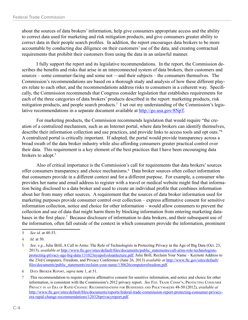about the sources of data brokers' information, help give consumers appropriate access and the ability to correct data used for marketing and risk mitigation products, and give consumers greater ability to correct data in their people search profiles. In addition, the report encourages data brokers to be more accountable by conducting due diligence on their customers' use of the data, and creating contractual requirements that prohibit their customers from using the data in an unlawful manner.

I fully support the report and its legislative recommendations. In the report, the Commission describes the benefits and risks that arise in an interconnected system of data brokers, their customers and sources – some consumer-facing and some not —and their subjects – the consumers themselves. The Commission's recommendations are based on a thorough study and analysis of how these different players relate to each other, and the recommendations address risks to consumers in a coherent way. Specifically, the Commission recommends that Congress consider legislation that establishes requirements for each of the three categories of data brokers' products described in the report: marketing products, risk mitigation products, and people search products.<sup>3</sup> I set out my understanding of the Commission's legislative recommendations in a separate document available at <http://go.usa.gov/8NpT>.

For marketing products, the Commission recommends legislation that would require "the creation of a centralized mechanism, such as an Internet portal, where data brokers can identify themselves, describe their information collection and use practices, and provide links to access tools and opt outs."<sup>4</sup> A centralized portal is critically important. If adopted, the portal would provide transparency across a broad swath of the data broker industry while also affording consumers greater practical control over their data. This requirement is a key element of the best practices that I have been encouraging data brokers to adopt.<sup>5</sup>

Also of critical importance is the Commission's call for requirements that data brokers' sources offer consumers transparency and choice mechanisms.<sup>6</sup> Data broker sources often collect information that consumers provide in a different context and for a different purpose. For example, a consumer who provides her name and email address to register with a travel or medical website might find that information being disclosed to a data broker and used to create an individual profile that combines information about her from many other sources. A requirement that the sources of data broker information used for marketing purposes provide consumer control over collection – express affirmative consent for sensitive information collection, notice and choice for other information – would allow consumers to prevent the collection and use of data that might harm them by blocking information from entering marketing databases in the first place.<sup>7</sup> Because disclosure of information to data brokers, and their subsequent use of the information, often fall outside of the context in which consumers provide the information, prominent

<sup>3</sup> *See id.* at 48-53.

<sup>4</sup> *Id.* at 50.

<sup>5</sup> *See, e.g.*, Julie Brill, A Call to Arms: The Role of Technologists in Protecting Privacy in the Age of Big Data (Oct. 23, 2013), *available at [http://www.ftc.gov/sites/default/files/documents/public\\_statements/call-arms-role-technologists](http://www.ftc.gov/sites/default/files/documents/public_statements/call-arms-role-technologists-protecting-privacy-age-big-data/131023nyupolysloanlecture.pdf)*[protecting-privacy-age-big-data/131023nyupolysloanlecture.pdf](http://www.ftc.gov/sites/default/files/documents/public_statements/call-arms-role-technologists-protecting-privacy-age-big-data/131023nyupolysloanlecture.pdf); Julie Brill, Reclaim Your Name – Keynote Address to the 23rd Computers, Freedom, and Privacy Conference (June 26, 2013) *available at* [http://www.ftc.gov/sites/default/](http://www.ftc.gov/sites/default/files/documents/public_statements/reclaim-your-name/130626computersfreedom.pdf) [files/documents/public\\_statements/reclaim-your-name/130626computersfreedom.pdf](http://www.ftc.gov/sites/default/files/documents/public_statements/reclaim-your-name/130626computersfreedom.pdf).

<sup>6</sup> Data Broker Report, *supra* note 1, at 51.

<sup>7</sup> This recommendation to require express affirmative consent for sensitive information, and notice and choice for other information, is consistent with the Commission's 2012 privacy report. *See* FED. TRADE COMM'N, PROTECTING CONSUMER Privacy in an Era of Rapid Change: Recommendations for Businesses and Policymakers 48-50 (2012), *available at* [http://www.ftc.gov/sites/default/files/documents/reports/federal-trade-commission-report-protecting-consumer-privacy](http://www.ftc.gov/sites/default/files/documents/reports/federal-trade-commission-report-protecting-consumer-privacy-era-rapid-change-recommendations/120326privacyreport.pdf)[era-rapid-change-recommendations/120326privacyreport.pdf](http://www.ftc.gov/sites/default/files/documents/reports/federal-trade-commission-report-protecting-consumer-privacy-era-rapid-change-recommendations/120326privacyreport.pdf).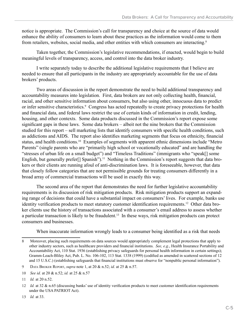notice is appropriate. The Commission's call for transparency and choice at the source of data would enhance the ability of consumers to learn about these practices as the information would come to them from retailers, websites, social media, and other entities with which consumers are interacting.8

Taken together, the Commission's legislative recommendations, if enacted, would begin to build meaningful levels of transparency, access, and control into the data broker industry.

I write separately today to describe the additional legislative requirements that I believe are needed to ensure that all participants in the industry are appropriately accountable for the use of data brokers' products.

Two areas of discussion in the report demonstrate the need to build additional transparency and accountability measures into legislation. First, data brokers are not only collecting health, financial, racial, and other sensitive information about consumers, but also using other, innocuous data to predict or infer sensitive characteristics.<sup>9</sup> Congress has acted repeatedly to create privacy protections for health and financial data, and federal laws restrict the use of certain kinds of information in credit, lending, housing, and other contexts. Some data products discussed in the Commission's report expose some significant gaps in these laws. Some data brokers – albeit not the nine brokers that the Commission studied for this report – sell marketing lists that identify consumers with specific health conditions, such as addictions and AIDS. The report also identifies marketing segments that focus on ethnicity, financial status, and health conditions.10 Examples of segments with apparent ethnic dimensions include "Metro Parents" (single parents who are "primarily high school or vocationally educated" and are handling the "stresses of urban life on a small budget") and "Timeless Traditions" (immigrants who "speak[] some English, but generally prefer<sup>[]</sup> Spanish").<sup>11</sup> Nothing in the Commission's report suggests that data brokers or their clients are running afoul of anti-discrimination laws. It is foreseeable, however, that data that closely follow categories that are not permissible grounds for treating consumers differently in a broad array of commercial transactions will be used in exactly this way.

The second area of the report that demonstrates the need for further legislative accountability requirements is its discussion of risk mitigation products. Risk mitigation products support an expanding range of decisions that could have a substantial impact on consumers' lives. For example, banks use identity verification products to meet statutory customer identification requirements.<sup>12</sup> Other data broker clients use the history of transactions associated with a consumer's email address to assess whether a particular transaction is likely to be fraudulent.13 In these ways, risk mitigation products can protect consumers and businesses.

When inaccurate information wrongly leads to a consumer being identified as a risk that needs

<sup>8</sup> Moreover, placing such requirements on data sources would appropriately complement legal protections that apply to other industry sectors, such as healthcare providers and financial institutions. *See, e.g.*, Health Insurance Portability and Accountability Act, 110 Stat. 1936 (establishing privacy safeguards for personal health information in certain settings); Gramm-Leach-Bliley Act, Pub. L. No. 106-102, 113 Stat. 1338 (1999) (codified as amended in scattered sections of 12 and 15 U.S.C.) (establishing safeguards that financial institutions must observe for "nonpublic personal information").

<sup>9</sup> Data Broker Report, *supra* note 1, at 20 & n.52; *id.* at 25 & n.57.

<sup>10</sup> *See id.* at 20 & n.52; *id.* at 25 & n.57

<sup>11</sup> *Id.* at 20 n.52.

<sup>12</sup> *Id.* at 32 & n.65 (discussing banks' use of identity verification products to meet customer identification requirements under the USA PATRIOT Act).

<sup>13</sup> *Id.* at 33.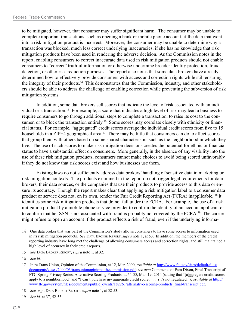to be mitigated, however, that consumer may suffer significant harm. The consumer may be unable to complete important transactions, such as opening a bank or mobile phone account, if the data that went into a risk mitigation product is incorrect. Moreover, the consumer may be unable to determine why a transaction was blocked, much less correct underlying inaccuracies, if she has no knowledge that risk mitigation products have been used in rendering the adverse decision. As the Commission notes in the report, enabling consumers to correct inaccurate data used in risk mitigation products should not enable consumers to "correct" truthful information or otherwise undermine broader identity protection, fraud detection, or other risk-reduction purposes. The report also notes that some data brokers have already determined how to effectively provide consumers with access and correction rights while still ensuring the integrity of their products.<sup>14</sup> This demonstrates that the Commission, industry, and other stakeholders should be able to address the challenge of enabling correction while preventing the subversion of risk mitigation systems.

In addition, some data brokers sell scores that indicate the level of risk associated with an individual or a transaction.<sup>15</sup> For example, a score that indicates a high level of risk may lead a business to require consumers to go through additional steps to complete a transaction, to raise its cost to the consumer, or to block the transaction entirely.<sup>16</sup> Some scores may correlate closely with ethnicity or financial status. For example, "aggregated" credit scores average the individual credit scores from five to 15 households in a ZIP+4 geographical area.<sup>17</sup> There may be little that consumers can do to affect scores that group them with others based on some shared characteristic, such as the neighborhood in which they live. The use of such scores to make risk mitigation decisions creates the potential for ethnic or financial status to have a substantial effect on consumers. More generally, in the absence of any visibility into the use of these risk mitigation products, consumers cannot make choices to avoid being scored unfavorably if they do not know that risk scores exist and how businesses use them.

Existing laws do not sufficiently address data brokers' handling of sensitive data in marketing or risk mitigation contexts. The products examined in the report do not trigger legal requirements for data brokers, their data sources, or the companies that use their products to provide access to this data or ensure its accuracy. Though the report makes clear that applying a risk mitigation label to a consumer data product or service does not, on its own, render the Fair Credit Reporting Act (FCRA) inapplicable, 18 it identifies some risk mitigation products that do not fall under the FCRA. For example, the use of a risk mitigation product by a mobile phone service provider to confirm the identity of an account applicant or to confirm that her SSN is not associated with fraud is probably not covered by the FCRA.19 The carrier might refuse to open an account if the product reflects a risk of fraud, even if the underlying informa-

<sup>14</sup> One data broker that was part of the Commission's study allows consumers to have some access to information used in its risk mitigation products. *See* Data Broker Report, *supra* note 1, at 53. In addition, the members of the credit reporting industry have long met the challenge of allowing consumers access and correction rights, and still maintained a high level of accuracy in their credit reports.

<sup>15</sup> *See* Data Broker Report, *supra* note 1, at 32.

<sup>16</sup> *See id.*

<sup>17</sup> In re Trans Union, Opinion of the Commission, at 12, Mar. 2000, *available at* [http://www.ftc.gov/sites/default/files/](http://www.ftc.gov/sites/default/files/documents/cases/2000/03/transunionopinionofthecommission.pdf) [documents/cases/2000/03/transunionopinionofthecommission.pdf](http://www.ftc.gov/sites/default/files/documents/cases/2000/03/transunionopinionofthecommission.pdf); *see also* Comments of Pam Dixon, Final Transcript of FTC Spring Privacy Series: Alternative Scoring Products, at 54-55, Mar. 19, 2014 (stating that "[a]ggregate credit scores apply to a neighborhood" and "I can't purchase my aggregate credit score, . . . [i]t's not regulated."), *available at* [http://](http://www.ftc.gov/system/files/documents/public_events/182261/alternative-scoring-products_final-transcript.pdf) [www.ftc.gov/system/files/documents/public\\_events/182261/alternative-scoring-products\\_final-transcript.pdf](http://www.ftc.gov/system/files/documents/public_events/182261/alternative-scoring-products_final-transcript.pdf).

<sup>18</sup> *See, e.g.*, Data Broker Report, *supra* note 1, at 52-53.

<sup>19</sup> *See id.* at 37, 52-53.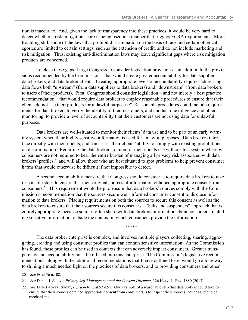tion is inaccurate. And, given the lack of transparency into these practices, it would be very hard to detect whether a risk mitigation score is being used in a manner that triggers FCRA requirements. More troubling still, some of the laws that prohibit discrimination on the basis of race and certain other categories are limited to certain settings, such as the extension of credit, and do not include marketing and risk mitigation. Thus, existing anti-discrimination laws may leave significant gaps where risk mitigation products are concerned.

To close these gaps, I urge Congress to consider legislation provisions – in addition to the provisions recommended by the Commission – that would create greater accountability for data suppliers, data brokers, and data broker clients. Creating appropriate levels of accountability requires addressing data flows both "upstream" (from data suppliers to data brokers) and "downstream" (from data brokers to users of their products). First, Congress should consider legislation – and not merely a best practice recommendation – that would require data brokers to employ reasonable procedures to ensure that their clients do not use their products for unlawful purposes.20 Reasonable procedures could include requirements for data brokers to verify the identity of their customers, and conduct due diligence and other monitoring, to provide a level of accountability that their customers are not using data for unlawful purposes.

Data brokers are well-situated to monitor their clients' data use and to be part of an early warning system when their highly sensitive information is used for unlawful purposes. Data brokers interface directly with their clients, and can assess their clients' ability to comply with existing prohibitions on discrimination. Requiring the data brokers to monitor their clients use will create a system whereby consumers are not required to bear the entire burden of managing all privacy risk associated with data brokers' profiles,<sup>21</sup> and will allow those who are best situated to spot problems to help prevent consumer harms that would otherwise be difficult if not impossible to detect.

A second accountability measure that Congress should consider is to require data brokers to take reasonable steps to ensure that their original sources of information obtained appropriate consent from consumers.22 This requirement would help to ensure that data brokers' sources comply with the Commission's recommendation that the sources secure well-informed consumer consent to disclose information to data brokers. Placing requirements on both the sources to secure this consent as well as the data brokers to ensure that their sources secure this consent is a "belts and suspenders" approach that is entirely appropriate, because sources often share with data brokers information about consumers, including sensitive information, outside the context in which consumers provide the information.

\*\*\*\*\*

The data broker enterprise is complex, and involves multiple players collecting, sharing, aggregating, creating and using consumer profiles that can contain sensitive information. As the Commission has found, these profiles can be used in contexts that can adversely impact consumers. Greater transparency and accountability must be infused into this enterprise. The Commission's legislative recommendations, along with the additional recommendations that I have outlined here, would go a long way to shining a much needed light on the practices of data brokers, and to providing consumers and other

<sup>20</sup> *See id.* at 56 n.108.

<sup>21</sup> *See* Daniel J. Solove, *Privacy Self-Management and the Consent Dilemma*, 126 Harv. L. Rev. 1880 (2013).

<sup>22</sup> *See* Data Broker Report, *supra* note 1, at 52 n.91. One example of a reasonable step that data brokers could take to ensure that their sources obtained appropriate consent from consumers is to inspect their sources' notices and choice mechanisms.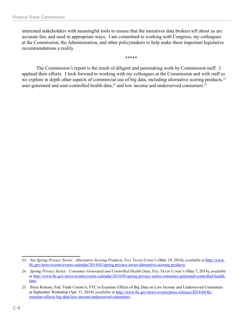interested stakeholders with meaningful tools to ensure that the narratives data brokers tell about us are accurate fair, and used in appropriate ways. I am committed to working with Congress, my colleagues at the Commission, the Administration, and other policymakers to help make these important legislative recommendations a reality.

\*\*\*\*\*

The Commission's report is the result of diligent and painstaking work by Commission staff. I applaud their efforts. I look forward to working with my colleagues at the Commission and with staff as we explore in depth other aspects of commercial use of big data, including alternative scoring products,<sup>23</sup> user-generated and user-controlled health data, $24$  and low income and underserved consumers. $25$ 

<sup>23</sup> *See Spring Privacy Series: Alternative Scoring Products*, Fed. Trade Comm'n (Mar. 19, 2014), *available at* [http://www.](http://www.ftc.gov/news-events/events-calendar/2014/03/spring-privacy-series-alternative-scoring-products) [ftc.gov/news-events/events-calendar/2014/03/spring-privacy-series-alternative-scoring-products](http://www.ftc.gov/news-events/events-calendar/2014/03/spring-privacy-series-alternative-scoring-products).

<sup>24</sup> *Spring Privacy Series: Consumer Generated and Controlled Health Data*, FED. TRADE COMM'N (May 7, 2014), *available at* [http://www.ftc.gov/news-events/events-calendar/2014/05/spring-privacy-series-consumer-generated-controlled-health](http://www.ftc.gov/news-events/events-calendar/2014/05/spring-privacy-series-consumer-generated-controlled-health-data)[data.](http://www.ftc.gov/news-events/events-calendar/2014/05/spring-privacy-series-consumer-generated-controlled-health-data)

<sup>25</sup> Press Release, Fed. Trade Comm'n, FTC to Examine Effects of Big Data on Low Income and Underserved Consumers at September Workshop (Apr. 11, 2014) ,*available at* [http://www.ftc.gov/news-events/press-releases/2014/04/ftc](http://www.ftc.gov/news-events/press-releases/2014/04/ftc-examine-effects-big-data-low-income-underserved-consumers)[examine-effects-big-data-low-income-underserved-consumers](http://www.ftc.gov/news-events/press-releases/2014/04/ftc-examine-effects-big-data-low-income-underserved-consumers).